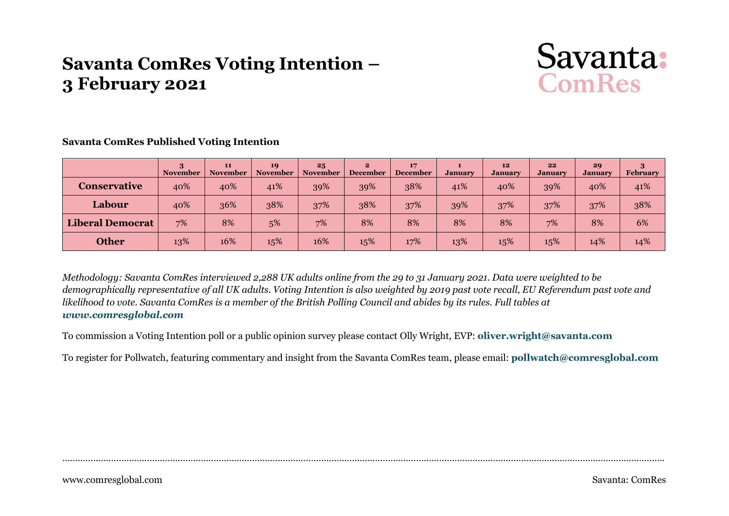# **Savanta ComRes Voting Intention – 3 February 2021**



|                         | <b>November</b> | 11<br><b>November</b> | 19<br><b>November</b> | 25<br><b>November</b> | $\mathbf{2}$<br><b>December</b> | 17<br><b>December</b> | <b>January</b> | 12<br><b>January</b> | 22<br><b>January</b> | 29<br><b>January</b> | February |
|-------------------------|-----------------|-----------------------|-----------------------|-----------------------|---------------------------------|-----------------------|----------------|----------------------|----------------------|----------------------|----------|
| <b>Conservative</b>     | 40%             | 40%                   | 41%                   | 39%                   | 39%                             | 38%                   | 41%            | 40%                  | 39%                  | 40%                  | 41%      |
| Labour                  | 40%             | 36%                   | 38%                   | 37%                   | 38%                             | 37%                   | 39%            | 37%                  | 37%                  | 37%                  | 38%      |
| <b>Liberal Democrat</b> | 7%              | 8%                    | 5%                    | 7%                    | 8%                              | 8%                    | 8%             | 8%                   | 7%                   | 8%                   | 6%       |
| <b>Other</b>            | 13%             | 16%                   | 15%                   | 16%                   | 15%                             | 17%                   | 13%            | 15%                  | 15%                  | 14%                  | 14%      |

**Savanta ComRes Published Voting Intention**

*Methodology: Savanta ComRes interviewed 2,288 UK adults online from the 29 to 31 January 2021. Data were weighted to be demographically representative of all UK adults. Voting Intention is also weighted by 2019 past vote recall, EU Referendum past vote and likelihood to vote. Savanta ComRes is a member of the British Polling Council and abides by its rules. Full tables at [www.comresglobal.com](http://www.comresglobal.com/)*

To commission a Voting Intention poll or a public opinion survey please contact Olly Wright, EVP: **[oliver.wright@savanta.com](mailto:oliver.wright@savanta.com)**

To register for Pollwatch, featuring commentary and insight from the Savanta ComRes team, please email: **[pollwatch@comresglobal.com](mailto:pollwatch@comresglobal.com)**

……………………………………………………………………………………………………………………………………………………………………………………………………………….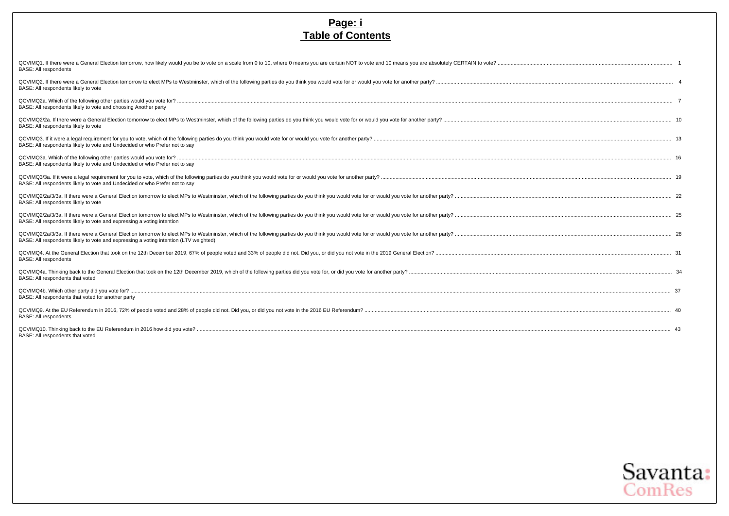#### **Page: i Table of Contents**

| QCVIMQ1. If there were a General Election tomorrow, how likely would you be to vote on a scale from 0 to 10, where 0 means you are certain NOT to vote and 10 means you are absolutely CERTAIN to vote?<br><b>BASE: All respondents</b>                                              |  |
|--------------------------------------------------------------------------------------------------------------------------------------------------------------------------------------------------------------------------------------------------------------------------------------|--|
| BASE: All respondents likely to vote                                                                                                                                                                                                                                                 |  |
| BASE: All respondents likely to vote and choosing Another party                                                                                                                                                                                                                      |  |
| BASE: All respondents likely to vote                                                                                                                                                                                                                                                 |  |
| BASE: All respondents likely to vote and Undecided or who Prefer not to say                                                                                                                                                                                                          |  |
| BASE: All respondents likely to vote and Undecided or who Prefer not to say                                                                                                                                                                                                          |  |
| BASE: All respondents likely to vote and Undecided or who Prefer not to say                                                                                                                                                                                                          |  |
| QCVIMQ2/2a/3/3a. If there were a General Election tomorrow to elect MPs to Westminster, which of the following parties do you think you would vote for or would you vote for another party?<br>BASE: All respondents likely to vote                                                  |  |
| QCVIMQ2/2a/3/3a. If there were a General Election tomorrow to elect MPs to Westminster, which of the following parties do you think you would vote for or would you vote for another party?<br>BASE: All respondents likely to vote and expressing a voting intention                |  |
| QCVIMQ2/2a/3/3a. If there were a General Election tomorrow to elect MPs to Westminster, which of the following parties do you think you would vote for or would you vote for another party?<br>BASE: All respondents likely to vote and expressing a voting intention (LTV weighted) |  |
| <b>BASE: All respondents</b>                                                                                                                                                                                                                                                         |  |
| BASE: All respondents that voted                                                                                                                                                                                                                                                     |  |
| BASE: All respondents that voted for another party                                                                                                                                                                                                                                   |  |
| <b>BASE: All respondents</b>                                                                                                                                                                                                                                                         |  |
| BASE: All respondents that voted                                                                                                                                                                                                                                                     |  |

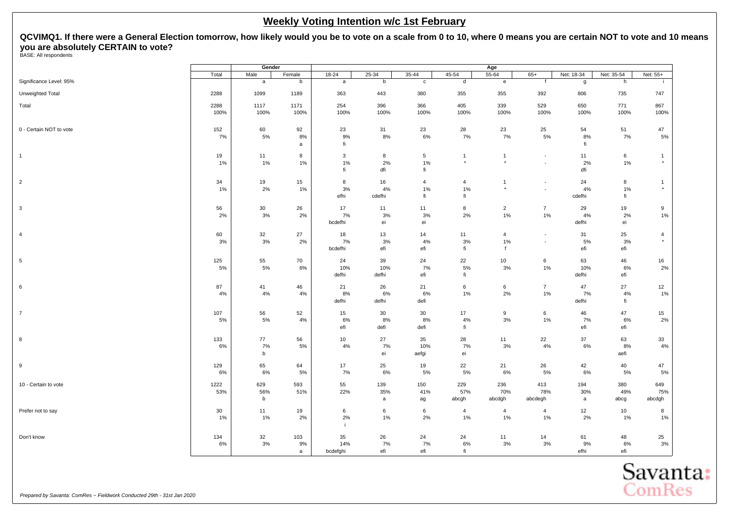<span id="page-2-0"></span>**QCVIMQ1. If there were a General Election tomorrow, how likely would you be to vote on a scale from 0 to 10, where 0 means you are certain NOT to vote and 10 means you are absolutely CERTAIN to vote?** BASE: All respondents

|                         |              | Gender          |                |                       |                    |                                                    |                            | Age                                     |                                                         |                            |                    |                           |
|-------------------------|--------------|-----------------|----------------|-----------------------|--------------------|----------------------------------------------------|----------------------------|-----------------------------------------|---------------------------------------------------------|----------------------------|--------------------|---------------------------|
|                         | Total        | Male            | Female         | $18 - 24$             | $25 - 34$          | $35 - 44$                                          | $45 - 54$                  | 55-64                                   | $65+$                                                   | Net: 18-34                 | Net: 35-54         | Net: 55+                  |
| Significance Level: 95% |              | a               | b              | a                     | b                  | $\mathbf c$                                        | d                          | e                                       | $\mathsf{f}$                                            | g                          | h                  | -i.                       |
| Unweighted Total        | 2288         | 1099            | 1189           | 363                   | 443                | 380                                                | 355                        | 355                                     | 392                                                     | 806                        | 735                | 747                       |
| Total                   | 2288<br>100% | 1117<br>100%    | 1171<br>100%   | 254<br>100%           | 396<br>100%        | 366<br>100%                                        | 405<br>100%                | 339<br>100%                             | 529<br>100%                                             | 650<br>100%                | 771<br>100%        | 867<br>100%               |
| 0 - Certain NOT to vote | 152<br>7%    | 60<br>$5\%$     | 92<br>8%<br>a  | 23<br>9%<br>fi.       | 31<br>8%           | 23<br>6%                                           | 28<br>7%                   | 23<br>7%                                | 25<br>5%                                                | 54<br>8%<br>fi             | 51<br>7%           | 47<br>5%                  |
| $\overline{1}$          | 19<br>1%     | 11<br>1%        | 8<br>1%        | 3<br>1%<br>fi.        | 8<br>2%<br>dfi     | $\sqrt{5}$<br>$1\%$<br>$\operatorname{\sf fi}$     | $\mathbf{1}$<br>$^\star$   | $\mathbf{1}$<br>$\star$                 | $\overline{\phantom{a}}$<br>$\mathcal{L}_{\mathcal{A}}$ | 11<br>2%<br>dfi            | 6<br>1%            | $\mathbf{1}$<br>$^\star$  |
| $\sqrt{2}$              | 34<br>1%     | 19<br>2%        | 15<br>1%       | 8<br>3%<br>efhi       | 16<br>4%<br>cdefhi | $\overline{4}$<br>$1\%$<br>$\operatorname{\sf fi}$ | $\overline{4}$<br>1%<br>fi | $\overline{1}$<br>$\star$               | $\overline{\phantom{a}}$<br>$\overline{\phantom{a}}$    | 24<br>4%<br>cdefhi         | 8<br>1%<br>fi      | $\mathbf{1}$<br>$^\star$  |
| $\mathbf{3}$            | 56<br>2%     | 30<br>3%        | 26<br>2%       | 17<br>7%<br>bcdefhi   | 11<br>3%<br>ei     | 11<br>$3%$<br>ei                                   | 8<br>2%                    | $\overline{2}$<br>1%                    | $\overline{7}$<br>$1\%$                                 | 29<br>4%<br>defhi          | 19<br>2%<br>ei     | 9<br>1%                   |
| $\overline{4}$          | 60<br>3%     | 32<br>3%        | 27<br>2%       | 18<br>7%<br>bcdefhi   | 13<br>3%<br>efi    | 14<br>4%<br>efi                                    | 11<br>3%<br>fi             | $\overline{4}$<br>$1\%$<br>$\mathbf{f}$ | $\blacksquare$<br>$\blacksquare$                        | 31<br>5%<br>efi            | 25<br>3%<br>efi    | $\overline{4}$<br>$\star$ |
| $\,$ 5 $\,$             | 125<br>5%    | 55<br>5%        | 70<br>6%       | 24<br>10%<br>defhi    | 39<br>10%<br>defhi | 24<br>7%<br>efi                                    | 22<br>5%<br>fi             | 10 <sub>1</sub><br>3%                   | 6<br>1%                                                 | 63<br>10%<br>defhi         | 46<br>6%<br>efi    | 16<br>2%                  |
| 6                       | 87<br>4%     | 41<br>4%        | 46<br>4%       | 21<br>8%<br>defhi     | 26<br>6%<br>defhi  | 21<br>6%<br>defi                                   | $\,6\,$<br>1%              | 6<br>2%                                 | $\overline{7}$<br>1%                                    | 47<br>7%<br>defhi          | 27<br>4%<br>fi     | 12<br>1%                  |
| $\overline{7}$          | 107<br>5%    | 56<br>5%        | 52<br>4%       | 15<br>$6\%$<br>efi    | 30<br>8%<br>defi   | 30<br>8%<br>defi                                   | 17<br>4%<br>fi             | 9<br>3%                                 | 6<br>$1\%$                                              | 46<br>7%<br>efi            | 47<br>6%<br>efi    | 15<br>2%                  |
| 8                       | 133<br>6%    | 77<br>7%<br>b   | 56<br>5%       | 10<br>4%              | 27<br>7%<br>ei     | 35<br>10%<br>aefgi                                 | 28<br>7%<br>ei             | 11<br>3%                                | 22<br>4%                                                | 37<br>6%                   | 63<br>8%<br>aefi   | 33<br>4%                  |
| 9                       | 129<br>6%    | 65<br>6%        | 64<br>5%       | 17<br>7%              | 25<br>6%           | 19<br>5%                                           | 22<br>5%                   | 21<br>6%                                | 26<br>5%                                                | 42<br>6%                   | 40<br>5%           | 47<br>5%                  |
| 10 - Certain to vote    | 1222<br>53%  | 629<br>56%<br>b | 593<br>51%     | 55<br>22%             | 139<br>35%<br>a    | 150<br>41%<br>ag                                   | 229<br>57%<br>abcgh        | 236<br>70%<br>abcdgh                    | 413<br>78%<br>abcdegh                                   | 194<br>30%<br>$\mathsf{a}$ | 380<br>49%<br>abcg | 649<br>75%<br>abcdgh      |
| Prefer not to say       | 30<br>1%     | 11<br>1%        | 19<br>2%       | 6<br>$2\%$<br>j.      | 6<br>$1\%$         | $\,6\,$<br>$2\%$                                   | $\overline{4}$<br>1%       | $\overline{4}$<br>$1\%$                 | $\overline{4}$<br>1%                                    | 12<br>$2\%$                | 10<br>$1\%$        | 8<br>1%                   |
| Don't know              | 134<br>6%    | 32<br>3%        | 103<br>9%<br>a | 35<br>14%<br>bcdefghi | 26<br>7%<br>efi    | 24<br>7%<br>efi                                    | 24<br>6%<br>fi             | 11<br>3%                                | 14<br>3%                                                | 61<br>9%<br>efhi           | 48<br>6%<br>efi    | 25<br>$3%$                |

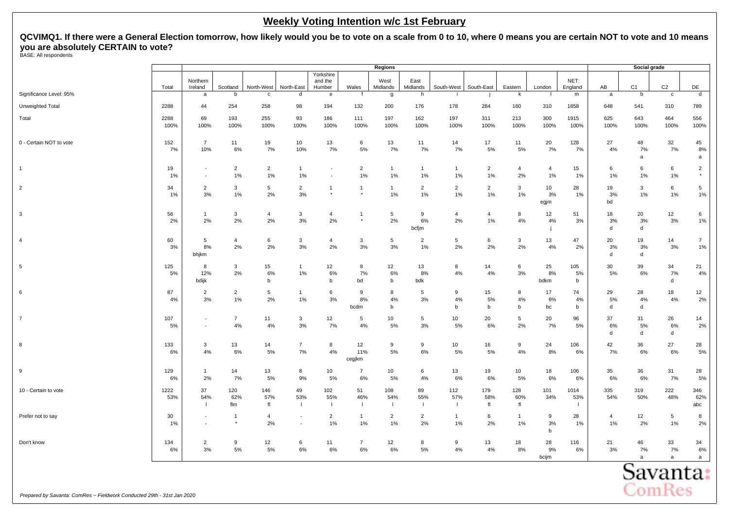**QCVIMQ1. If there were a General Election tomorrow, how likely would you be to vote on a scale from 0 to 10, where 0 means you are certain NOT to vote and 10 means you are absolutely CERTAIN to vote?** BASE: All respondents

|                                                                        |              |                                                      |                           |                       |                             |                                |                      | <b>Regions</b>       |                           |                       |                      |                       |                      |                             |                      | Social grade   |                          |                          |
|------------------------------------------------------------------------|--------------|------------------------------------------------------|---------------------------|-----------------------|-----------------------------|--------------------------------|----------------------|----------------------|---------------------------|-----------------------|----------------------|-----------------------|----------------------|-----------------------------|----------------------|----------------|--------------------------|--------------------------|
|                                                                        | Total        | Northern<br>Ireland                                  | Scotland                  | North-West            | North-East                  | Yorkshire<br>and the<br>Humber | Wales                | West<br>Midlands     | East<br>Midlands          | South-West            | South-East           | Eastern               | London               | NET:<br>England             | AB                   | C <sub>1</sub> | C <sub>2</sub>           | DE                       |
| Significance Level: 95%                                                |              | a                                                    | b                         | $\mathbf{c}$          | d                           | e                              |                      | g                    | h                         |                       |                      | k                     |                      | m                           | $\mathsf{a}$         | b              | $\mathbf{c}$             | d                        |
| Unweighted Total                                                       | 2288         | 44                                                   | 254                       | 258                   | 98                          | 194                            | 132                  | 200                  | 176                       | 178                   | 284                  | 160                   | 310                  | 1858                        | 648                  | 541            | 310                      | 789                      |
| Total                                                                  | 2288<br>100% | 69<br>100%                                           | 193<br>100%               | 255<br>100%           | 93<br>100%                  | 186<br>100%                    | 111<br>100%          | 197<br>100%          | 162<br>100%               | 197<br>100%           | 311<br>100%          | 213<br>100%           | 300<br>100%          | 1915<br>100%                | 625<br>100%          | 643<br>100%    | 464<br>100%              | 556<br>100%              |
| 0 - Certain NOT to vote                                                | 152<br>7%    | $\overline{7}$<br>10%                                | 11<br>6%                  | 19<br>7%              | 10 <sup>10</sup><br>10%     | 13<br>7%                       | 6<br>5%              | 13<br>7%             | 11<br>7%                  | 14<br>7%              | 17<br>5%             | 11<br>5%              | 20<br>7%             | 128<br>7%                   | 27<br>4%             | 48<br>7%<br>a  | 32<br>7%                 | 45<br>8%<br>a            |
| $\mathbf{1}$                                                           | 19<br>1%     | $\overline{\phantom{a}}$                             | $\overline{2}$<br>1%      | $\overline{2}$<br>1%  | $\mathbf{1}$<br>1%          |                                | $\overline{2}$<br>1% | $\mathbf{1}$<br>1%   | $\mathbf{1}$<br>$1\%$     | $\mathbf{1}$<br>1%    | $\overline{2}$<br>1% | $\overline{4}$<br>2%  | $\overline{4}$<br>1% | 15<br>1%                    | 6<br>1%              | 6<br>1%        | 6<br>1%                  | $\overline{2}$           |
| $\overline{2}$                                                         | 34<br>1%     | $\overline{2}$<br>3%                                 | 3<br>1%                   | $5\phantom{.0}$<br>2% | $\overline{2}$<br>3%        | $\mathbf{1}$                   | $\mathbf{1}$         | $\mathbf{1}$<br>1%   | $\overline{2}$<br>1%      | $\overline{2}$<br>1%  | $\overline{2}$<br>1% | $\mathbf{3}$<br>$1\%$ | 10<br>3%<br>egjm     | 28<br>1%                    | 19<br>3%<br>bd       | 3<br>1%        | 6<br>1%                  | 5<br>1%                  |
| 3                                                                      | 56<br>2%     | $\mathbf{1}$<br>2%                                   | 3<br>2%                   | $\overline{4}$<br>2%  | 3<br>3%                     | $\overline{4}$<br>2%           | $\mathbf{1}$         | 5<br>2%              | 9<br>$6\%$<br>bcfjm       | $\overline{4}$<br>2%  | $\overline{4}$<br>1% | 8<br>$4\%$            | 12<br>4%             | 51<br>3%                    | 18<br>3%<br>d        | 20<br>3%<br>d  | 12<br>3%                 | 6<br>1%                  |
| $\overline{4}$                                                         | 60<br>3%     | 5<br>8%<br>bhjkm                                     | $\overline{4}$<br>2%      | 6<br>2%               | 3<br>3%                     | $\overline{4}$<br>2%           | 3<br>3%              | 5<br>3%              | $\overline{2}$<br>1%      | 5<br>2%               | 6<br>2%              | 3<br>2%               | 13<br>4%             | 47<br>2%                    | 20<br>3%<br>d        | 19<br>3%<br>d  | 14<br>$3%$               | $\overline{7}$<br>1%     |
| $\sqrt{5}$                                                             | 125<br>5%    | 8<br>12%<br>bdijk                                    | 3<br>2%                   | 15<br>6%<br>b         | $\mathbf{1}$<br>1%          | 12<br>6%<br>b                  | 8<br>7%<br>bd        | 12<br>6%<br>b        | 13<br>8%<br>bdk           | 8<br>4%               | 14<br>4%             | 6<br>$3%$             | 25<br>8%<br>bdkm     | 105<br>5%<br>b              | 30<br>5%             | 39<br>6%       | 34<br>7%<br>d            | 21<br>4%                 |
| 6                                                                      | 87<br>4%     | $\overline{2}$<br>3%                                 | $\overline{2}$<br>1%      | 5<br>2%               | $\mathbf{1}$<br>1%          | 6<br>3%                        | 9<br>8%<br>bcdm      | 8<br>4%<br>b         | 5<br>3%                   | 9<br>4%<br>b          | 15<br>5%<br>b        | 8<br>4%<br>b          | 17<br>6%<br>bc       | 74<br>4%<br>b               | 29<br>5%<br>d        | 28<br>4%<br>d  | 18<br>4%                 | 12<br>2%                 |
| $\overline{7}$                                                         | 107<br>5%    | $\overline{\phantom{a}}$<br>$\overline{\phantom{a}}$ | $\overline{7}$<br>4%      | 11<br>4%              | $\mathbf{3}$<br>3%          | 12<br>7%                       | 5<br>4%              | 10<br>5%             | 5<br>3%                   | 10 <sub>1</sub><br>5% | 20<br>6%             | 5<br>2%               | 20<br>7%             | 96<br>5%                    | 37<br>6%<br>d        | 31<br>5%<br>d  | 26<br>6%<br>d            | 14<br>2%                 |
| 8                                                                      | 133<br>6%    | 3<br>4%                                              | 13<br>6%                  | 14<br>5%              | $\overline{7}$<br>7%        | 8<br>4%                        | 12<br>11%<br>cegjkm  | 9<br>5%              | 9<br>$6\%$                | 10 <sub>1</sub><br>5% | 16<br>5%             | 9<br>$4\%$            | 24<br>8%             | 106<br>6%                   | 42<br>7%             | 36<br>6%       | 27<br>$6\%$              | 28<br>5%                 |
| 9                                                                      | 129<br>6%    | $\overline{1}$<br>2%                                 | 14<br>7%                  | 13<br>5%              | 8<br>9%                     | 10<br>5%                       | $\overline{7}$<br>6% | 10<br>5%             | 6<br>4%                   | 13<br>6%              | 19<br>6%             | 10 <sub>1</sub><br>5% | 18<br>6%             | 106<br>6%                   | 35<br>6%             | 36<br>6%       | 31<br>7%                 | 28<br>5%                 |
| 10 - Certain to vote                                                   | 1222<br>53%  | 37<br>54%<br>-1                                      | 120<br>62%<br>flm         | 146<br>57%<br>fl      | 49<br>53%<br>$\overline{1}$ | 102<br>55%<br>$\mathbf{I}$     | 51<br>46%<br>Τ.      | 108<br>54%<br>- 11   | 89<br>55%<br>$\mathbf{I}$ | 112<br>57%<br>$\perp$ | 179<br>58%<br>f      | 128<br>60%<br>fl      | 101<br>34%           | 1014<br>53%<br>$\mathbf{I}$ | 335<br>54%           | 319<br>50%     | 222<br>48%               | 346<br>62%<br>abc        |
| Prefer not to say                                                      | 30<br>1%     | $\overline{a}$<br>$\overline{\phantom{a}}$           | $\overline{1}$<br>$\star$ | $\overline{4}$<br>2%  | $\overline{\phantom{a}}$    | $\overline{2}$<br>1%           | $\mathbf{1}$<br>1%   | $\overline{2}$<br>1% | $\overline{2}$<br>2%      | $\mathbf{1}$<br>1%    | 6<br>2%              | $\mathbf{1}$<br>1%    | 9<br>3%<br>b         | 28<br>1%                    | $\overline{4}$<br>1% | 12<br>2%       | $\sqrt{5}$<br>1%         | 8<br>2%                  |
| Don't know                                                             | 134<br>6%    | $\overline{2}$<br>$3%$                               | 9<br>$5\%$                | 12<br>$5\%$           | 6<br>6%                     | 11<br>6%                       | $\overline{7}$<br>6% | 12<br>6%             | 8<br>$5\%$                | 9<br>$4\%$            | 13<br>4%             | 18<br>$8\%$           | 28<br>9%<br>bcijm    | 116<br>$6\%$                | 21<br>3%             | 46<br>7%<br>a  | 33<br>7%<br>$\mathsf{a}$ | 34<br>6%<br>$\mathsf{a}$ |
|                                                                        |              |                                                      |                           |                       |                             |                                |                      |                      |                           |                       |                      |                       |                      |                             |                      | Savanta:       |                          |                          |
| Prepared by Savanta: ComRes ~ Fieldwork Conducted 29th - 31st Jan 2020 |              |                                                      |                           |                       |                             |                                |                      |                      |                           |                       |                      |                       |                      |                             |                      | <b>ComRes</b>  |                          |                          |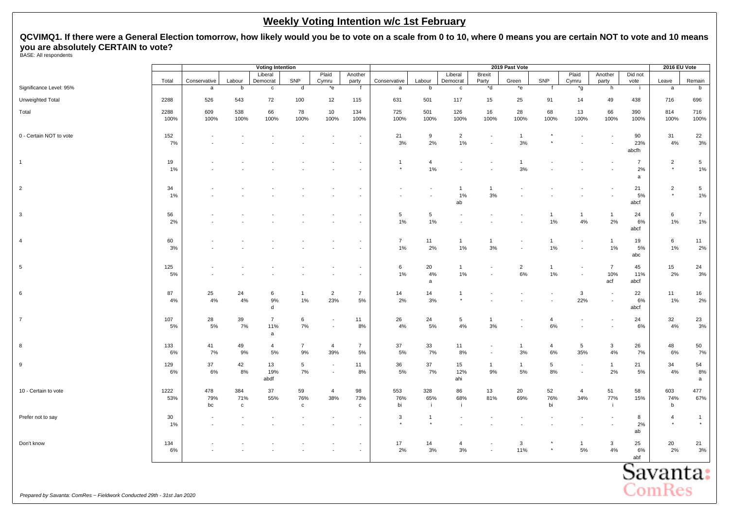**QCVIMQ1. If there were a General Election tomorrow, how likely would you be to vote on a scale from 0 to 10, where 0 means you are certain NOT to vote and 10 means you are absolutely CERTAIN to vote?** BASE: All respondents

|                                                                        |              |                  |                            | <b>Voting Intention</b>    |                           |                                            |                                                      |                          |                            |                            |                        | 2019 Past Vote           |                       |                        |                              |                           | 2016 EU Vote              |                         |
|------------------------------------------------------------------------|--------------|------------------|----------------------------|----------------------------|---------------------------|--------------------------------------------|------------------------------------------------------|--------------------------|----------------------------|----------------------------|------------------------|--------------------------|-----------------------|------------------------|------------------------------|---------------------------|---------------------------|-------------------------|
|                                                                        | Total        | Conservative     | Labour                     | Liberal<br>Democrat        | SNP                       | Plaid<br>Cymru                             | Another<br>party                                     | Conservative             | Labour                     | Liberal<br>Democrat        | <b>Brexit</b><br>Party | Green                    | SNP                   | Plaid<br>Cymru         | Another<br>party             | Did not<br>vote           | Leave                     | Remain                  |
| Significance Level: 95%                                                |              | $\mathsf{a}$     | $\mathsf b$                | $\mathbf c$                | d                         | $^\star{\rm e}$                            | f                                                    | $\mathsf a$              | b                          | $\mathbf c$                | $\overline{d}$         | $^*e$                    |                       | $^{\star}$ g           | h                            |                           | $\mathsf{a}$              | b                       |
| Unweighted Total                                                       | 2288         | 526              | 543                        | 72                         | 100                       | 12                                         | 115                                                  | 631                      | 501                        | 117                        | 15                     | 25                       | 91                    | 14                     | 49                           | 438                       | 716                       | 696                     |
| Total                                                                  | 2288<br>100% | 609<br>100%      | 538<br>100%                | 66<br>100%                 | 78<br>100%                | 10<br>100%                                 | 134<br>100%                                          | 725<br>100%              | 501<br>100%                | 126<br>100%                | 16<br>100%             | 28<br>100%               | 68<br>100%            | 13<br>100%             | 66<br>100%                   | 390<br>100%               | 814<br>100%               | 716<br>100%             |
| 0 - Certain NOT to vote                                                | 152<br>7%    |                  |                            |                            |                           |                                            | $\overline{\phantom{a}}$<br>$\overline{\phantom{a}}$ | 21<br>3%                 | $\boldsymbol{9}$<br>2%     | $\overline{2}$<br>1%       | $\overline{a}$         | $\mathbf{1}$<br>3%       |                       |                        |                              | 90<br>23%<br>abcfh        | 31<br>4%                  | 22<br>3%                |
| $\mathbf{1}$                                                           | 19<br>1%     |                  |                            |                            |                           |                                            | $\sim$<br>$\sim$                                     | $\mathbf{1}$<br>$^\star$ | $\overline{4}$<br>$1\%$    |                            |                        | $\overline{1}$<br>3%     |                       |                        |                              | $\overline{7}$<br>2%<br>a | $\overline{2}$<br>$\star$ | 5<br>1%                 |
| $\overline{2}$                                                         | 34<br>1%     |                  |                            |                            |                           |                                            | $\sim$                                               |                          | $\blacksquare$             | $\overline{1}$<br>1%<br>ab | $\overline{1}$<br>3%   |                          |                       |                        |                              | 21<br>5%<br>abcf          | $\overline{2}$<br>$\star$ | 5<br>$1\%$              |
| $\mathbf{3}$                                                           | 56<br>2%     |                  |                            |                            |                           |                                            | $\overline{\phantom{a}}$<br>$\blacksquare$           | $\sqrt{5}$<br>1%         | $\sqrt{5}$<br>1%           |                            |                        |                          | $\mathbf{1}$<br>1%    | $\mathbf{1}$<br>4%     | $\mathbf{1}$<br>2%           | 24<br>6%<br>abcf          | 6<br>1%                   | $\overline{7}$<br>$1\%$ |
| $\overline{4}$                                                         | 60<br>3%     |                  |                            |                            |                           |                                            | $\sim$<br>$\sim$                                     | $\overline{7}$<br>1%     | 11<br>2%                   | $\overline{1}$<br>$1\%$    | $\mathbf{1}$<br>3%     | $\overline{\phantom{a}}$ | $\mathbf{1}$<br>1%    |                        | $\mathbf{1}$<br>1%           | 19<br>5%<br>abc           | 6<br>$1\%$                | 11<br>2%                |
| 5                                                                      | 125<br>5%    |                  |                            |                            |                           |                                            | $\sim$                                               | 6<br>1%                  | 20<br>$4\%$<br>a           | $\overline{1}$<br>$1\%$    |                        | $\overline{2}$<br>$6\%$  | $\mathbf{1}$<br>1%    | $\sim$                 | $\overline{7}$<br>10%<br>acf | 45<br>11%<br>abcf         | 15<br>2%                  | 24<br>3%                |
| 6                                                                      | 87<br>4%     | 25<br>4%         | 24<br>4%                   | 6<br>9%<br>d               | $\mathbf{1}$<br>1%        | $\overline{2}$<br>23%                      | $\overline{7}$<br>5%                                 | 14<br>2%                 | 14<br>3%                   | $\overline{1}$<br>$^\star$ |                        |                          |                       | $\mathbf{3}$<br>22%    |                              | 22<br>6%<br>abcf          | 11<br>1%                  | 16<br>2%                |
| $\overline{7}$                                                         | 107<br>5%    | 28<br>5%         | 39<br>7%                   | $\overline{7}$<br>11%<br>a | 6<br>7%                   | $\blacksquare$<br>$\overline{\phantom{a}}$ | 11<br>8%                                             | 26<br>4%                 | 24<br>5%                   | $\overline{5}$<br>$4\%$    | $\overline{1}$<br>3%   | $\overline{\phantom{a}}$ | $\overline{4}$<br>6%  |                        |                              | 24<br>6%                  | 32<br>4%                  | 23<br>3%                |
| 8                                                                      | 133<br>6%    | 41<br>7%         | 49<br>9%                   | $\overline{4}$<br>5%       | $\overline{7}$<br>9%      | $\overline{4}$<br>39%                      | $\overline{7}$<br>5%                                 | 37<br>5%                 | 33<br>7%                   | 11<br>$8\%$                | $\overline{a}$         | $\mathbf{1}$<br>3%       | $\overline{4}$<br>6%  | $5\phantom{.0}$<br>35% | 3<br>$4\%$                   | 26<br>7%                  | 48<br>$6\%$               | 50<br>7%                |
| 9                                                                      | 129<br>6%    | 37<br>6%         | 42<br>8%                   | 13<br>19%<br>abdf          | 5<br>7%                   | $\overline{\phantom{a}}$<br>$\sim$         | 11<br>8%                                             | 36<br>5%                 | 37<br>7%                   | 15<br>12%<br>ahi           | $\mathbf{1}$<br>9%     | $\mathbf{1}$<br>5%       | $5\phantom{.0}$<br>8% |                        | $\mathbf{1}$<br>2%           | 21<br>5%                  | 34<br>4%                  | 54<br>8%<br>a           |
| 10 - Certain to vote                                                   | 1222<br>53%  | 478<br>79%<br>bc | 384<br>71%<br>$\mathtt{C}$ | 37<br>55%                  | 59<br>76%<br>$\mathtt{c}$ | $\overline{4}$<br>38%                      | 98<br>73%<br>$\mathbf{c}$                            | 553<br>76%<br>bi         | 328<br>65%<br>$\mathbf{i}$ | 86<br>68%<br>-i.           | 13<br>81%              | 20<br>69%                | 52<br>76%<br>bi       | $\overline{4}$<br>34%  | 51<br>77%<br>- i             | 58<br>15%                 | 603<br>74%<br>$\mathsf b$ | 477<br>67%              |
| Prefer not to say                                                      | 30<br>1%     |                  |                            |                            |                           |                                            |                                                      | 3                        | $\overline{1}$<br>$^\star$ |                            |                        |                          |                       |                        |                              | 8<br>2%<br>ab             | $\overline{4}$<br>$\star$ | $\mathbf{1}$            |
| Don't know                                                             | 134<br>$6\%$ |                  |                            |                            |                           |                                            | $\overline{\phantom{a}}$<br>$\overline{a}$           | 17<br>2%                 | 14<br>3%                   | $\overline{4}$<br>$3%$     |                        | 3<br>11%                 |                       | $\mathbf{1}$<br>$5\%$  | 3<br>$4\%$                   | 25<br>6%<br>abf           | 20<br>2%                  | 21<br>3%                |
| Prepared by Savanta: ComRes ~ Fieldwork Conducted 29th - 31st Jan 2020 |              |                  |                            |                            |                           |                                            |                                                      |                          |                            |                            |                        |                          |                       |                        |                              |                           | Savanta:<br><b>ComRes</b> |                         |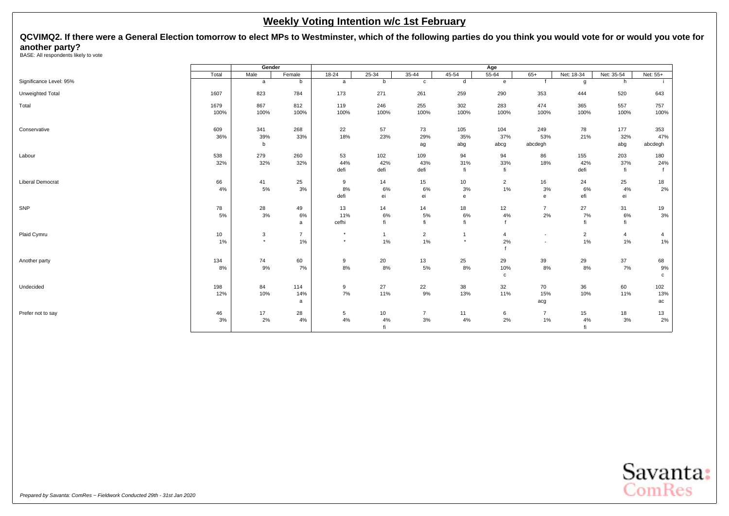<span id="page-5-0"></span>**QCVIMQ2. If there were a General Election tomorrow to elect MPs to Westminster, which of the following parties do you think you would vote for or would you vote for another party?** BASE: All respondents likely to vote

|                         |       | Gender   |                |           |              |                |           | Age            |                |                |                |                |
|-------------------------|-------|----------|----------------|-----------|--------------|----------------|-----------|----------------|----------------|----------------|----------------|----------------|
|                         | Total | Male     | Female         | $18 - 24$ | $25 - 34$    | $35 - 44$      | $45 - 54$ | $55 - 64$      | $65+$          | Net: 18-34     | Net: 35-54     | Net: 55+       |
| Significance Level: 95% |       | a        | b              | a         | b            | $\mathbf c$    | d         | $\mathbf{e}$   | $\mathbf{f}$   | g              | h              | j.             |
| Unweighted Total        | 1607  | 823      | 784            | 173       | 271          | 261            | 259       | 290            | 353            | 444            | 520            | 643            |
| Total                   | 1679  | 867      | 812            | 119       | 246          | 255            | 302       | 283            | 474            | 365            | 557            | 757            |
|                         | 100%  | 100%     | 100%           | 100%      | 100%         | 100%           | 100%      | 100%           | 100%           | 100%           | 100%           | 100%           |
| Conservative            | 609   | 341      | 268            | 22        | 57           | 73             | 105       | 104            | 249            | 78             | 177            | 353            |
|                         | 36%   | 39%      | 33%            | 18%       | 23%          | 29%            | 35%       | 37%            | 53%            | 21%            | 32%            | 47%            |
|                         |       | b        |                |           |              | ag             | abg       | abcg           | abcdegh        |                | abg            | abcdegh        |
| Labour                  | 538   | 279      | 260            | 53        | 102          | 109            | 94        | 94             | 86             | 155            | 203            | 180            |
|                         | 32%   | 32%      | 32%            | 44%       | 42%          | 43%            | 31%       | 33%            | 18%            | 42%            | 37%            | 24%            |
|                         |       |          |                | defi      | defi         | defi           | fi        | fi             |                | defi           | fi             |                |
| <b>Liberal Democrat</b> | 66    | 41       | 25             | 9         | 14           | 15             | 10        | $\overline{2}$ | 16             | 24             | 25             | 18             |
|                         | 4%    | 5%       | 3%             | 8%        | 6%           | 6%             | 3%        | 1%             | 3%             | 6%             | 4%             | 2%             |
|                         |       |          |                | defi      | ei           | ei             | e         |                | $\mathbf{e}$   | efi            | ei             |                |
| SNP                     | 78    | 28       | 49             | 13        | 14           | 14             | 18        | 12             | $\overline{7}$ | 27             | 31             | 19             |
|                         | 5%    | 3%       | 6%             | 11%       | 6%           | 5%             | $6\%$     | 4%             | 2%             | 7%             | 6%             | $3%$           |
|                         |       |          | a              | cefhi     | fi           | fi             | fi        |                |                | fi             | fi             |                |
| Plaid Cymru             | 10    | 3        | $\overline{7}$ | $\star$   | $\mathbf{1}$ | $\overline{c}$ |           | $\overline{4}$ |                | $\overline{2}$ | $\overline{4}$ | $\overline{4}$ |
|                         | 1%    | $^\star$ | 1%             | $\star$   | 1%           | $1\%$          | $\star$   | 2%             | $\sim$         | 1%             | $1\%$          | 1%             |
|                         |       |          |                |           |              |                |           |                |                |                |                |                |
| Another party           | 134   | 74       | 60             | 9         | 20           | 13             | 25        | 29             | 39             | 29             | 37             | 68             |
|                         | 8%    | 9%       | 7%             | 8%        | 8%           | 5%             | 8%        | 10%            | 8%             | 8%             | 7%             | 9%             |
|                         |       |          |                |           |              |                |           | $\mathbf{c}$   |                |                |                | $\mathbf c$    |
| Undecided               | 198   | 84       | 114            | 9         | 27           | 22             | 38        | 32             | 70             | 36             | 60             | 102            |
|                         | 12%   | 10%      | 14%            | 7%        | 11%          | 9%             | 13%       | 11%            | 15%            | 10%            | 11%            | 13%            |
|                         |       |          | a              |           |              |                |           |                | acg            |                |                | ac             |
| Prefer not to say       | 46    | 17       | 28             | 5         | 10           | $\overline{7}$ | 11        | 6              | $\overline{7}$ | 15             | 18             | 13             |
|                         | 3%    | 2%       | 4%             | 4%        | 4%           | 3%             | 4%        | 2%             | 1%             | 4%             | 3%             | 2%             |
|                         |       |          |                |           | fi           |                |           |                |                | fi             |                |                |

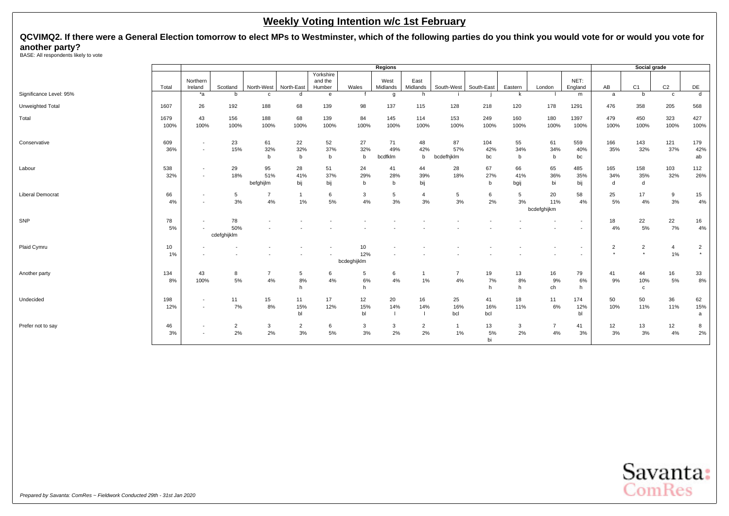# **QCVIMQ2. If there were a General Election tomorrow to elect MPs to Westminster, which of the following parties do you think you would vote for or would you vote for another party?** BASE: All respondents likely to vote

|                         |              |                                                      |                          |                        |                          |                                |                          | Regions                  |                      |                         |                  |                   |                          |                   |                           | Social grade              |                |                           |
|-------------------------|--------------|------------------------------------------------------|--------------------------|------------------------|--------------------------|--------------------------------|--------------------------|--------------------------|----------------------|-------------------------|------------------|-------------------|--------------------------|-------------------|---------------------------|---------------------------|----------------|---------------------------|
|                         | Total        | Northern<br>Ireland                                  | Scotland                 | North-West             | North-East               | Yorkshire<br>and the<br>Humber | Wales                    | West<br>Midlands         | East<br>Midlands     | South-West              | South-East       | Eastern           | London                   | NET:<br>England   | AB                        | C <sub>1</sub>            | C <sub>2</sub> | DE                        |
| Significance Level: 95% |              | $*_{a}$                                              | b                        | $\mathbf{c}$           | d                        | e                              |                          | g                        | h                    |                         |                  | k                 |                          | m                 | a                         | b                         | C              | d                         |
| Unweighted Total        | 1607         | 26                                                   | 192                      | 188                    | 68                       | 139                            | 98                       | 137                      | 115                  | 128                     | 218              | 120               | 178                      | 1291              | 476                       | 358                       | 205            | 568                       |
| Total                   | 1679<br>100% | 43<br>100%                                           | 156<br>100%              | 188<br>100%            | 68<br>100%               | 139<br>100%                    | 84<br>100%               | 145<br>100%              | 114<br>100%          | 153<br>100%             | 249<br>100%      | 160<br>100%       | 180<br>100%              | 1397<br>100%      | 479<br>100%               | 450<br>100%               | 323<br>100%    | 427<br>100%               |
| Conservative            | 609<br>36%   | $\overline{\phantom{a}}$<br>$\overline{\phantom{a}}$ | 23<br>15%                | 61<br>32%<br>b         | 22<br>32%<br>$\mathbf b$ | 52<br>37%<br>b                 | 27<br>32%<br>b           | 71<br>49%<br>bcdfklm     | 48<br>42%<br>b       | 87<br>57%<br>bcdefhjklm | 104<br>42%<br>bc | 55<br>34%<br>b    | 61<br>34%<br>b           | 559<br>40%<br>bc  | 166<br>35%                | 143<br>32%                | 121<br>37%     | 179<br>42%<br>ab          |
| Labour                  | 538<br>32%   | $\overline{\phantom{a}}$<br>$\overline{\phantom{a}}$ | 29<br>18%                | 95<br>51%<br>befghijlm | 28<br>41%<br>bij         | 51<br>37%<br>bij               | 24<br>29%<br>b           | 41<br>28%<br>$\mathbf b$ | 44<br>39%<br>bij     | 28<br>18%               | 67<br>27%<br>b   | 66<br>41%<br>bgij | 65<br>36%<br>bi          | 485<br>35%<br>bij | 165<br>34%<br>d           | 158<br>35%<br>d           | 103<br>32%     | 112<br>26%                |
| <b>Liberal Democrat</b> | 66<br>4%     | $\overline{\phantom{a}}$<br>$\overline{\phantom{a}}$ | 5<br>3%                  | 7<br>4%                | 1%                       | 6<br>5%                        | 3<br>4%                  | 5<br>3%                  | $\overline{4}$<br>3% | 5<br>3%                 | 6<br>2%          | 5<br>3%           | 20<br>11%<br>bcdefghijkm | 58<br>4%          | 25<br>5%                  | 17<br>4%                  | 9<br>3%        | 15<br>4%                  |
| SNP                     | 78<br>5%     | $\overline{\phantom{a}}$                             | 78<br>50%<br>cdefghijklm |                        |                          |                                |                          |                          |                      |                         |                  |                   |                          |                   | 18<br>4%                  | 22<br>5%                  | 22<br>7%       | 16<br>4%                  |
| Plaid Cymru             | 10<br>1%     |                                                      |                          |                        |                          |                                | 10<br>12%<br>bcdeghijklm |                          |                      |                         |                  |                   |                          |                   | $\overline{2}$<br>$\star$ | $\overline{2}$<br>$\star$ | 4<br>$1\%$     | $\overline{2}$<br>$\star$ |
| Another party           | 134<br>8%    | 43<br>100%                                           | 8<br>5%                  | $\overline{7}$<br>4%   | 5<br>8%<br>h             | 6<br>4%                        | 5<br>6%<br>h             | 6<br>4%                  | $\overline{1}$<br>1% | $\overline{7}$<br>$4\%$ | 19<br>7%<br>h    | 13<br>8%<br>h     | 16<br>9%<br>ch           | 79<br>6%<br>h     | 41<br>9%                  | 44<br>10%<br>$\mathbf{c}$ | 16<br>5%       | 33<br>8%                  |
| Undecided               | 198<br>12%   | $\overline{a}$<br>$\overline{\phantom{a}}$           | 11<br>7%                 | 15<br>8%               | 11<br>15%<br>bl          | 17<br>12%                      | 12<br>15%<br>bl          | 20<br>14%                | 16<br>14%            | 25<br>16%<br>bcl        | 41<br>16%<br>bcl | 18<br>11%         | 11<br>6%                 | 174<br>12%<br>bl  | 50<br>10%                 | 50<br>11%                 | 36<br>11%      | 62<br>15%<br>a            |
| Prefer not to say       | 46<br>3%     | $\overline{\phantom{a}}$<br>$\overline{\phantom{a}}$ | $\overline{2}$<br>2%     | 3<br>2%                | 2<br>3%                  | 6<br>5%                        | 3<br>3%                  | 3<br>2%                  | $\overline{2}$<br>2% | -1<br>1%                | 13<br>5%<br>bi   | 3<br>2%           | $\overline{7}$<br>$4\%$  | 41<br>3%          | 12<br>3%                  | 13<br>3%                  | 12<br>4%       | 8<br>2%                   |

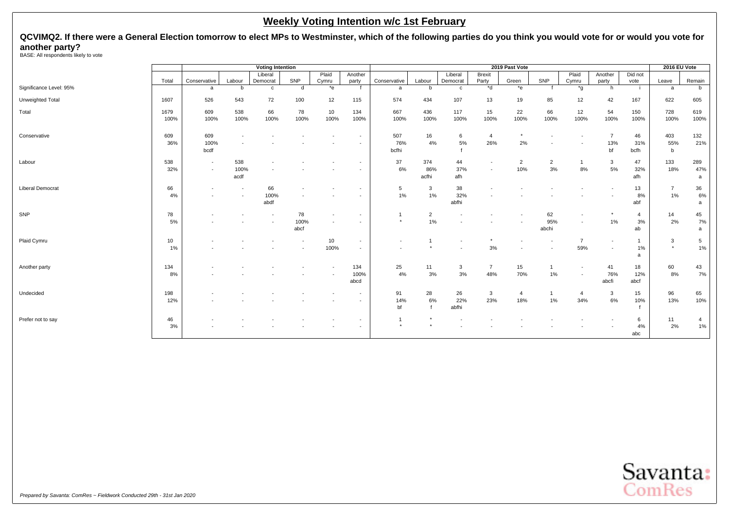**QCVIMQ2. If there were a General Election tomorrow to elect MPs to Westminster, which of the following parties do you think you would vote for or would you vote for another party?** BASE: All respondents likely to vote

|                         |              |                                                      |                                                      | <b>Voting Intention</b> |                          |                          |                                    |                          |                      |                    |                       | 2019 Past Vote        |                      |                       |                                    |                            | 2016 EU Vote         |                      |
|-------------------------|--------------|------------------------------------------------------|------------------------------------------------------|-------------------------|--------------------------|--------------------------|------------------------------------|--------------------------|----------------------|--------------------|-----------------------|-----------------------|----------------------|-----------------------|------------------------------------|----------------------------|----------------------|----------------------|
|                         |              |                                                      |                                                      | Liberal                 |                          | Plaid                    | Another                            |                          |                      | Liberal            | Brexit                |                       |                      | Plaid                 | Another                            | Did not                    |                      |                      |
|                         | Total        | Conservative                                         | Labour                                               | Democrat                | SNP                      | Cymru                    | party                              | Conservative             | Labour               | Democrat           | Party                 | Green                 | SNP                  | Cymru                 | party                              | vote                       | Leave                | Remain               |
| Significance Level: 95% |              | a                                                    | b                                                    | $\mathbf{c}$            | d                        | $*$ e                    | f                                  | a                        | b                    | $\mathbf{c}$       | $b^*$                 | $*$ e                 |                      | $*_{\mathfrak{q}}$    | h                                  | $\mathbf{i}$               | a                    | b                    |
| Unweighted Total        | 1607         | 526                                                  | 543                                                  | 72                      | 100                      | 12                       | 115                                | 574                      | 434                  | 107                | 13                    | 19                    | 85                   | 12                    | 42                                 | 167                        | 622                  | 605                  |
| Total                   | 1679<br>100% | 609<br>100%                                          | 538<br>100%                                          | 66<br>100%              | 78<br>100%               | 10<br>100%               | 134<br>100%                        | 667<br>100%              | 436<br>100%          | 117<br>100%        | 15<br>100%            | 22<br>100%            | 66<br>100%           | 12<br>100%            | 54<br>100%                         | 150<br>100%                | 728<br>100%          | 619<br>100%          |
| Conservative            | 609<br>36%   | 609<br>100%<br>bcdf                                  |                                                      |                         |                          |                          |                                    | 507<br>76%<br>bcfhi      | 16<br>4%             | 6<br>$5\%$         | $\overline{4}$<br>26% | $\star$<br>2%         |                      |                       | $\overline{7}$<br>13%<br>bf        | 46<br>31%<br>bcfh          | 403<br>55%<br>b      | 132<br>21%           |
| Labour                  | 538<br>32%   | $\overline{\phantom{a}}$<br>$\overline{\phantom{a}}$ | 538<br>100%<br>acdf                                  |                         |                          |                          | $\overline{\phantom{a}}$           | 37<br>6%                 | 374<br>86%<br>acfhi  | 44<br>37%<br>afh   | $\sim$                | $\overline{2}$<br>10% | $\overline{2}$<br>3% | 8%                    | 3<br>5%                            | 47<br>32%<br>afh           | 133<br>18%           | 289<br>47%<br>a      |
| <b>Liberal Democrat</b> | 66<br>4%     |                                                      | $\overline{\phantom{a}}$<br>$\overline{\phantom{a}}$ | 66<br>100%<br>abdf      |                          |                          | $\overline{\phantom{a}}$           | 5<br>1%                  | $\overline{3}$<br>1% | 38<br>32%<br>abfhi |                       |                       |                      |                       |                                    | 13<br>8%<br>abf            | $\overline{7}$<br>1% | 36<br>6%<br>a        |
| SNP                     | 78<br>5%     |                                                      |                                                      |                         | 78<br>100%<br>abcf       | $\overline{\phantom{a}}$ | $\overline{\phantom{a}}$           | $\star$                  | $\overline{2}$<br>1% |                    |                       |                       | 62<br>95%<br>abchi   |                       | $\star$<br>1%                      | $\overline{4}$<br>3%<br>ab | 14<br>2%             | 45<br>7%<br>a        |
| Plaid Cymru             | 10<br>1%     |                                                      |                                                      |                         | $\overline{\phantom{a}}$ | 10<br>100%               | $\overline{\phantom{a}}$<br>$\sim$ | $\overline{\phantom{a}}$ |                      |                    | $3%$                  |                       |                      | $\overline{7}$<br>59% | $\sim$<br>$\overline{\phantom{a}}$ | $\mathbf{1}$<br>$1\%$<br>a | 3<br>$\star$         | 5<br>1%              |
| Another party           | 134<br>8%    |                                                      |                                                      |                         |                          |                          | 134<br>100%<br>abcd                | 25<br>$4\%$              | 11<br>$3%$           | 3<br>$3%$          | $\overline{7}$<br>48% | 15<br>70%             | -1<br>1%             |                       | 41<br>76%<br>abcfi                 | 18<br>12%<br>abcf          | 60<br>8%             | 43<br>7%             |
| Undecided               | 198<br>12%   |                                                      |                                                      |                         |                          |                          |                                    | 91<br>14%<br>bf          | 28<br>6%             | 26<br>22%<br>abfhi | 3<br>23%              | $\overline{4}$<br>18% | -1<br>1%             | 4<br>34%              | 3<br>6%                            | 15<br>10%                  | 96<br>13%            | 65<br>10%            |
| Prefer not to say       | 46<br>3%     |                                                      |                                                      |                         |                          |                          | $\overline{\phantom{a}}$           | $\star$                  |                      |                    |                       |                       |                      |                       |                                    | 6<br>4%<br>abc             | 11<br>2%             | $\overline{4}$<br>1% |

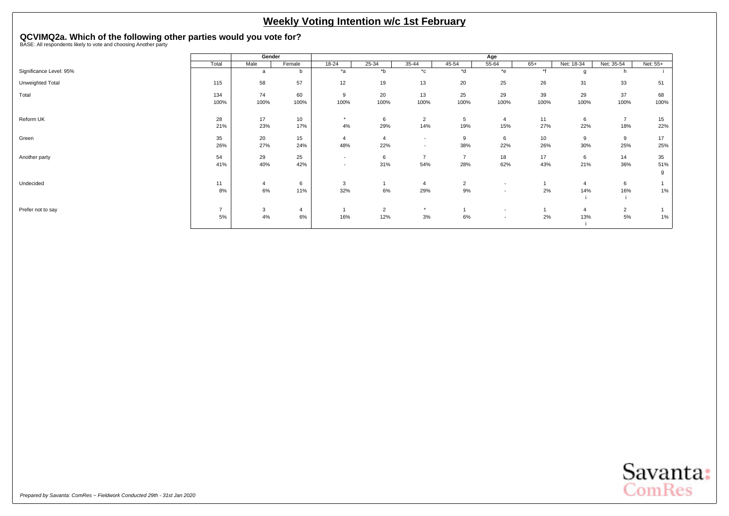# <span id="page-8-0"></span>**QCVIMQ2a. Which of the following other parties would you vote for?** BASE: All respondents likely to vote and choosing Another party

|                         |               | Gender         |        |                          |                |                          |                | Age                      |       |                |                |          |
|-------------------------|---------------|----------------|--------|--------------------------|----------------|--------------------------|----------------|--------------------------|-------|----------------|----------------|----------|
|                         | Total         | Male           | Female | 18-24                    | 25-34          | 35-44                    | 45-54          | $55 - 64$                | $65+$ | Net: 18-34     | Net: 35-54     | Net: 55+ |
| Significance Level: 95% |               | a              | b      | $*_{a}$                  | $b^*$          | $^{\star}$ c             | *d             | $*$ e                    | $*f$  | g              |                |          |
| Unweighted Total        | 115           | 58             | 57     | 12                       | 19             | 13                       | 20             | 25                       | 26    | 31             | 33             | 51       |
| Total                   | 134           | 74             | 60     | 9                        | 20             | 13                       | 25             | 29                       | 39    | 29             | 37             | 68       |
|                         | 100%          | 100%           | 100%   | 100%                     | 100%           | 100%                     | 100%           | 100%                     | 100%  | 100%           | 100%           | 100%     |
| Reform UK               | 28            | 17             | 10     | $\star$                  | 6              | $\overline{2}$           | 5              | $\overline{4}$           | 11    | 6              | $\overline{7}$ | 15       |
|                         | 21%           | 23%            | 17%    | 4%                       | 29%            | 14%                      | 19%            | 15%                      | 27%   | 22%            | 18%            | 22%      |
| Green                   | 35            | 20             | 15     | $\overline{4}$           | $\overline{4}$ | $\overline{\phantom{a}}$ | 9              | 6                        | 10    | 9              | 9              | 17       |
|                         | 26%           | 27%            | 24%    | 48%                      | 22%            | $\overline{\phantom{a}}$ | 38%            | 22%                      | 26%   | 30%            | 25%            | 25%      |
| Another party           | 54            | 29             | 25     | $\sim$                   | 6              | $\overline{7}$           | $\overline{7}$ | 18                       | 17    | 6              | 14             | 35       |
|                         | 41%           | 40%            | 42%    | $\overline{\phantom{a}}$ | 31%            | 54%                      | 28%            | 62%                      | 43%   | 21%            | 36%            | 51%      |
|                         |               |                |        |                          |                |                          |                |                          |       |                |                | g        |
| Undecided               | 11            | $\overline{4}$ | 6      | 3                        |                | $\overline{4}$           | $\overline{2}$ | $\sim$                   |       | $\overline{4}$ | 6              |          |
|                         | 8%            | 6%             | 11%    | 32%                      | 6%             | 29%                      | 9%             | $\overline{\phantom{a}}$ | 2%    | 14%            | 16%            | 1%       |
|                         |               |                |        |                          |                |                          |                |                          |       |                |                |          |
| Prefer not to say       | $\rightarrow$ | 3              | 4      |                          | $\overline{2}$ | $\star$                  |                | $\sim$                   |       | $\overline{4}$ | $\overline{2}$ |          |
|                         | 5%            | 4%             | 6%     | 16%                      | 12%            | 3%                       | 6%             | $\overline{\phantom{a}}$ | 2%    | 13%            | 5%             | 1%       |
|                         |               |                |        |                          |                |                          |                |                          |       |                |                |          |

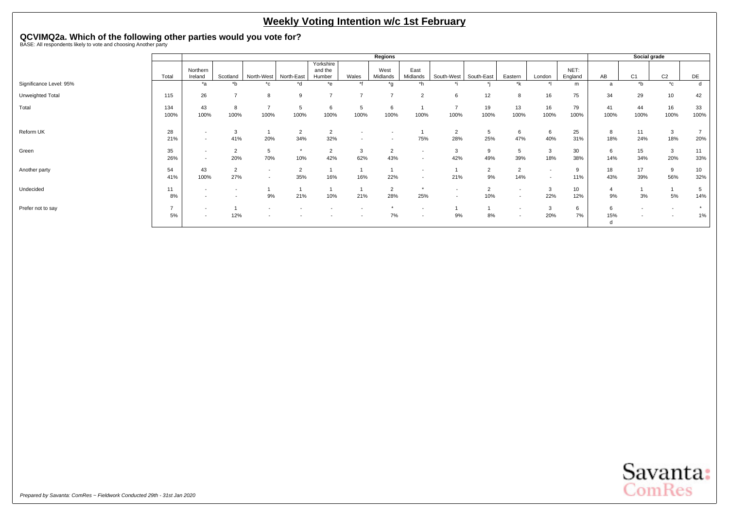# **QCVIMQ2a. Which of the following other parties would you vote for?** BASE: All respondents likely to vote and choosing Another party

|                         |             |                                                      |                       |                        |                          |                                |           | <b>Regions</b>        |                                                      |                                                      |            |                                                      |                                                      |                 |            |                                                      | Social grade          |                         |
|-------------------------|-------------|------------------------------------------------------|-----------------------|------------------------|--------------------------|--------------------------------|-----------|-----------------------|------------------------------------------------------|------------------------------------------------------|------------|------------------------------------------------------|------------------------------------------------------|-----------------|------------|------------------------------------------------------|-----------------------|-------------------------|
|                         | Total       | Northern<br>Ireland                                  | Scotland              | North-West             | North-East               | Yorkshire<br>and the<br>Humber | Wales     | West<br>Midlands      | East<br>Midlands                                     | South-West                                           | South-East | Eastern                                              | London                                               | NET:<br>England | AB         | C <sub>1</sub>                                       | C <sub>2</sub>        | DE                      |
| Significance Level: 95% |             | *a                                                   | *b                    | *c                     | *d                       | *e                             | $*4$      | *g                    | *h                                                   |                                                      |            | *k                                                   |                                                      | m               | a          | *b                                                   | $^{\star}$ c          |                         |
| Unweighted Total        | 115         | 26                                                   | $\overline{ }$        | 8                      | 9                        |                                |           | $\overline{ }$        | $\overline{2}$                                       | 6                                                    | 12         | 8                                                    | 16                                                   | 75              | 34         | 29                                                   | 10                    | 42                      |
| Total                   | 134<br>100% | 43<br>100%                                           | 8<br>100%             | $\overline{ }$<br>100% | 5<br>100%                | 6<br>100%                      | 5<br>100% | 6<br>100%             | 100%                                                 | -<br>100%                                            | 19<br>100% | 13<br>100%                                           | 16<br>100%                                           | 79<br>100%      | 41<br>100% | 44<br>100%                                           | 16<br>100%            | 33<br>100%              |
| Reform UK               | 28<br>21%   | $\overline{\phantom{a}}$<br>$\overline{\phantom{a}}$ | 3<br>41%              | 20%                    | $\overline{2}$<br>34%    | $\overline{2}$<br>32%          |           |                       | 75%                                                  | $\overline{2}$<br>28%                                | 5<br>25%   | 6<br>47%                                             | 6<br>40%                                             | 25<br>31%       | 8<br>18%   | 11<br>24%                                            | $\overline{3}$<br>18% | 20%                     |
| Green                   | 35<br>26%   | $\overline{\phantom{a}}$<br>$\overline{\phantom{a}}$ | $\overline{2}$<br>20% | 5<br>70%               | $\star$<br>10%           | 2<br>42%                       | 3<br>62%  | $\overline{2}$<br>43% |                                                      | 3<br>42%                                             | 49%        | 5<br>39%                                             | 3<br>18%                                             | 30<br>38%       | 6<br>14%   | 15<br>34%                                            | $\mathbf{3}$<br>20%   | 11<br>33%               |
| Another party           | 54<br>41%   | 43<br>100%                                           | 2<br>27%              | $\overline{a}$         | $\overline{2}$<br>35%    | 16%                            | 16%       | 22%                   | $\overline{\phantom{0}}$<br>$\overline{\phantom{a}}$ | 21%                                                  | 9%         | $\overline{2}$<br>14%                                | $\overline{\phantom{a}}$<br>$\overline{\phantom{a}}$ | 9<br>11%        | 18<br>43%  | 17<br>39%                                            | 9<br>56%              | 10 <sup>10</sup><br>32% |
| Undecided               | 11<br>8%    | $\overline{\phantom{a}}$<br>$\overline{\phantom{a}}$ |                       | 9%                     | 21%                      | 10%                            | 21%       | $\overline{2}$<br>28% | 25%                                                  | $\overline{\phantom{a}}$<br>$\overline{\phantom{a}}$ | 10%        | $\overline{\phantom{a}}$<br>$\overline{\phantom{a}}$ | 3<br>22%                                             | 10<br>12%       | 4<br>9%    | 3%                                                   | 5%                    | 14%                     |
| Prefer not to say       | ۰,<br>5%    | $\overline{\phantom{a}}$<br>$\overline{\phantom{a}}$ | 12%                   | . .                    | $\overline{\phantom{a}}$ |                                | ٠.        | 7%                    | $\overline{\phantom{a}}$                             | 9%                                                   | 8%         | $\overline{\phantom{a}}$<br>. .                      | 3<br>20%                                             | 6<br>7%         | 6<br>15%   | $\overline{\phantom{a}}$<br>$\overline{\phantom{a}}$ |                       | $\star$<br>1%           |

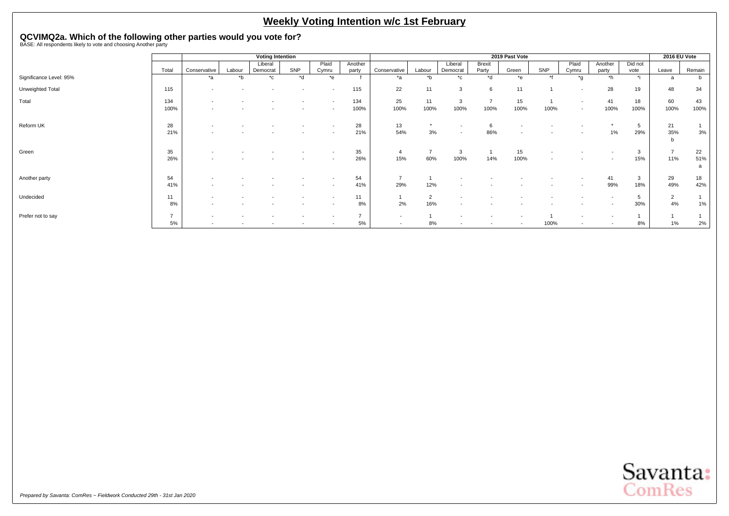# **QCVIMQ2a. Which of the following other parties would you vote for?** BASE: All respondents likely to vote and choosing Another party

|                         |               |                                                      |                          | <b>Voting Intention</b> |                          |                                                      |                  |                          |                |                                                      |                        | 2019 Past Vote           |                          |                  |                  |                 | 2016 EU Vote   |            |
|-------------------------|---------------|------------------------------------------------------|--------------------------|-------------------------|--------------------------|------------------------------------------------------|------------------|--------------------------|----------------|------------------------------------------------------|------------------------|--------------------------|--------------------------|------------------|------------------|-----------------|----------------|------------|
|                         | Total         | Conservative                                         | Labour                   | Liberal<br>Democrat     | SNP                      | Plaid<br>Cymru                                       | Another<br>party | Conservative             | Labour         | Liberal<br>Democrat                                  | Brexit<br>Party        | Green                    | SNP                      | Plaid<br>Cymru   | Another<br>party | Did not<br>vote | Leave          | Remain     |
| Significance Level: 95% |               | *a                                                   | $b^*$                    | $^{\star}$ c            | *d                       | $*_{e}$                                              |                  | $*_{a}$                  | $b^*$          | $^{\star}$ c                                         | $h^*$                  | $*_{e}$                  | $*$                      | $*_{g}$          | $*h$             | $\star$ :       | a              |            |
| Unweighted Total        | 115           | $\overline{\phantom{0}}$                             |                          |                         | $\overline{\phantom{a}}$ | $\overline{\phantom{a}}$                             | 115              | 22                       | 11             | 3                                                    | 6                      | 11                       |                          | $\sim$           | 28               | 19              | 48             | 34         |
| Total                   | 134<br>100%   | $\overline{\phantom{a}}$<br>$\overline{\phantom{a}}$ |                          |                         |                          | $\overline{\phantom{a}}$<br>$\overline{\phantom{a}}$ | 134<br>100%      | 25<br>100%               | 11<br>100%     | 3<br>100%                                            | $\overline{7}$<br>100% | 15<br>100%               | 100%                     | $\sim$<br>$\sim$ | 41<br>100%       | 18<br>100%      | 60<br>100%     | 43<br>100% |
|                         |               |                                                      |                          |                         |                          |                                                      |                  |                          |                |                                                      |                        |                          |                          |                  |                  |                 |                |            |
| Reform UK               | 28<br>21%     | $\overline{\phantom{a}}$                             |                          |                         |                          | $\overline{\phantom{a}}$                             | 28<br>21%        | 13<br>54%                | $\star$<br>3%  | $\overline{\phantom{a}}$<br>$\overline{\phantom{a}}$ | 86%                    | $\overline{\phantom{0}}$ |                          |                  | 1%               | 5<br>29%        | 21<br>35%      | 3%         |
|                         |               |                                                      |                          |                         |                          |                                                      |                  |                          |                |                                                      |                        |                          |                          |                  |                  |                 | <sub>n</sub>   |            |
| Green                   | 35            |                                                      |                          |                         |                          |                                                      | 35               | $\overline{4}$           | $\overline{7}$ | 3                                                    |                        | 15                       |                          |                  |                  | 3               | $\overline{7}$ | 22         |
|                         | 26%           |                                                      |                          |                         |                          |                                                      | 26%              | 15%                      | 60%            | 100%                                                 | 14%                    | 100%                     | $\overline{\phantom{a}}$ |                  |                  | 15%             | 11%            | 51%<br>a   |
| Another party           | 54            | $\overline{\phantom{a}}$                             |                          |                         |                          | $\overline{\phantom{a}}$                             | 54               | -                        |                |                                                      |                        |                          |                          |                  | 41               | 3               | 29             | 18         |
|                         | 41%           | $\overline{\phantom{a}}$                             |                          |                         |                          | $\overline{\phantom{a}}$                             | 41%              | 29%                      | 12%            |                                                      |                        |                          |                          |                  | 99%              | 18%             | 49%            | 42%        |
| Undecided               | 11            | $\overline{\phantom{a}}$                             |                          |                         |                          |                                                      | 11               |                          | $\overline{2}$ |                                                      |                        |                          |                          |                  | $\sim$           | 5               | $\overline{2}$ |            |
|                         | 8%            | $\overline{\phantom{a}}$                             |                          |                         |                          |                                                      | 8%               | 2%                       | 16%            | $\overline{\phantom{a}}$                             |                        |                          |                          |                  |                  | 30%             | 4%             | 1%         |
| Prefer not to say       | $\rightarrow$ |                                                      |                          |                         |                          |                                                      |                  | $\overline{a}$           |                |                                                      |                        |                          |                          |                  |                  |                 |                |            |
|                         | 5%            | $\overline{\phantom{a}}$                             | $\overline{\phantom{a}}$ |                         |                          |                                                      | 5%               | $\overline{\phantom{a}}$ | 8%             | $\overline{\phantom{a}}$                             |                        | $\overline{\phantom{0}}$ | 100%                     | $\sim$           | $\sim$           | 8%              | 1%             | 2%         |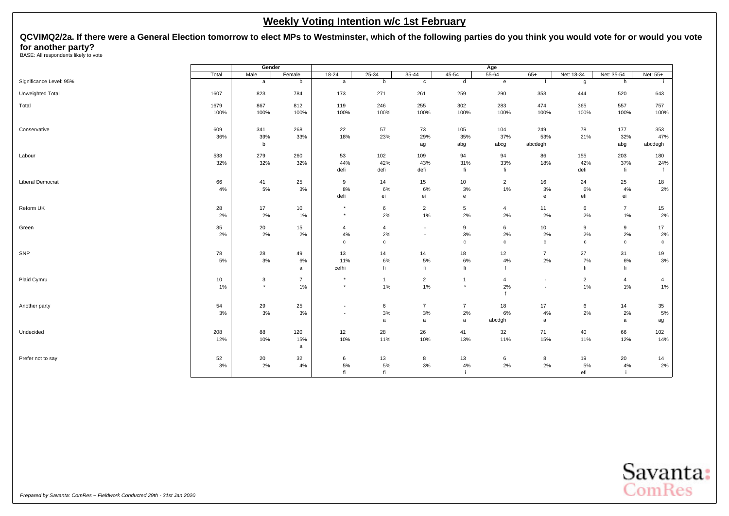<span id="page-11-0"></span>**QCVIMQ2/2a. If there were a General Election tomorrow to elect MPs to Westminster, which of the following parties do you think you would vote for or would you vote for another party?**<br>BASE: All respondents likely to vote

|                         |       | Gender       |                |                          |                |                          |                | Age            |                          |                |                  |                |
|-------------------------|-------|--------------|----------------|--------------------------|----------------|--------------------------|----------------|----------------|--------------------------|----------------|------------------|----------------|
|                         | Total | Male         | Female         | $18 - 24$                | $25 - 34$      | $35 - 44$                | 45-54          | $55 - 64$      | $65+$                    | Net: 18-34     | Net: 35-54       | Net: 55+       |
| Significance Level: 95% |       | $\mathsf{a}$ | b              | a                        | b              | $\mathtt{c}$             | d              | $\mathbf{e}$   | f                        | g              | h                | - 11           |
| Unweighted Total        | 1607  | 823          | 784            | 173                      | 271            | 261                      | 259            | 290            | 353                      | 444            | 520              | 643            |
| Total                   | 1679  | 867          | 812            | 119                      | 246            | 255                      | 302            | 283            | 474                      | 365            | 557              | 757            |
|                         | 100%  | 100%         | 100%           | 100%                     | 100%           | 100%                     | 100%           | 100%           | 100%                     | 100%           | 100%             | 100%           |
| Conservative            | 609   | 341          | 268            | 22                       | 57             | 73                       | 105            | 104            | 249                      | 78             | 177              | 353            |
|                         | 36%   | 39%<br>b     | 33%            | 18%                      | 23%            | 29%<br>ag                | 35%<br>abg     | 37%<br>abcg    | 53%<br>abcdegh           | 21%            | 32%<br>abg       | 47%<br>abcdegh |
| Labour                  | 538   | 279          | 260            | 53                       | 102            | 109                      | 94             | 94             | 86                       | 155            | 203              | 180            |
|                         | 32%   | 32%          | 32%            | 44%                      | 42%            | 43%                      | 31%            | 33%            | 18%                      | 42%            | 37%              | 24%            |
|                         |       |              |                | defi                     | defi           | defi                     | fi             | fi             |                          | defi           | fi               |                |
| <b>Liberal Democrat</b> | 66    | 41           | 25             | 9                        | 14             | 15                       | 10             | $\overline{2}$ | 16                       | 24             | 25               | 18             |
|                         | 4%    | 5%           | 3%             | 8%                       | 6%             | 6%                       | 3%             | 1%             | $3%$                     | 6%             | 4%               | 2%             |
|                         |       |              |                | defi                     | ei             | ei                       | $\mathbf{e}$   |                | $\mathbf{e}$             | efi            | ei               |                |
| Reform UK               | 28    | 17           | 10             | $\star$                  | 6              | $\overline{2}$           | 5              | $\overline{4}$ | 11                       | 6              | $\overline{7}$   | 15             |
|                         | 2%    | 2%           | 1%             | $\star$                  | 2%             | 1%                       | 2%             | 2%             | 2%                       | 2%             | 1%               | 2%             |
| Green                   | 35    | 20           | 15             | $\overline{4}$           | $\overline{4}$ | $\overline{\phantom{a}}$ | 9              | 6              | 10                       | 9              | $\boldsymbol{9}$ | 17             |
|                         | 2%    | 2%           | 2%             | 4%                       | 2%             | $\overline{\phantom{a}}$ | 3%             | 2%             | 2%                       | 2%             | 2%               | 2%             |
|                         |       |              |                | $\mathbf{C}$             | c              |                          | $\mathbf c$    | $\mathbf c$    | $\mathbf{C}$             | c              | $\mathbf{C}$     | $\mathbf{C}$   |
| SNP                     | 78    | 28           | 49             | 13                       | 14             | 14                       | 18             | 12             | $\overline{7}$           | 27             | 31               | 19             |
|                         | 5%    | 3%           | 6%             | 11%                      | 6%             | 5%                       | 6%             | 4%             | 2%                       | 7%             | 6%               | 3%             |
|                         |       |              | a              | cefhi                    | fi             | fi                       | fi             |                |                          | fi             | fi               |                |
| Plaid Cymru             | 10    | 3            | $\overline{7}$ | $\star$                  | $\mathbf{1}$   | $\overline{2}$           | $\mathbf{1}$   | $\overline{4}$ | $\overline{\phantom{a}}$ | $\overline{2}$ | $\overline{4}$   | $\overline{4}$ |
|                         | 1%    | $\star$      | 1%             | $\star$                  | 1%             | 1%                       | $\star$        | 2%             | $\overline{\phantom{a}}$ | 1%             | 1%               | 1%             |
| Another party           | 54    | 29           | 25             | $\overline{\phantom{a}}$ | 6              | $\overline{7}$           | $\overline{7}$ | 18             | 17                       | 6              | 14               | 35             |
|                         | 3%    | 3%           | 3%             | $\blacksquare$           | 3%             | 3%                       | 2%             | 6%             | $4\%$                    | 2%             | 2%               | 5%             |
|                         |       |              |                |                          | a              | a                        | a              | abcdgh         | a                        |                | a                | ag             |
| Undecided               | 208   | 88           | 120            | 12                       | 28             | 26                       | 41             | 32             | 71                       | 40             | 66               | 102            |
|                         | 12%   | 10%          | 15%<br>a       | 10%                      | 11%            | 10%                      | 13%            | 11%            | 15%                      | 11%            | 12%              | 14%            |
| Prefer not to say       | 52    | 20           | 32             | 6                        | 13             | 8                        | 13             | 6              | 8                        | 19             | 20               | 14             |
|                         | 3%    | 2%           | 4%             | 5%                       | $5\%$          | 3%                       | 4%             | $2\%$          | 2%                       | 5%             | 4%               | 2%             |
|                         |       |              |                | fi                       | fi             |                          |                |                |                          | efi            |                  |                |
|                         |       |              |                |                          |                |                          |                |                |                          |                |                  |                |

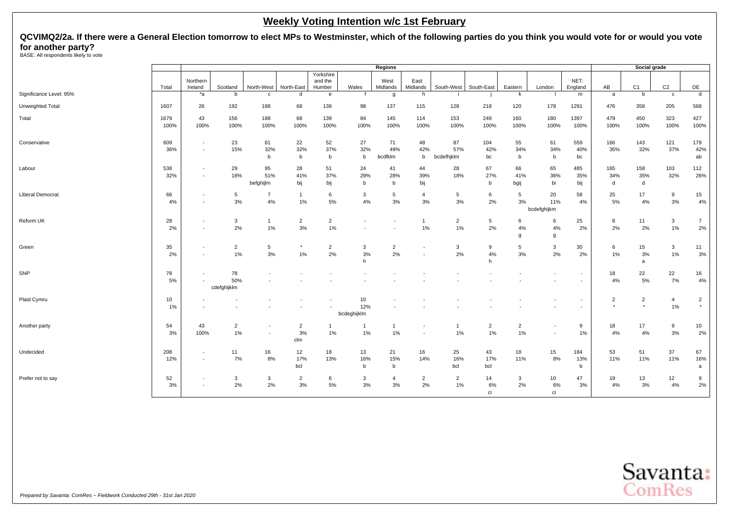**QCVIMQ2/2a. If there were a General Election tomorrow to elect MPs to Westminster, which of the following parties do you think you would vote for or would you vote for another party?**<br>BASE: All respondents likely to vote

|                         |              |                                                      |                          |                          |                             |                                |                          | Regions              |                      |                         |                      |                          |                                                      |                          |                           | Social grade              |                |                            |
|-------------------------|--------------|------------------------------------------------------|--------------------------|--------------------------|-----------------------------|--------------------------------|--------------------------|----------------------|----------------------|-------------------------|----------------------|--------------------------|------------------------------------------------------|--------------------------|---------------------------|---------------------------|----------------|----------------------------|
|                         | Total        | Northern<br>Ireland                                  | Scotland                 | North-West               | North-East                  | Yorkshire<br>and the<br>Humber | Wales                    | West<br>Midlands     | East<br>Midlands     | South-West              | South-East           | Eastern                  | London                                               | NET:<br>England          | AB                        | C <sub>1</sub>            | C <sub>2</sub> | DE                         |
| Significance Level: 95% |              | $*a$                                                 | b                        | $\mathbf{c}$             | d                           | e                              | $\mathsf{f}$             | $\mathfrak{g}$       | h                    |                         |                      | k                        |                                                      | m                        | a                         | b                         | $\mathbf{C}$   | $\overline{d}$             |
| Unweighted Total        | 1607         | 26                                                   | 192                      | 188                      | 68                          | 139                            | 98                       | 137                  | 115                  | 128                     | 218                  | 120                      | 178                                                  | 1291                     | 476                       | 358                       | 205            | 568                        |
| Total                   | 1679<br>100% | 43<br>100%                                           | 156<br>100%              | 188<br>100%              | 68<br>100%                  | 139<br>100%                    | 84<br>100%               | 145<br>100%          | 114<br>100%          | 153<br>100%             | 249<br>100%          | 160<br>100%              | 180<br>100%                                          | 1397<br>100%             | 479<br>100%               | 450<br>100%               | 323<br>100%    | 427<br>100%                |
| Conservative            | 609<br>36%   | $\overline{\phantom{a}}$<br>$\overline{\phantom{a}}$ | 23<br>15%                | 61<br>32%<br>b           | 22<br>32%<br>$\mathsf b$    | 52<br>37%<br>b                 | 27<br>32%<br>b           | 71<br>49%<br>bcdfklm | 48<br>42%<br>b       | 87<br>57%<br>bcdefhjklm | 104<br>42%<br>bc     | 55<br>34%<br>b           | 61<br>34%<br>b                                       | 559<br>40%<br>bc         | 166<br>35%                | 143<br>32%                | 121<br>37%     | 179<br>42%<br>ab           |
| Labour                  | 538<br>32%   | $\overline{\phantom{a}}$<br>$\overline{\phantom{a}}$ | 29<br>18%                | 95<br>51%<br>befghijlm   | 28<br>41%<br>bij            | 51<br>37%<br>bij               | 24<br>29%<br>b           | 41<br>28%<br>b       | 44<br>39%<br>bij     | 28<br>18%               | 67<br>27%<br>b       | 66<br>41%<br>bgij        | 65<br>36%<br>bi                                      | 485<br>35%<br>bij        | 165<br>34%<br>d           | 158<br>35%<br>d           | 103<br>32%     | 112<br>26%                 |
| <b>Liberal Democrat</b> | 66<br>4%     | $\overline{\phantom{a}}$<br>÷                        | 5<br>3%                  | $\overline{7}$<br>4%     | $\mathbf 1$<br>1%           | 6<br>5%                        | 3<br>4%                  | 5<br>3%              | 4<br>3%              | 5<br>3%                 | 6<br>2%              | 5<br>3%                  | 20<br>11%<br>bcdefghijkm                             | 58<br>4%                 | 25<br>5%                  | 17<br>4%                  | 9<br>3%        | 15<br>4%                   |
| Reform UK               | 28<br>2%     | $\overline{\phantom{a}}$<br>$\overline{\phantom{a}}$ | 3<br>2%                  | $\mathbf{1}$<br>1%       | $\overline{2}$<br>3%        | $\overline{2}$<br>$1\%$        | $\overline{\phantom{a}}$ |                      | $\mathbf{1}$<br>1%   | $\overline{2}$<br>1%    | 5<br>2%              | 6<br>4%<br>g             | 6<br>4%<br>g                                         | 25<br>2%                 | 8<br>2%                   | 11<br>2%                  | 3<br>1%        | $\overline{7}$<br>2%       |
| Green                   | 35<br>2%     | $\overline{\phantom{a}}$<br>$\overline{\phantom{a}}$ | $\overline{2}$<br>1%     | 5<br>3%                  | 1%                          | $\overline{2}$<br>2%           | 3<br>3%<br>h             | $\overline{2}$<br>2% |                      | 3<br>2%                 | 9<br>4%<br>h         | 5<br>3%                  | $\mathbf{3}$<br>2%                                   | 30<br>2%                 | 6<br>1%                   | 15<br>3%<br>a             | 3<br>1%        | 11<br>3%                   |
| SNP                     | 78<br>5%     | $\overline{\phantom{a}}$                             | 78<br>50%<br>cdefghijklm |                          |                             |                                |                          |                      |                      |                         |                      | $\overline{\phantom{a}}$ |                                                      | $\overline{\phantom{a}}$ | 18<br>4%                  | 22<br>5%                  | 22<br>7%       | 16<br>4%                   |
| Plaid Cymru             | 10<br>1%     |                                                      |                          |                          |                             |                                | 10<br>12%<br>bcdeghijklm |                      |                      |                         |                      |                          |                                                      |                          | $\overline{2}$<br>$\star$ | $\overline{2}$<br>$\star$ | 4<br>1%        | $\overline{2}$<br>$^\star$ |
| Another party           | 54<br>3%     | 43<br>100%                                           | $\overline{2}$<br>1%     | $\overline{\phantom{a}}$ | $\overline{2}$<br>3%<br>clm | -1<br>$1\%$                    | $\mathbf{1}$<br>1%       | -1<br>1%             |                      | $\overline{1}$<br>1%    | $\overline{2}$<br>1% | $\overline{2}$<br>1%     | $\overline{\phantom{a}}$<br>$\overline{\phantom{a}}$ | 9<br>1%                  | 18<br>4%                  | 17<br>4%                  | 9<br>3%        | 10<br>2%                   |
| Undecided               | 208<br>12%   | $\sim$<br>$\overline{\phantom{a}}$                   | 11<br>7%                 | 16<br>8%                 | 12<br>17%<br>bcl            | 18<br>13%                      | 13<br>16%<br>b           | 21<br>15%<br>b       | 16<br>14%            | 25<br>16%<br>bcl        | 43<br>17%<br>bcl     | 18<br>11%                | 15<br>8%                                             | 184<br>13%<br>b          | 53<br>11%                 | 51<br>11%                 | 37<br>11%      | 67<br>16%<br>a             |
| Prefer not to say       | 52<br>3%     | $\overline{\phantom{a}}$<br>$\overline{\phantom{a}}$ | 3<br>2%                  | $\mathbf{3}$<br>2%       | $\sqrt{2}$<br>3%            | 6<br>5%                        | 3<br>3%                  | $\overline{a}$<br>3% | $\overline{2}$<br>2% | $\overline{2}$<br>1%    | 14<br>6%<br>ci       | $\mathbf{3}$<br>2%       | 10<br>$6\%$<br>ci                                    | 47<br>3%                 | 19<br>4%                  | 13<br>3%                  | 12<br>4%       | 9<br>2%                    |

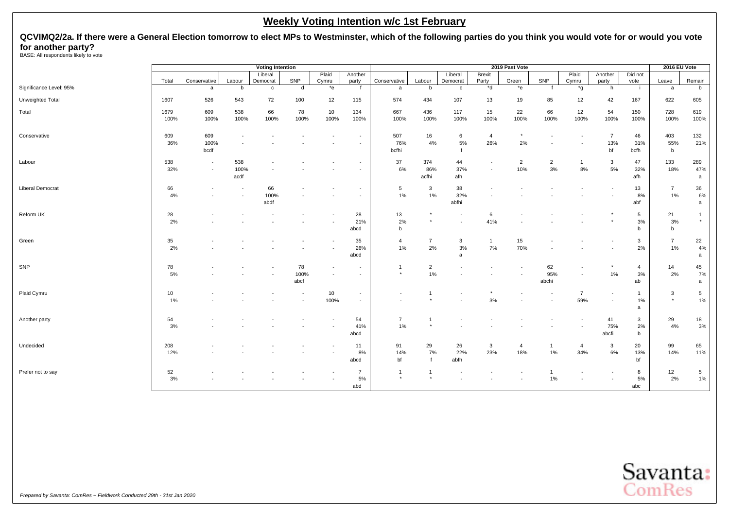**QCVIMQ2/2a. If there were a General Election tomorrow to elect MPs to Westminster, which of the following parties do you think you would vote for or would you vote for another party?**<br>BASE: All respondents likely to vote

|                         |       |                          |                | <b>Voting Intention</b> |      |         |                          |                |                |              |                | 2019 Past Vote |                |                |                          |                | 2016 EU Vote   |              |
|-------------------------|-------|--------------------------|----------------|-------------------------|------|---------|--------------------------|----------------|----------------|--------------|----------------|----------------|----------------|----------------|--------------------------|----------------|----------------|--------------|
|                         |       |                          |                | Liberal                 |      | Plaid   | Another                  |                |                | Liberal      | <b>Brexit</b>  |                |                | Plaid          | Another                  | Did not        |                |              |
|                         | Total | Conservative             | Labour         | Democrat                | SNP  | Cymru   | party                    | Conservative   | Labour         | Democrat     | Party<br>$b^*$ | Green          | SNP            | Cymru          | party                    | vote           | Leave          | Remain       |
| Significance Level: 95% |       | a                        | b              | $\mathbf c$             | d    | $*_{e}$ |                          | a              | b              | $\mathtt{c}$ |                | $*$ e          |                | *g             | h                        | -i             | a              | b            |
| Unweighted Total        | 1607  | 526                      | 543            | 72                      | 100  | 12      | 115                      | 574            | 434            | 107          | 13             | 19             | 85             | 12             | 42                       | 167            | 622            | 605          |
| Total                   | 1679  | 609                      | 538            | 66                      | 78   | 10      | 134                      | 667            | 436            | 117          | 15             | 22             | 66             | 12             | 54                       | 150            | 728            | 619          |
|                         | 100%  | 100%                     | 100%           | 100%                    | 100% | 100%    | 100%                     | 100%           | 100%           | 100%         | 100%           | 100%           | 100%           | 100%           | 100%                     | 100%           | 100%           | 100%         |
| Conservative            | 609   | 609                      | $\blacksquare$ |                         |      |         | ٠                        | 507            | 16             | 6            | $\overline{4}$ |                |                |                | $\overline{7}$           | 46             | 403            | 132          |
|                         | 36%   | 100%                     |                |                         |      |         |                          | 76%            | 4%             | $5\%$        | 26%            | 2%             |                |                | 13%                      | 31%            | 55%            | 21%          |
|                         |       | bcdf                     |                |                         |      |         |                          | bcfhi          |                | $\mathbf{f}$ |                |                |                |                | bf                       | bcfh           | b              |              |
| Labour                  | 538   | $\overline{\phantom{a}}$ | 538            |                         |      |         |                          | 37             | 374            | 44           |                | $\overline{2}$ | $\overline{2}$ | $\mathbf{1}$   | 3                        | 47             | 133            | 289          |
|                         | 32%   | $\overline{\phantom{a}}$ | 100%           |                         |      |         |                          | 6%             | 86%            | 37%          |                | 10%            | 3%             | 8%             | 5%                       | 32%            | 18%            | 47%          |
|                         |       |                          | acdf           |                         |      |         |                          |                | acfhi          | afh          |                |                |                |                |                          | afh            |                | a            |
| <b>Liberal Democrat</b> | 66    |                          | $\blacksquare$ | 66                      |      |         | $\overline{\phantom{a}}$ | 5              | 3              | 38           |                |                |                |                |                          | 13             | $\overline{7}$ | 36           |
|                         | 4%    |                          |                | 100%<br>abdf            |      |         |                          | 1%             | 1%             | 32%<br>abfhi |                |                |                |                |                          | 8%<br>abf      | 1%             | 6%<br>a      |
| Reform UK               | 28    |                          |                |                         |      |         | 28                       | 13             |                |              | 6              |                |                |                |                          | 5              | 21             | 1            |
|                         | 2%    |                          |                |                         |      |         | 21%                      | 2%             |                |              | 41%            |                |                |                |                          | 3%             | 3%             | $^{\star}$   |
|                         |       |                          |                |                         |      |         | abcd                     | b              |                |              |                |                |                |                |                          | b              | b              |              |
| Green                   | 35    |                          |                |                         |      |         | 35                       | $\overline{4}$ | $\overline{7}$ | 3            | $\overline{1}$ | 15             |                |                |                          | 3              | $\overline{7}$ | $22\,$       |
|                         | 2%    |                          |                |                         |      |         | 26%                      | 1%             | 2%             | 3%           | 7%             | 70%            |                |                |                          | 2%             | 1%             | 4%           |
|                         |       |                          |                |                         |      |         | abcd                     |                |                | a            |                |                |                |                |                          |                |                | $\mathsf{a}$ |
| SNP                     | 78    |                          |                |                         | 78   |         | $\overline{\phantom{a}}$ | 1              | $\overline{2}$ |              |                |                | 62             |                |                          | $\overline{4}$ | 14             | 45           |
|                         | 5%    |                          |                |                         | 100% |         |                          | $\star$        | 1%             |              |                |                | 95%            |                | 1%                       | 3%             | 2%             | 7%           |
|                         |       |                          |                |                         | abcf |         |                          |                |                |              |                |                | abchi          |                |                          | ab             |                | $\mathsf a$  |
| Plaid Cymru             | 10    |                          |                |                         |      | 10      | $\overline{\phantom{a}}$ |                | -1             |              |                |                |                | $\overline{7}$ | $\overline{\phantom{a}}$ | $\mathbf{1}$   | 3              | $\sqrt{5}$   |
|                         | 1%    |                          |                |                         |      | 100%    | $\sim$                   |                |                |              | 3%             |                |                | 59%            | $\blacksquare$           | 1%             | $\star$        | 1%           |
|                         |       |                          |                |                         |      |         |                          |                |                |              |                |                |                |                |                          | a              |                |              |
| Another party           | 54    |                          |                |                         |      |         | 54                       | $\overline{7}$ | -1             |              |                |                |                |                | 41                       | 3              | 29             | 18           |
|                         | 3%    |                          |                |                         |      |         | 41%                      | 1%             |                |              |                |                |                |                | 75%                      | 2%             | 4%             | 3%           |
|                         |       |                          |                |                         |      |         | abcd                     |                |                |              |                |                |                |                | abcfi                    | b              |                |              |
| Undecided               | 208   |                          |                |                         |      |         | 11                       | 91             | 29             | 26           | 3              | $\overline{4}$ |                | 4              | 3                        | 20             | 99             | 65           |
|                         | 12%   |                          |                |                         |      |         | 8%                       | 14%            | 7%             | 22%          | 23%            | 18%            | 1%             | 34%            | 6%                       | 13%            | 14%            | 11%          |
|                         |       |                          |                |                         |      |         | abcd                     | bf             |                | abfh         |                |                |                |                |                          | bf             |                |              |
| Prefer not to say       | 52    |                          |                |                         |      |         | $\overline{7}$           |                |                |              |                |                |                |                |                          | 8              | 12             | $\sqrt{5}$   |
|                         | 3%    |                          |                |                         |      |         | 5%                       | $^\star$       |                |              |                |                | 1%             |                |                          | 5%             | 2%             | 1%           |
|                         |       |                          |                |                         |      |         | abd                      |                |                |              |                |                |                |                |                          | abc            |                |              |

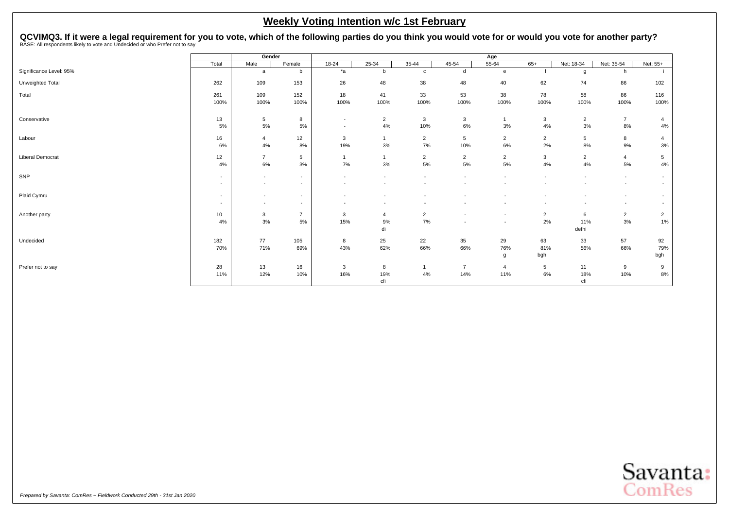<span id="page-14-0"></span>QCVIMQ3. If it were a legal requirement for you to vote, which of the following parties do you think you would vote for or would you vote for another party?<br>BASE: All respondents likely to vote and Undecided or who Prefer

|                         |                                    | Gender                                               |                                                      |                                                      |                |                                                      |                          | Age                      |                                                      |                |                                                      |                                                      |
|-------------------------|------------------------------------|------------------------------------------------------|------------------------------------------------------|------------------------------------------------------|----------------|------------------------------------------------------|--------------------------|--------------------------|------------------------------------------------------|----------------|------------------------------------------------------|------------------------------------------------------|
|                         | Total                              | Male                                                 | Female                                               | $18 - 24$                                            | 25-34          | 35-44                                                | 45-54                    | $55 - 64$                | $65+$                                                | Net: 18-34     | Net: 35-54                                           | Net: 55+                                             |
| Significance Level: 95% |                                    | a                                                    | b                                                    | $*a$                                                 | b              | $\mathbf{c}$                                         | d                        | e                        |                                                      | g              | h                                                    |                                                      |
| Unweighted Total        | 262                                | 109                                                  | 153                                                  | 26                                                   | 48             | 38                                                   | 48                       | 40                       | 62                                                   | 74             | 86                                                   | 102                                                  |
| Total                   | 261                                | 109                                                  | 152                                                  | 18                                                   | 41             | 33                                                   | 53                       | 38                       | 78                                                   | 58             | 86                                                   | 116                                                  |
|                         | 100%                               | 100%                                                 | 100%                                                 | 100%                                                 | 100%           | 100%                                                 | 100%                     | 100%                     | 100%                                                 | 100%           | 100%                                                 | 100%                                                 |
| Conservative            | 13                                 | $\,$ 5 $\,$                                          | 8                                                    | $\sim$                                               | $\overline{2}$ | $\mathbf{3}$                                         | $\mathbf{3}$             | 1                        | 3                                                    | $\overline{2}$ | $\overline{7}$                                       | 4                                                    |
|                         | 5%                                 | 5%                                                   | 5%                                                   | $\overline{\phantom{a}}$                             | 4%             | 10%                                                  | $6\%$                    | 3%                       | 4%                                                   | 3%             | 8%                                                   | $4\%$                                                |
| Labour                  | 16                                 | 4                                                    | 12                                                   | 3                                                    | $\mathbf{1}$   | $\overline{2}$                                       | 5                        | $\overline{2}$           | $\overline{2}$                                       | 5              | 8                                                    | 4                                                    |
|                         | 6%                                 | 4%                                                   | 8%                                                   | 19%                                                  | 3%             | 7%                                                   | 10%                      | 6%                       | 2%                                                   | 8%             | 9%                                                   | 3%                                                   |
| Liberal Democrat        | 12                                 | $\overline{7}$                                       | 5                                                    | $\overline{1}$                                       | -1             | $\overline{2}$<br>$5\%$                              | $\overline{2}$           | $\overline{2}$           | 3                                                    | $\overline{2}$ | $\overline{4}$                                       | 5                                                    |
|                         | 4%                                 | 6%                                                   | 3%                                                   | 7%                                                   | 3%             |                                                      | 5%                       | 5%                       | 4%                                                   | 4%             | 5%                                                   | 4%                                                   |
| SNP                     | $\sim$<br>$\overline{\phantom{a}}$ | $\overline{\phantom{a}}$<br>$\overline{\phantom{a}}$ | $\overline{\phantom{a}}$<br>$\overline{\phantom{a}}$ | $\overline{\phantom{a}}$<br>$\overline{\phantom{a}}$ | ٠              | $\overline{\phantom{a}}$<br>$\overline{\phantom{a}}$ | $\overline{\phantom{a}}$ |                          | $\overline{\phantom{a}}$<br>$\overline{\phantom{a}}$ | ٠              | $\overline{\phantom{a}}$<br>$\overline{\phantom{a}}$ | $\overline{\phantom{a}}$<br>$\overline{\phantom{a}}$ |
|                         |                                    |                                                      |                                                      |                                                      |                |                                                      |                          |                          |                                                      |                |                                                      |                                                      |
| Plaid Cymru             | $\sim$<br>$\sim$                   | $\overline{\phantom{a}}$<br>$\overline{\phantom{a}}$ | $\sim$<br>$\overline{\phantom{a}}$                   |                                                      |                | $\overline{\phantom{a}}$                             |                          |                          |                                                      |                | $\overline{\phantom{a}}$                             | $\overline{\phantom{a}}$<br>$\overline{\phantom{a}}$ |
| Another party           | 10                                 | 3                                                    | $\overline{7}$                                       | 3                                                    | 4              | $\overline{2}$                                       |                          | $\overline{\phantom{a}}$ | $\overline{2}$                                       | 6              | $\overline{2}$                                       | $\overline{2}$                                       |
|                         | 4%                                 | 3%                                                   | 5%                                                   | 15%                                                  | 9%             | 7%                                                   | $\overline{\phantom{a}}$ | $\overline{\phantom{a}}$ | 2%                                                   | 11%            | 3%                                                   | 1%                                                   |
|                         |                                    |                                                      |                                                      |                                                      | di             |                                                      |                          |                          |                                                      | defhi          |                                                      |                                                      |
| Undecided               | 182                                | 77                                                   | 105                                                  | 8                                                    | 25             | 22                                                   | 35                       | 29                       | 63                                                   | 33             | 57                                                   | 92                                                   |
|                         | 70%                                | 71%                                                  | 69%                                                  | 43%                                                  | 62%            | 66%                                                  | 66%                      | 76%<br>g                 | 81%<br>bgh                                           | 56%            | 66%                                                  | 79%<br>bgh                                           |
|                         |                                    |                                                      |                                                      |                                                      |                |                                                      |                          |                          |                                                      |                |                                                      |                                                      |
| Prefer not to say       | 28<br>11%                          | 13<br>12%                                            | 16<br>10%                                            | $\mathbf{3}$<br>16%                                  | 8<br>19%       | $\mathbf{1}$<br>4%                                   | $\overline{7}$<br>14%    | $\overline{4}$<br>11%    | 5<br>6%                                              | 11<br>18%      | 9<br>10%                                             | 9<br>8%                                              |
|                         |                                    |                                                      |                                                      |                                                      | cfi            |                                                      |                          |                          |                                                      | cfi            |                                                      |                                                      |

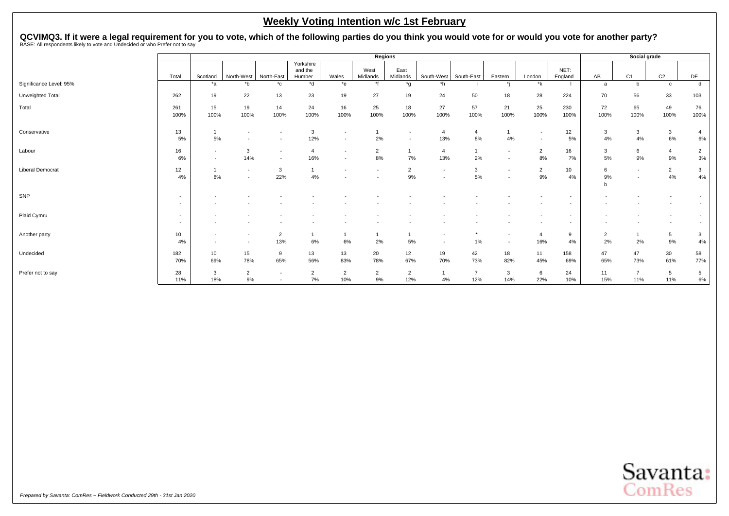QCVIMQ3. If it were a legal requirement for you to vote, which of the following parties do you think you would vote for or would you vote for another party?<br>BASE: All respondents likely to vote and Undecided or who Prefer

|                         |                          | Regions                  |                |                          |                      |                          |                          |                          |                          |                |                          |                          |         |                | Social grade             |                 |                |
|-------------------------|--------------------------|--------------------------|----------------|--------------------------|----------------------|--------------------------|--------------------------|--------------------------|--------------------------|----------------|--------------------------|--------------------------|---------|----------------|--------------------------|-----------------|----------------|
|                         |                          |                          |                |                          | Yorkshire<br>and the |                          | West                     | East                     |                          |                |                          |                          | NET:    |                |                          |                 |                |
|                         | Total                    | Scotland                 | North-West     | North-East               | Humber               | Wales                    | Midlands<br>$\star$      | Midlands                 | South-West               | South-East     | Eastern                  | London                   | England | AB             | C <sub>1</sub>           | C <sub>2</sub>  | DE             |
| Significance Level: 95% |                          | *a                       | *b             | $^{\star}$ c             | *d                   | $*$ e                    |                          | *g                       | $*h$                     |                |                          | *k                       |         | a              | b                        | $\mathbf c$     | d              |
| Unweighted Total        | 262                      | 19                       | 22             | 13                       | 23                   | 19                       | 27                       | 19                       | 24                       | 50             | 18                       | 28                       | 224     | 70             | 56                       | 33              | 103            |
| Total                   | 261                      | 15                       | 19             | 14                       | 24                   | 16                       | 25                       | 18                       | 27                       | 57             | 21                       | 25                       | 230     | 72             | 65                       | 49              | 76             |
|                         | 100%                     | 100%                     | 100%           | 100%                     | 100%                 | 100%                     | 100%                     | 100%                     | 100%                     | 100%           | 100%                     | 100%                     | 100%    | 100%           | 100%                     | 100%            | 100%           |
| Conservative            | 13                       |                          |                |                          | 3                    | $\overline{\phantom{a}}$ |                          | $\overline{\phantom{a}}$ | 4                        | $\overline{4}$ |                          | $\overline{\phantom{a}}$ | 12      | 3              | 3                        | $\mathbf{3}$    |                |
|                         | 5%                       | 5%                       |                |                          | 12%                  | $\overline{\phantom{a}}$ | 2%                       | $\overline{\phantom{a}}$ | 13%                      | 8%             | 4%                       | $\overline{\phantom{a}}$ | 5%      | 4%             | 4%                       | 6%              | 6%             |
| Labour                  | 16                       | $\overline{a}$           | 3              | $\overline{\phantom{a}}$ | $\overline{4}$       | $\overline{\phantom{a}}$ | $\overline{2}$           |                          | 4                        |                | $\overline{\phantom{0}}$ | $\overline{2}$           | 16      | 3              | 6                        | $\overline{4}$  | $\overline{2}$ |
|                         | 6%                       | $\overline{\phantom{a}}$ | 14%            | $\overline{\phantom{a}}$ | 16%                  | $\overline{\phantom{a}}$ | 8%                       | 7%                       | 13%                      | 2%             |                          | 8%                       | 7%      | 5%             | 9%                       | 9%              | 3%             |
| <b>Liberal Democrat</b> | 12                       |                          | $\sim$         | 3                        |                      | $\overline{\phantom{a}}$ | $\overline{\phantom{a}}$ | $\overline{2}$           | $\overline{\phantom{a}}$ | 3              | $\overline{\phantom{a}}$ | $\overline{2}$           | 10      | 6              | $\overline{\phantom{a}}$ | $\overline{2}$  | 3              |
|                         | 4%                       | 8%                       |                | 22%                      | 4%                   |                          |                          | 9%                       | ۰                        | 5%             |                          | 9%                       | 4%      | 9%             |                          | 4%              | 4%             |
|                         |                          |                          |                |                          |                      |                          |                          |                          |                          |                |                          |                          |         |                |                          |                 |                |
| SNP                     | $\overline{\phantom{a}}$ |                          |                |                          |                      |                          |                          |                          |                          |                |                          |                          |         |                |                          |                 |                |
|                         | $\overline{\phantom{a}}$ |                          |                |                          |                      |                          |                          |                          |                          |                |                          |                          |         |                |                          |                 |                |
| Plaid Cymru             | $\overline{\phantom{a}}$ |                          |                |                          |                      |                          |                          |                          |                          |                |                          |                          |         |                |                          |                 |                |
|                         | $\overline{\phantom{a}}$ |                          |                |                          |                      |                          |                          |                          |                          |                |                          |                          |         |                |                          |                 |                |
| Another party           | 10                       | $\overline{\phantom{a}}$ |                | $\overline{2}$           |                      |                          |                          |                          |                          |                |                          | $\overline{4}$           | 9       | $\overline{2}$ |                          | 5               | 3              |
|                         | 4%                       |                          |                | 13%                      | $6\%$                | 6%                       | 2%                       | 5%                       |                          | 1%             |                          | 16%                      | 4%      | 2%             | 2%                       | 9%              | 4%             |
| Undecided               | 182                      | 10                       | 15             | 9                        | 13                   | 13                       | 20                       | 12                       | 19                       | 42             | 18                       | 11                       | 158     | 47             | 47                       | 30 <sup>°</sup> | 58             |
|                         | 70%                      | 69%                      | 78%            | 65%                      | 56%                  | 83%                      | 78%                      | 67%                      | 70%                      | 73%            | 82%                      | 45%                      | 69%     | 65%            | 73%                      | 61%             | 77%            |
| Prefer not to say       | 28                       | 3                        | $\overline{2}$ | $\overline{\phantom{a}}$ | $\overline{2}$       | $\overline{2}$           | $\overline{2}$           | $\overline{2}$           | 1                        | 7              | 3                        | 6                        | 24      | 11             |                          | $5\overline{)}$ | 5              |
|                         | 11%                      | 18%                      | 9%             |                          | 7%                   | 10%                      | 9%                       | 12%                      | 4%                       | 12%            | 14%                      | 22%                      | 10%     | 15%            | 11%                      | 11%             | 6%             |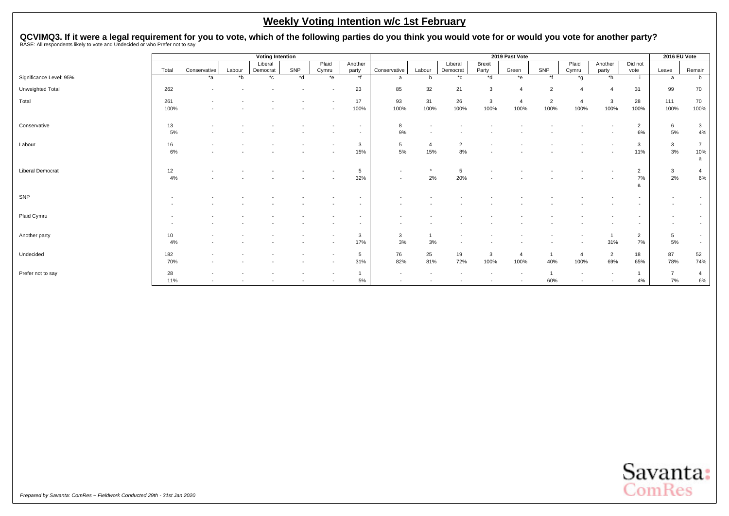QCVIMQ3. If it were a legal requirement for you to vote, which of the following parties do you think you would vote for or would you vote for another party?<br>BASE: All respondents likely to vote and Undecided or who Prefer

|                         |                          |              |        |              |       |                          |          | 2019 Past Vote |                |              |               |                | 2016 EU Vote   |       |                          |                          |                          |                |
|-------------------------|--------------------------|--------------|--------|--------------|-------|--------------------------|----------|----------------|----------------|--------------|---------------|----------------|----------------|-------|--------------------------|--------------------------|--------------------------|----------------|
|                         |                          |              |        | Liberal      |       | Plaid                    | Another  |                |                | Liberal      | <b>Brexit</b> |                |                | Plaid | Another                  | Did not                  |                          |                |
|                         | Total                    | Conservative | Labour | Democrat     | SNP   | Cymru                    | party    | Conservative   | Labour         | Democrat     | Party         | Green          | SNP<br>$*f$    | Cymru | party                    | vote                     | Leave                    | Remain         |
| Significance Level: 95% |                          | *a           | $b^*$  | $^{\star}$ c | $*$ d | $*$ e                    | $*$ f    | a              | b              | $^{\star}$ c | *d            | $e^*$          |                | $*$ g | $\overline{h}$           |                          | a                        | b              |
| Unweighted Total        | 262                      |              |        |              |       |                          | 23       | 85             | 32             | 21           | 3             |                | $\overline{2}$ |       |                          | 31                       | 99                       | 70             |
| Total                   | 261                      |              |        |              |       |                          | 17       | 93             | 31             | 26           | 3             |                | $\overline{2}$ |       | 3                        | 28                       | 111                      | 70             |
|                         | 100%                     |              |        |              |       |                          | 100%     | 100%           | 100%           | 100%         | 100%          | 100%           | 100%           | 100%  | 100%                     | 100%                     | 100%                     | 100%           |
|                         |                          |              |        |              |       |                          |          |                |                |              |               |                |                |       |                          |                          |                          |                |
| Conservative            | 13                       |              |        |              |       |                          |          | 8              |                |              |               |                |                |       |                          | $\overline{2}$           | 6                        | 3              |
|                         | 5%                       |              |        |              |       |                          |          | 9%             |                |              |               |                |                |       |                          | 6%                       | 5%                       | $4\%$          |
| Labour                  |                          |              |        |              |       |                          |          | 5              | $\overline{a}$ | 2            |               |                |                |       |                          |                          |                          | $\overline{7}$ |
|                         | 16<br>6%                 |              |        |              |       |                          | 3<br>15% | 5%             | 15%            | 8%           |               |                |                |       |                          | 3<br>11%                 | 3<br>3%                  | 10%            |
|                         |                          |              |        |              |       |                          |          |                |                |              |               |                |                |       |                          |                          |                          | a              |
|                         |                          |              |        |              |       |                          |          |                |                |              |               |                |                |       |                          |                          |                          |                |
| <b>Liberal Democrat</b> | 12                       |              |        |              |       |                          | 5        |                |                | 5            |               |                |                |       |                          | $\overline{2}$           | $\mathbf{3}$             | $\overline{a}$ |
|                         | 4%                       |              |        |              |       |                          | 32%      |                | 2%             | 20%          |               |                |                |       |                          | 7%                       | 2%                       | 6%             |
|                         |                          |              |        |              |       |                          |          |                |                |              |               |                |                |       |                          | a                        |                          |                |
| SNP                     | $\overline{\phantom{a}}$ |              |        |              |       |                          |          |                |                |              |               |                |                |       |                          |                          |                          | $\sim$         |
|                         | $\overline{\phantom{0}}$ |              |        |              |       |                          |          |                |                |              |               |                |                |       |                          |                          |                          | $\sim$         |
| Plaid Cymru             | $\sim$                   |              |        |              |       |                          |          |                |                |              |               |                |                |       |                          | $\overline{\phantom{a}}$ |                          | $\sim$         |
|                         | $\sim$                   |              |        |              |       |                          |          |                |                |              |               |                |                |       |                          |                          | $\overline{\phantom{a}}$ | $\sim$         |
|                         |                          |              |        |              |       |                          |          |                |                |              |               |                |                |       |                          |                          |                          |                |
| Another party           | 10                       |              |        |              |       |                          | 3        | 3              |                |              |               |                |                |       |                          | $\overline{2}$           | 5                        | $\sim$         |
|                         | 4%                       |              |        |              |       |                          | 17%      | 3%             | 3%             |              |               |                |                |       | 31%                      | 7%                       | 5%                       | $\sim$         |
| Undecided               | 182                      |              |        |              |       | $\overline{\phantom{a}}$ | 5        | 76             | 25             | 19           | 3             | $\overline{4}$ |                |       | $\overline{2}$           | 18                       | 87                       | 52             |
|                         | 70%                      |              |        |              |       |                          | 31%      | 82%            | 81%            | 72%          | 100%          | 100%           | 40%            | 100%  | 69%                      | 65%                      | 78%                      | 74%            |
|                         |                          |              |        |              |       |                          |          |                |                |              |               |                |                |       |                          |                          | $\overline{ }$           |                |
| Prefer not to say       | 28<br>11%                |              |        |              |       |                          | $5\%$    |                |                |              |               |                | 60%            |       | $\overline{\phantom{a}}$ | 4%                       | 7%                       | 4              |
|                         |                          |              |        |              |       |                          |          |                |                |              |               |                |                |       |                          |                          |                          | $6\%$          |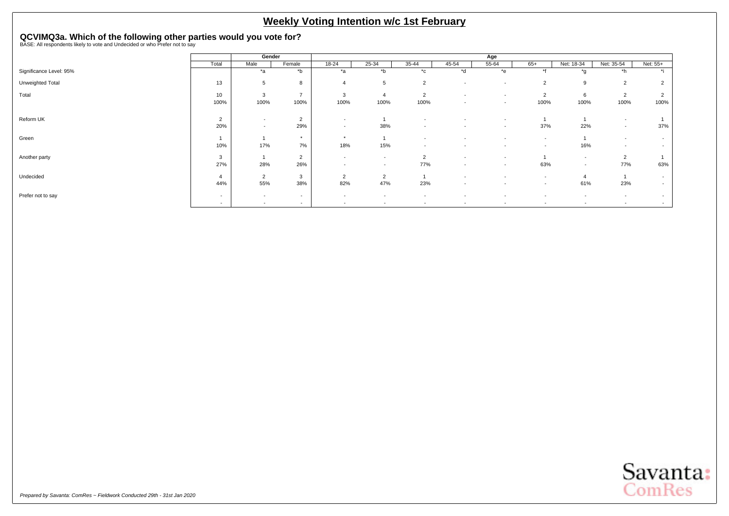# <span id="page-17-0"></span>**QCVIMQ3a. Which of the following other parties would you vote for?**<br>BASE: All respondents likely to vote and Undecided or who Prefer not to say

|                         |                          | Gender                   |                |                          |                          |                          |                          | Age                      |                          |                          |                          |                          |
|-------------------------|--------------------------|--------------------------|----------------|--------------------------|--------------------------|--------------------------|--------------------------|--------------------------|--------------------------|--------------------------|--------------------------|--------------------------|
|                         | Total                    | Male                     | Female         | 18-24                    | 25-34                    | 35-44                    | 45-54                    | 55-64                    | $65+$                    | Net: 18-34               | Net: 35-54               | Net: 55+                 |
| Significance Level: 95% |                          | $*_{a}$                  | $b^*$          | $*_{\mathsf{a}}$         | $b^*$                    | $^{\star}$ c             | $h^*$                    | *e                       | $*$                      | $*_{\alpha}$             | $*h$                     |                          |
| Unweighted Total        | 13                       | 5                        | 8              | 4                        | 5                        | 2                        | $\overline{\phantom{a}}$ | $\sim$                   | $\overline{2}$           | 9                        | $\overline{2}$           |                          |
| Total                   | 10                       | 3                        | $\rightarrow$  | 3                        | $\overline{4}$           | $\overline{2}$           | $\overline{\phantom{a}}$ | $\overline{\phantom{a}}$ | $\overline{2}$           | 6                        | $\overline{2}$           |                          |
|                         | 100%                     | 100%                     | 100%           | 100%                     | 100%                     | 100%                     | $\sim$                   | $\sim$                   | 100%                     | 100%                     | 100%                     | 100%                     |
| Reform UK               | $\overline{2}$           | $\overline{\phantom{0}}$ | $\overline{2}$ | $\overline{\phantom{a}}$ |                          | $\overline{\phantom{a}}$ |                          | $\overline{\phantom{a}}$ |                          |                          | $\overline{\phantom{a}}$ |                          |
|                         | 20%                      | $\overline{\phantom{a}}$ | 29%            | $\overline{\phantom{a}}$ | 38%                      | $\sim$                   |                          | $\overline{\phantom{a}}$ | 37%                      | 22%                      | $\overline{\phantom{a}}$ | 37%                      |
| Green                   |                          |                          | $\star$        | $\star$                  |                          | $\sim$                   |                          | $\overline{\phantom{a}}$ | $\overline{\phantom{a}}$ |                          | $\overline{\phantom{a}}$ | $\sim$                   |
|                         | 10%                      | 17%                      | 7%             | 18%                      | 15%                      | $\sim$                   | $\sim$                   | $\overline{\phantom{a}}$ | $\overline{\phantom{a}}$ | 16%                      | $\overline{\phantom{a}}$ | $\overline{\phantom{a}}$ |
| Another party           | 3                        |                          | $\overline{2}$ | $\overline{\phantom{a}}$ | $\overline{\phantom{a}}$ | $\overline{2}$           | $\overline{\phantom{a}}$ | $\overline{\phantom{a}}$ |                          | $\overline{\phantom{a}}$ | $\overline{2}$           |                          |
|                         | 27%                      | 28%                      | 26%            | $\overline{a}$           | $\overline{\phantom{a}}$ | 77%                      | $\sim$                   | $\overline{\phantom{a}}$ | 63%                      | $\sim$                   | 77%                      | 63%                      |
| Undecided               |                          | $\overline{2}$           | 3              | $\overline{2}$           | $\overline{2}$           |                          |                          | $\overline{\phantom{a}}$ | $\overline{\phantom{a}}$ | $\overline{4}$           |                          | $\sim$                   |
|                         | 44%                      | 55%                      | 38%            | 82%                      | 47%                      | 23%                      | $\sim$                   | $\overline{\phantom{a}}$ | $\overline{\phantom{a}}$ | 61%                      | 23%                      | $\sim$                   |
| Prefer not to say       | $\overline{\phantom{a}}$ | $\overline{\phantom{a}}$ | $\sim$         | $\overline{\phantom{a}}$ | $\overline{\phantom{a}}$ | $\overline{\phantom{a}}$ |                          | $\overline{\phantom{a}}$ |                          | $\overline{\phantom{a}}$ |                          | $\overline{\phantom{a}}$ |
|                         | $\overline{\phantom{a}}$ | $\overline{\phantom{a}}$ | $\sim$         | $\overline{\phantom{a}}$ | $\overline{\phantom{0}}$ | $\overline{\phantom{a}}$ | $\overline{\phantom{a}}$ | $\overline{\phantom{a}}$ | $\overline{\phantom{a}}$ | $\overline{\phantom{a}}$ | $\overline{\phantom{a}}$ |                          |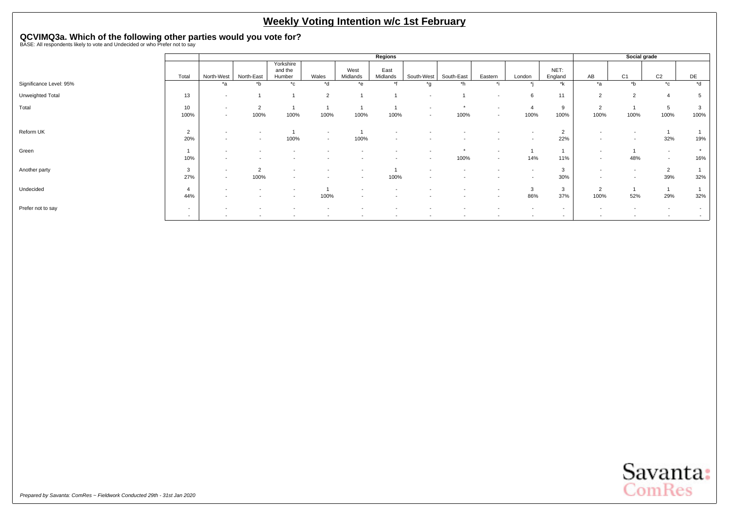# **QCVIMQ3a. Which of the following other parties would you vote for?**<br>BASE: All respondents likely to vote and Undecided or who Prefer not to say

|                         |                                                      |                                                      |                                    |                                                      |                                                      |                                    | Regions                  |                                    |                          |                                                      |                          |                                                      |                                                      | Social grade                                         |                                    |                          |
|-------------------------|------------------------------------------------------|------------------------------------------------------|------------------------------------|------------------------------------------------------|------------------------------------------------------|------------------------------------|--------------------------|------------------------------------|--------------------------|------------------------------------------------------|--------------------------|------------------------------------------------------|------------------------------------------------------|------------------------------------------------------|------------------------------------|--------------------------|
|                         | Total                                                | North-West                                           | North-East                         | Yorkshire<br>and the<br>Humber                       | Wales                                                | West<br>Midlands                   | East<br>Midlands         | South-West                         | South-East               | Eastern                                              | London                   | NET:<br>England                                      | AB                                                   | C <sub>1</sub>                                       | C <sub>2</sub>                     | DE                       |
| Significance Level: 95% |                                                      | *a                                                   | *b                                 | $^{\star}$ c                                         | *d                                                   | $*$ e                              |                          | *a                                 | *h                       |                                                      |                          | *k                                                   | *a                                                   | $*$ b                                                | $^{\star}$ c                       | $*$ d                    |
| Unweighted Total        | 13                                                   | $\overline{a}$                                       |                                    |                                                      | $\overline{2}$                                       |                                    |                          | $\overline{\phantom{a}}$           |                          | $\overline{\phantom{a}}$                             | 6                        | 11                                                   | 2                                                    | $\overline{2}$                                       | $\boldsymbol{\Delta}$              |                          |
| Total                   | 10<br>100%                                           | $\overline{\phantom{a}}$<br>$\overline{\phantom{a}}$ | $\overline{2}$<br>100%             | 100%                                                 | 100%                                                 | 100%                               | 100%                     | $\overline{\phantom{a}}$<br>$\sim$ | $\star$<br>100%          | $\overline{\phantom{a}}$<br>$\sim$                   | 100%                     | 9<br>100%                                            | $\overline{2}$<br>100%                               | 100%                                                 | 5<br>100%                          | 100%                     |
| Reform UK               | 2<br>20%                                             | $\overline{\phantom{a}}$<br>$\overline{\phantom{a}}$ | $\sim$<br>$\overline{\phantom{a}}$ | 100%                                                 | $\overline{\phantom{a}}$<br>$\overline{\phantom{a}}$ | 100%                               | $\sim$                   | $\overline{\phantom{a}}$           | $\sim$                   | $\overline{\phantom{a}}$                             | $\overline{\phantom{a}}$ | $\overline{2}$<br>22%                                | $\overline{\phantom{a}}$<br>$\overline{\phantom{a}}$ | $\overline{\phantom{a}}$<br>$\overline{\phantom{a}}$ | 32%                                | 19%                      |
| Green                   | 10%                                                  | $\overline{\phantom{a}}$<br>$\overline{\phantom{a}}$ | $\overline{\phantom{a}}$           | $\overline{\phantom{a}}$                             | $\overline{\phantom{a}}$                             |                                    | $\overline{\phantom{a}}$ | $\overline{\phantom{a}}$           | $\star$<br>100%          | $\overline{\phantom{a}}$<br>$\sim$                   | 14%                      | 11%                                                  | $\overline{\phantom{a}}$                             | 48%                                                  | $\overline{\phantom{a}}$<br>$\sim$ | $\star$<br>16%           |
| Another party           | 3<br>27%                                             | $\overline{\phantom{a}}$<br>$\overline{a}$           | $\overline{2}$<br>100%             | $\overline{\phantom{a}}$<br>$\overline{\phantom{a}}$ |                                                      |                                    | 100%                     | $\overline{\phantom{a}}$           | $\overline{\phantom{a}}$ | $\overline{\phantom{a}}$                             | $\overline{\phantom{a}}$ | 3<br>30%                                             | $\overline{\phantom{a}}$                             | $\overline{\phantom{a}}$<br>$\overline{\phantom{a}}$ | $\overline{2}$<br>39%              | 32%                      |
| Undecided               | 44%                                                  | $\overline{\phantom{a}}$<br>$\overline{\phantom{a}}$ | $\sim$<br>$\overline{\phantom{a}}$ | $\overline{\phantom{a}}$<br>$\sim$                   | 100%                                                 | $\sim$<br>$\overline{\phantom{a}}$ | $\overline{\phantom{a}}$ | $\overline{\phantom{a}}$           | $\overline{\phantom{a}}$ | $\overline{\phantom{a}}$<br>$\overline{\phantom{0}}$ | 3<br>86%                 | $\mathbf{3}$<br>37%                                  | $\overline{2}$<br>100%                               | 52%                                                  | 29%                                | 32%                      |
| Prefer not to say       | $\overline{\phantom{a}}$<br>$\overline{\phantom{a}}$ | $\overline{\phantom{a}}$                             | $\sim$                             | $\sim$                                               | $\overline{\phantom{a}}$                             | $\sim$                             | $\overline{\phantom{0}}$ | $\sim$                             | $\sim$                   | $\overline{\phantom{0}}$                             | $\overline{\phantom{a}}$ | $\overline{\phantom{a}}$<br>$\overline{\phantom{a}}$ | $\overline{\phantom{a}}$                             | $\overline{\phantom{a}}$                             | $\overline{\phantom{a}}$           | $\overline{\phantom{a}}$ |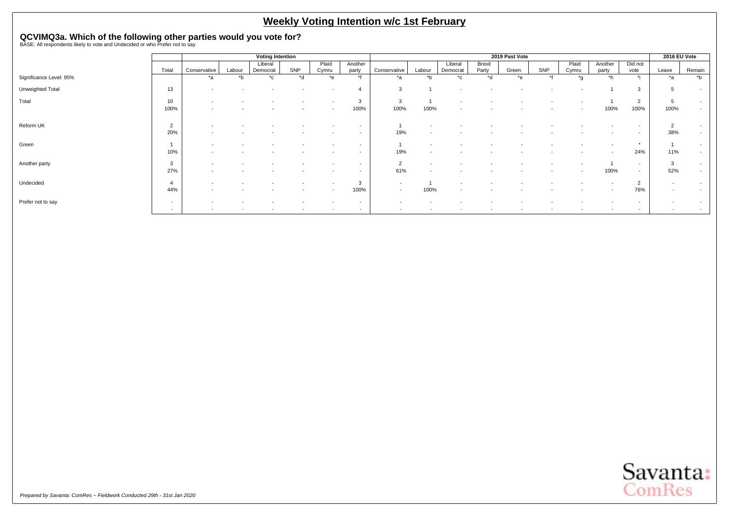# **QCVIMQ3a. Which of the following other parties would you vote for?**<br>BASE: All respondents likely to vote and Undecided or who Prefer not to say

|                         |                |                          |        | <b>Voting Intention</b> |       |                          |                          |                          |                          |                          |                 | 2019 Past Vote |         |                |                          |                          | 2016 EU Vote             |                |
|-------------------------|----------------|--------------------------|--------|-------------------------|-------|--------------------------|--------------------------|--------------------------|--------------------------|--------------------------|-----------------|----------------|---------|----------------|--------------------------|--------------------------|--------------------------|----------------|
|                         | Total          | Conservative             | Labour | Liberal<br>Democrat     | SNP   | Plaid<br>Cymru           | Another<br>party         | Conservative             | Labour                   | Liberal<br>Democrat      | Brexit<br>Party | Green          | SNP     | Plaid<br>Cymru | Another<br>party         | Did not<br>vote          | Leave                    | Remain         |
| Significance Level: 95% |                | *a                       | $b^*$  | $^{\star}$ c            | $h^*$ | $*_{e}$                  | $*f$                     | $*_{a}$                  | $b^*$                    | $*_{\alpha}$             | $h^*$           | $*_{e}$        | $\star$ | $*_{\alpha}$   | $*h$                     | $\star$ :                | $*_{a}$                  | $\overline{b}$ |
| Unweighted Total        | 13             | $\overline{\phantom{0}}$ |        |                         |       |                          |                          | 3                        |                          |                          |                 |                |         |                |                          | 3                        | 5                        | $\sim$         |
| Total                   | 10             | $\overline{\phantom{a}}$ |        |                         |       | $\overline{\phantom{a}}$ | 3                        | 3                        |                          |                          |                 |                |         |                |                          | 2                        | 5                        | $\sim$         |
|                         | 100%           |                          |        |                         |       |                          | 100%                     | 100%                     | 100%                     | $\overline{\phantom{a}}$ |                 |                |         |                | 100%                     | 100%                     | 100%                     | $\sim$         |
| Reform UK               | $\overline{2}$ |                          |        |                         |       |                          | $\overline{\phantom{a}}$ |                          |                          |                          |                 |                |         |                |                          | $\overline{\phantom{a}}$ | $\overline{2}$           | $\sim$         |
|                         | 20%            |                          |        |                         |       |                          | $\overline{\phantom{a}}$ | 19%                      |                          |                          |                 |                |         |                |                          | $\overline{\phantom{0}}$ | 38%                      | $\sim$         |
| Green                   |                | $\overline{\phantom{0}}$ |        |                         |       |                          | $\overline{\phantom{a}}$ |                          |                          |                          |                 |                |         |                | $\overline{\phantom{a}}$ | $\star$                  |                          | $\sim$         |
|                         | 10%            | $\overline{\phantom{a}}$ |        |                         |       | $\overline{\phantom{a}}$ | $\overline{\phantom{a}}$ | 19%                      | $\overline{\phantom{a}}$ |                          |                 |                |         |                | $\overline{\phantom{a}}$ | 24%                      | 11%                      | $\sim$         |
| Another party           | 3              |                          |        |                         |       |                          |                          | $\overline{2}$           |                          |                          |                 |                |         |                |                          | $\sim$                   | 3                        | $\sim$         |
|                         | 27%            |                          |        |                         |       |                          | $\sim$                   | 61%                      |                          |                          |                 |                |         |                | 100%                     | $\sim$                   | 52%                      | $\sim$         |
| Undecided               | 4              |                          |        |                         |       |                          | 3                        | $\overline{\phantom{a}}$ |                          |                          |                 |                |         |                | $\overline{\phantom{a}}$ | $\overline{2}$           | $\overline{\phantom{a}}$ | $\sim$         |
|                         | 44%            |                          |        |                         |       | $\overline{\phantom{a}}$ | 100%                     | $\overline{a}$           | 100%                     | $\overline{\phantom{a}}$ |                 |                |         |                |                          | 76%                      |                          | $\sim$         |
| Prefer not to say       | $\sim$         |                          |        |                         |       |                          | $\overline{\phantom{a}}$ | $\overline{\phantom{a}}$ |                          |                          |                 |                |         |                |                          | $\overline{\phantom{a}}$ |                          | $\sim$         |
|                         | $\sim$         | $\overline{\phantom{0}}$ |        |                         |       |                          | $\overline{\phantom{a}}$ | $\overline{\phantom{a}}$ |                          |                          |                 |                |         |                |                          | $\sim$                   |                          | $\sim$         |

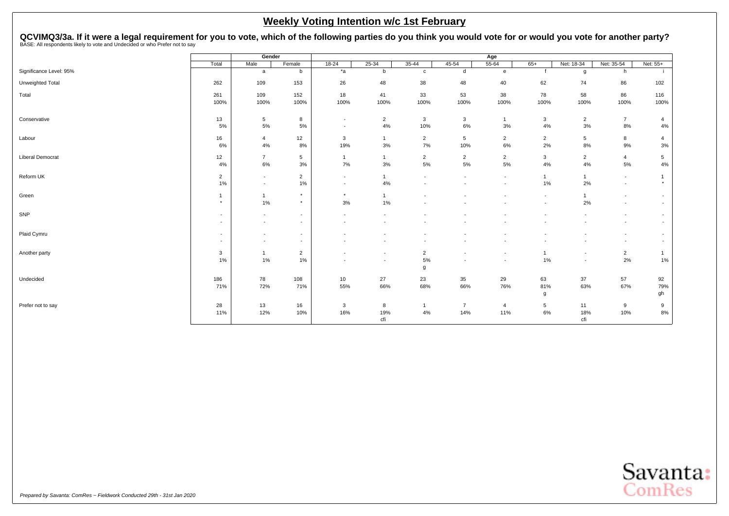<span id="page-20-0"></span>QCVIMQ3/3a. If it were a legal requirement for you to vote, which of the following parties do you think you would vote for or would you vote for another party?<br>BASE: All respondents likely to vote and Undecided or who Pref

|                         |                  | Gender                                               |                                                      |                          |                          |                                            |                          | Age                      |                |                          |                                    |                                                      |
|-------------------------|------------------|------------------------------------------------------|------------------------------------------------------|--------------------------|--------------------------|--------------------------------------------|--------------------------|--------------------------|----------------|--------------------------|------------------------------------|------------------------------------------------------|
|                         | Total            | Male                                                 | Female                                               | $18 - 24$                | $25 - 34$                | $35-44$                                    | $45 - 54$                | $55 - 64$                | $65+$          | Net: 18-34               | Net: 35-54                         | Net: 55+                                             |
| Significance Level: 95% |                  | a                                                    | b                                                    | $*_{a}$                  | b                        | $\mathbf c$                                | d                        | $\mathbf{e}$             |                | g                        | h                                  |                                                      |
| Unweighted Total        | 262              | 109                                                  | 153                                                  | 26                       | 48                       | 38                                         | 48                       | 40                       | 62             | 74                       | 86                                 | 102                                                  |
| Total                   | 261              | 109                                                  | 152                                                  | 18                       | 41                       | 33                                         | 53                       | 38                       | 78             | 58                       | 86                                 | 116                                                  |
|                         | 100%             | 100%                                                 | 100%                                                 | 100%                     | 100%                     | 100%                                       | 100%                     | 100%                     | 100%           | 100%                     | 100%                               | 100%                                                 |
| Conservative            | 13               | 5                                                    | 8                                                    | $\sim$                   | $\overline{2}$           | $\mathbf{3}$                               | $\mathbf{3}$             | $\mathbf{1}$             | 3              | $\overline{2}$           | $\overline{7}$                     | $\overline{4}$                                       |
|                         | 5%               | 5%                                                   | 5%                                                   | $\sim$                   | 4%                       | 10%                                        | 6%                       | 3%                       | 4%             | 3%                       | 8%                                 | 4%                                                   |
| Labour                  | 16               | $\overline{4}$                                       | 12                                                   | 3                        | $\mathbf{1}$             | $\overline{2}$                             | 5                        | $\overline{2}$           | $\overline{2}$ | $5\phantom{.0}$          | 8                                  | $\overline{4}$                                       |
|                         | 6%               | 4%                                                   | 8%                                                   | 19%                      | 3%                       | 7%                                         | 10%                      | 6%                       | 2%             | 8%                       | 9%                                 | $3%$                                                 |
| <b>Liberal Democrat</b> | 12<br>4%         | $\overline{7}$<br>6%                                 | 5<br>3%                                              | $\mathbf{1}$<br>7%       | $\overline{1}$<br>3%     | $\overline{2}$<br>5%                       | $\overline{2}$<br>5%     | $\overline{2}$<br>5%     | 3<br>4%        | $\overline{2}$<br>4%     | $\overline{4}$<br>5%               | 5 <sub>5</sub><br>$4\%$                              |
| Reform UK               | $\overline{2}$   | $\overline{\phantom{a}}$                             | $\overline{2}$                                       | $\sim$                   | -1                       | ٠                                          |                          | $\overline{\phantom{a}}$ | $\mathbf{1}$   | $\overline{1}$           | $\overline{\phantom{a}}$           |                                                      |
|                         | 1%               | $\overline{\phantom{a}}$                             | 1%                                                   | $\sim$                   | 4%                       |                                            |                          |                          | 1%             | 2%                       | $\sim$                             | $\star$                                              |
| Green                   | $\mathbf{1}$     | $\mathbf{1}$                                         | $\star$                                              | $\star$                  | $\mathbf{1}$             | $\overline{\phantom{a}}$                   |                          |                          | $\overline{a}$ | $\overline{1}$           | $\sim$                             | $\sim$                                               |
|                         | $\star$          | $1\%$                                                | $\star$                                              | 3%                       | 1%                       |                                            |                          |                          |                | 2%                       | $\overline{\phantom{a}}$           |                                                      |
| SNP                     | $\sim$           | $\overline{\phantom{a}}$                             | $\overline{\phantom{a}}$                             | $\overline{\phantom{a}}$ |                          |                                            |                          |                          |                |                          | $\overline{\phantom{a}}$           |                                                      |
|                         | $\sim$           | $\overline{\phantom{a}}$                             | $\overline{\phantom{a}}$                             |                          |                          |                                            |                          |                          |                |                          | $\overline{\phantom{a}}$           |                                                      |
| Plaid Cymru             | $\sim$<br>$\sim$ | $\overline{\phantom{a}}$<br>$\overline{\phantom{a}}$ | $\overline{\phantom{a}}$<br>$\overline{\phantom{a}}$ | $\overline{\phantom{a}}$ | $\overline{\phantom{a}}$ | $\overline{\phantom{a}}$<br>$\blacksquare$ |                          |                          |                | $\overline{\phantom{a}}$ | $\overline{\phantom{a}}$<br>$\sim$ | $\overline{\phantom{a}}$<br>$\overline{\phantom{a}}$ |
| Another party           | $\mathbf{3}$     | $\mathbf{1}$                                         | $\overline{2}$                                       | $\overline{\phantom{a}}$ | $\overline{\phantom{a}}$ | $\overline{2}$                             | $\overline{\phantom{a}}$ | $\overline{\phantom{a}}$ | $\mathbf{1}$   | $\overline{\phantom{a}}$ | $\overline{2}$                     | $\mathbf{1}$                                         |
|                         | 1%               | 1%                                                   | 1%                                                   |                          |                          | 5%                                         |                          |                          | $1\%$          | $\overline{\phantom{a}}$ | 2%                                 | $1\%$                                                |
|                         |                  |                                                      |                                                      |                          |                          | g                                          |                          |                          |                |                          |                                    |                                                      |
| Undecided               | 186<br>71%       | 78<br>72%                                            | 108<br>71%                                           | 10<br>55%                | 27<br>66%                | 23<br>68%                                  | 35<br>66%                | 29<br>76%                | 63<br>81%      | 37<br>63%                | 57<br>67%                          | 92<br>79%                                            |
|                         |                  |                                                      |                                                      |                          |                          |                                            |                          |                          | g              |                          |                                    | gh                                                   |
| Prefer not to say       | 28               | 13                                                   | 16                                                   | 3                        | 8                        | $\mathbf{1}$                               | $\overline{7}$           | 4                        | 5              | 11                       | 9                                  | 9                                                    |
|                         | 11%              | 12%                                                  | 10%                                                  | 16%                      | 19%<br>cfi               | 4%                                         | 14%                      | 11%                      | 6%             | 18%<br>cfi               | 10%                                | $8\%$                                                |
|                         |                  |                                                      |                                                      |                          |                          |                                            |                          |                          |                |                          |                                    |                                                      |

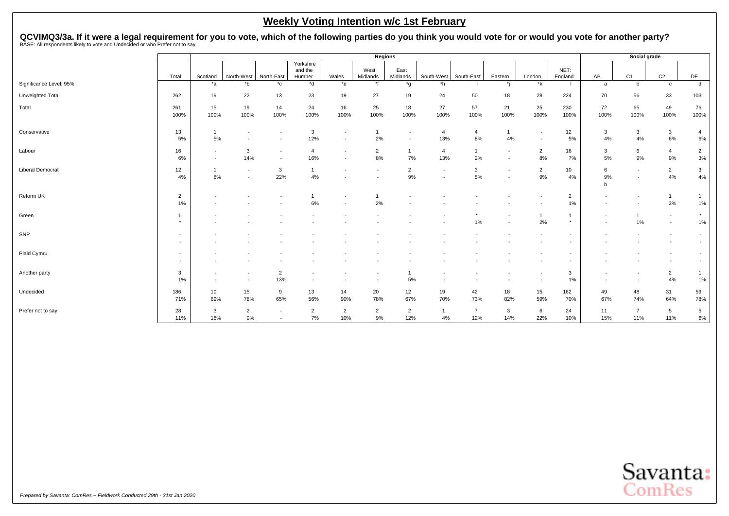QCVIMQ3/3a. If it were a legal requirement for you to vote, which of the following parties do you think you would vote for or would you vote for another party?<br>BASE: All respondents likely to vote and Undecided or who Pref

|                         |                                                      | Regions                                              |                      |                                                      |                                |                                                      |                          |                                                      |                                                      |                       |                          |                                    |                          | Social grade             |                          |                                                      |                                                      |
|-------------------------|------------------------------------------------------|------------------------------------------------------|----------------------|------------------------------------------------------|--------------------------------|------------------------------------------------------|--------------------------|------------------------------------------------------|------------------------------------------------------|-----------------------|--------------------------|------------------------------------|--------------------------|--------------------------|--------------------------|------------------------------------------------------|------------------------------------------------------|
|                         | Total                                                | Scotland                                             | North-West           | North-East                                           | Yorkshire<br>and the<br>Humber | Wales                                                | West<br>Midlands         | East<br>Midlands                                     | South-West                                           | South-East            | Eastern                  | London                             | NET:<br>England          | AB                       | C1                       | C <sub>2</sub>                                       | DE                                                   |
| Significance Level: 95% |                                                      | $*_{a}$                                              | $b^*$                | $^{\star}$ c                                         | *d                             | $*$ e                                                | *f                       | $*_{g}$                                              | $*h$                                                 |                       |                          | $*_{\mathsf{k}}$                   |                          | a                        | b                        | $\mathbf{C}$                                         | d                                                    |
| Unweighted Total        | 262                                                  | 19                                                   | 22                   | 13                                                   | 23                             | 19                                                   | 27                       | 19                                                   | 24                                                   | 50                    | 18                       | 28                                 | 224                      | 70                       | 56                       | 33                                                   | 103                                                  |
| Total                   | 261<br>100%                                          | 15<br>100%                                           | 19<br>100%           | 14<br>100%                                           | 24<br>100%                     | 16<br>100%                                           | 25<br>100%               | 18<br>100%                                           | 27<br>100%                                           | 57<br>100%            | 21<br>100%               | 25<br>100%                         | 230<br>100%              | 72<br>100%               | 65<br>100%               | 49<br>100%                                           | 76<br>100%                                           |
| Conservative            | 13<br>5%                                             | $\mathbf{1}$<br>$5\%$                                |                      | $\overline{\phantom{a}}$<br>$\overline{\phantom{a}}$ | 3<br>12%                       | $\overline{\phantom{a}}$<br>$\overline{\phantom{a}}$ | 2%                       | $\overline{\phantom{a}}$<br>$\overline{\phantom{a}}$ | 4<br>13%                                             | $\overline{4}$<br>8%  | $\overline{1}$<br>4%     | $\overline{\phantom{a}}$<br>$\sim$ | 12<br>5%                 | 3<br>4%                  | 3<br>4%                  | $\mathbf{3}$<br>$6\%$                                | 4<br>6%                                              |
| Labour                  | 16<br>6%                                             | $\overline{\phantom{a}}$<br>$\overline{\phantom{a}}$ | 3<br>14%             | $\overline{\phantom{a}}$<br>$\overline{\phantom{a}}$ | $\overline{4}$<br>16%          | $\overline{\phantom{a}}$<br>$\overline{\phantom{a}}$ | $\overline{2}$<br>8%     | $\overline{1}$<br>7%                                 | $\overline{4}$<br>13%                                | $\mathbf{1}$<br>2%    | $\overline{\phantom{a}}$ | $\overline{2}$<br>8%               | 16<br>7%                 | 3<br>5%                  | 6<br>9%                  | 4<br>9%                                              | $\overline{2}$<br>3%                                 |
| <b>Liberal Democrat</b> | 12<br>4%                                             | $\mathbf{1}$<br>8%                                   |                      | $\mathbf{3}$<br>22%                                  | $\mathbf{1}$<br>$4\%$          |                                                      | $\overline{\phantom{a}}$ | $\overline{2}$<br>9%                                 | $\overline{\phantom{a}}$<br>$\overline{\phantom{a}}$ | 3<br>5%               | $\overline{\phantom{a}}$ | $\overline{2}$<br>$9%$             | 10<br>4%                 | 6<br>9%<br>b             | $\overline{\phantom{a}}$ | $\overline{2}$<br>$4\%$                              | 3<br>4%                                              |
| Reform UK               | $\overline{2}$<br>1%                                 |                                                      |                      |                                                      | 6%                             | $\overline{\phantom{a}}$                             | 2%                       |                                                      |                                                      |                       |                          |                                    | $\overline{2}$<br>1%     |                          | $\overline{\phantom{a}}$ | 3%                                                   | 1%                                                   |
| Green                   | $\star$                                              |                                                      |                      |                                                      |                                |                                                      |                          |                                                      |                                                      | 1%                    |                          | $\mathbf{1}$<br>2%                 | $\star$                  | $\overline{\phantom{a}}$ | 1%                       | $\sim$<br>$\overline{\phantom{a}}$                   | $\star$<br>$1\%$                                     |
| SNP                     | $\overline{\phantom{a}}$<br>$\overline{\phantom{a}}$ |                                                      |                      |                                                      |                                |                                                      |                          |                                                      |                                                      |                       |                          |                                    | $\overline{\phantom{a}}$ |                          |                          | $\overline{\phantom{a}}$<br>$\overline{\phantom{a}}$ | $\overline{\phantom{a}}$<br>$\overline{\phantom{a}}$ |
| Plaid Cymru             | $\overline{\phantom{a}}$<br>$\overline{\phantom{a}}$ |                                                      |                      |                                                      |                                |                                                      |                          |                                                      |                                                      |                       |                          |                                    |                          |                          |                          | $\overline{\phantom{a}}$<br>$\overline{\phantom{a}}$ | $\overline{\phantom{a}}$                             |
| Another party           | 3<br>1%                                              |                                                      |                      | $\overline{2}$<br>13%                                |                                |                                                      |                          | 5%                                                   |                                                      |                       |                          |                                    | 3<br>1%                  |                          |                          | $\overline{2}$<br>4%                                 | $\mathbf{1}$<br>1%                                   |
| Undecided               | 186<br>71%                                           | 10<br>69%                                            | 15<br>78%            | 9<br>65%                                             | 13<br>56%                      | 14<br>90%                                            | 20<br>78%                | 12<br>67%                                            | 19<br>70%                                            | 42<br>73%             | 18<br>82%                | 15<br>59%                          | 162<br>70%               | 49<br>67%                | 48<br>74%                | 31<br>64%                                            | 59<br>78%                                            |
| Prefer not to say       | 28<br>11%                                            | 3<br>18%                                             | $\overline{2}$<br>9% | $\overline{\phantom{a}}$<br>$\overline{\phantom{a}}$ | $\overline{2}$<br>7%           | $\overline{2}$<br>10%                                | $\overline{2}$<br>$9\%$  | $\overline{2}$<br>12%                                | $\mathbf{1}$<br>4%                                   | $\overline{7}$<br>12% | 3<br>14%                 | 6<br>22%                           | 24<br>10%                | 11<br>15%                | $\overline{7}$<br>11%    | $5\overline{)}$<br>11%                               | $5\phantom{.0}$<br>$6\%$                             |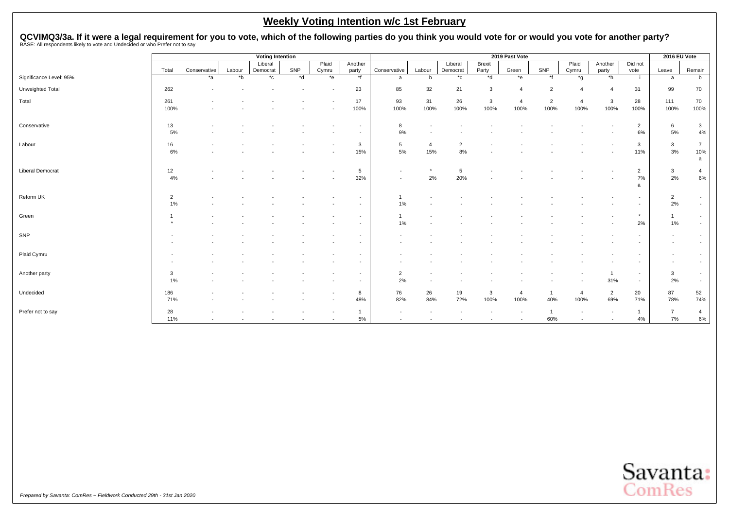QCVIMQ3/3a. If it were a legal requirement for you to vote, which of the following parties do you think you would vote for or would you vote for another party?<br>BASE: All respondents likely to vote and Undecided or who Pref

|                         |                          |              |                  | <b>Voting Intention</b> |       |                          |                          |                          |                |              |              | 2019 Past Vote |                |         |                |                          | 2016 EU Vote             |                |
|-------------------------|--------------------------|--------------|------------------|-------------------------|-------|--------------------------|--------------------------|--------------------------|----------------|--------------|--------------|----------------|----------------|---------|----------------|--------------------------|--------------------------|----------------|
|                         |                          |              |                  | Liberal                 |       | Plaid                    | Another                  |                          |                | Liberal      | Brexit       |                |                | Plaid   | Another        | Did not                  |                          |                |
|                         | Total                    | Conservative | Labour           | Democrat                | SNP   | Cymru                    | party                    | Conservative             | Labour         | Democrat     | Party        | Green          | SNP            | Cymru   | party          | vote                     | Leave                    | Remain         |
| Significance Level: 95% |                          | $*_{a}$      | $*_{\mathsf{b}}$ | $^{\star}$ c            | $*$ d | $E^*e$                   | $*$ f                    | a                        | b              | $^{\star}$ c | *d           | $*$ e          | $*$ f          | $*_{g}$ | $*h$           | -i-                      | a                        | b              |
| Unweighted Total        | 262                      |              |                  |                         |       |                          | 23                       | 85                       | 32             | 21           | 3            | 4              | $\overline{2}$ |         | $\overline{4}$ | 31                       | 99                       | 70             |
| Total                   | 261                      |              |                  |                         |       |                          | 17                       | 93                       | 31             | 26           | $\mathbf{3}$ | $\overline{4}$ | $\overline{2}$ | 4       | $\mathbf{3}$   | 28                       | 111                      | 70             |
|                         | 100%                     |              |                  |                         |       |                          | 100%                     | 100%                     | 100%           | 100%         | 100%         | 100%           | 100%           | 100%    | 100%           | 100%                     | 100%                     | 100%           |
| Conservative            | 13                       |              |                  |                         |       |                          |                          | 8                        |                |              |              |                |                |         |                | $\overline{2}$           | 6                        | $\mathbf{3}$   |
|                         | 5%                       |              |                  |                         |       |                          |                          | 9%                       |                |              |              |                |                |         |                | 6%                       | 5%                       | 4%             |
| Labour                  | 16                       |              |                  |                         |       |                          | 3                        | 5                        | $\overline{4}$ | 2            |              |                |                |         |                | 3                        | 3                        | $\overline{7}$ |
|                         | 6%                       |              |                  |                         |       |                          | 15%                      | 5%                       | 15%            | 8%           |              |                |                |         |                | 11%                      | 3%                       | 10%<br>a       |
| <b>Liberal Democrat</b> | 12                       |              |                  |                         |       |                          | 5                        | $\overline{\phantom{a}}$ | $\star$        | 5            |              |                |                |         |                | $\overline{2}$           | $\mathbf{3}$             | 4              |
|                         | 4%                       |              |                  |                         |       |                          | 32%                      | $\overline{\phantom{a}}$ | 2%             | 20%          |              |                |                |         |                | 7%<br>a                  | 2%                       | 6%             |
|                         |                          |              |                  |                         |       |                          |                          |                          |                |              |              |                |                |         |                |                          |                          |                |
| Reform UK               | $\overline{2}$           |              |                  |                         |       |                          |                          |                          |                |              |              |                |                |         |                |                          | $\overline{2}$           | $\sim$         |
|                         | 1%                       |              |                  |                         |       |                          |                          | 1%                       |                |              |              |                |                |         |                |                          | 2%                       | $\sim$         |
| Green                   | -1                       |              |                  |                         |       |                          | $\overline{\phantom{a}}$ |                          |                |              |              |                |                |         |                | $\star$                  |                          | $\sim$         |
|                         | $\star$                  |              |                  |                         |       |                          |                          | 1%                       |                |              |              |                |                |         |                | 2%                       | 1%                       | $\sim$         |
| SNP                     | $\overline{\phantom{a}}$ |              |                  |                         |       |                          |                          |                          |                |              |              |                |                |         |                | $\overline{\phantom{a}}$ | $\overline{\phantom{a}}$ | $\sim$         |
|                         | $\sim$                   |              |                  |                         |       |                          |                          |                          |                |              |              |                |                |         |                | $\overline{\phantom{a}}$ | $\sim$                   | $\sim$         |
| Plaid Cymru             |                          |              |                  |                         |       |                          |                          |                          |                |              |              |                |                |         |                |                          |                          | $\sim$         |
|                         | $\overline{\phantom{a}}$ |              |                  |                         |       |                          |                          |                          |                |              |              |                |                |         |                |                          |                          | $\sim$         |
| Another party           | 3                        |              |                  |                         |       |                          | $\overline{\phantom{a}}$ | $\overline{2}$           |                |              |              |                |                |         | $\mathbf{1}$   | $\overline{\phantom{a}}$ | 3                        | $\sim$         |
|                         | 1%                       |              |                  |                         |       |                          | $\overline{\phantom{a}}$ | 2%                       |                |              |              |                |                |         | 31%            | $\sim$                   | 2%                       | $\sim$         |
| Undecided               | 186                      |              |                  |                         |       |                          | 8                        | 76                       | 26             | 19           | 3            | $\overline{4}$ | -1             | 4       | $\overline{2}$ | 20                       | 87                       | 52             |
|                         | 71%                      |              |                  |                         |       | $\overline{\phantom{a}}$ | 48%                      | 82%                      | 84%            | 72%          | 100%         | 100%           | 40%            | 100%    | 69%            | 71%                      | 78%                      | 74%            |
| Prefer not to say       | 28                       |              |                  |                         |       |                          | $\mathbf{1}$             |                          |                |              |              |                |                |         | $\sim$         |                          | $\overline{7}$           | 4              |
|                         | 11%                      |              |                  |                         |       |                          | 5%                       |                          |                |              |              | $\sim$         | 60%            |         |                | 4%                       | 7%                       | 6%             |

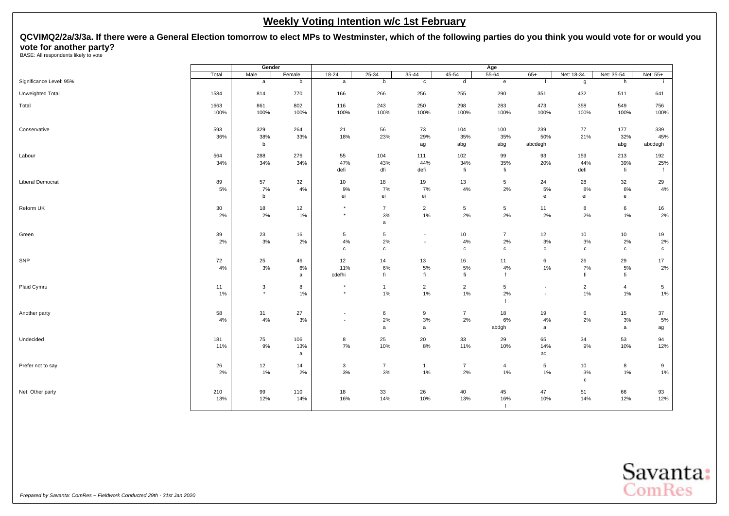<span id="page-23-0"></span>**QCVIMQ2/2a/3/3a. If there were a General Election tomorrow to elect MPs to Westminster, which of the following parties do you think you would vote for or would you vote for another party?**<br>BASE: All respondents likely to vote

|                         |       | Gender       |          |              |                |                          |                 | Age               |                          |                 |                |                 |
|-------------------------|-------|--------------|----------|--------------|----------------|--------------------------|-----------------|-------------------|--------------------------|-----------------|----------------|-----------------|
|                         | Total | Male         | Female   | $18 - 24$    | $25 - 34$      | $35 - 44$                | 45-54           | $55 - 64$         | $65+$                    | Net: 18-34      | Net: 35-54     | Net: 55+        |
| Significance Level: 95% |       | $\mathsf{a}$ | b        | a            | b              | $\mathtt{c}$             | d               | $\mathbf{e}$      | $\mathsf{f}$             | g               | h              | -i              |
| Unweighted Total        | 1584  | 814          | 770      | 166          | 266            | 256                      | 255             | 290               | 351                      | 432             | 511            | 641             |
| Total                   | 1663  | 861          | 802      | 116          | 243            | 250                      | 298             | 283               | 473                      | 358             | 549            | 756             |
|                         | 100%  | 100%         | 100%     | 100%         | 100%           | 100%                     | 100%            | 100%              | 100%                     | 100%            | 100%           | 100%            |
| Conservative            | 593   | 329          | 264      | 21           | 56             | 73                       | 104             | 100               | 239                      | 77              | 177            | 339             |
|                         | 36%   | 38%<br>b     | 33%      | 18%          | 23%            | 29%<br>ag                | 35%<br>abg      | 35%<br>abg        | 50%<br>abcdegh           | 21%             | 32%<br>abg     | 45%<br>abcdegh  |
| Labour                  | 564   | 288          | 276      | 55           | 104            | 111                      | 102             | 99                | 93                       | 159             | 213            | 192             |
|                         | 34%   | 34%          | 34%      | 47%          | 43%            | 44%                      | 34%             | 35%               | 20%                      | 44%             | 39%            | 25%             |
|                         |       |              |          | defi         | dfi            | defi                     | fi              | fi                |                          | defi            | fi             | f               |
| <b>Liberal Democrat</b> | 89    | 57           | 32       | 10           | 18             | 19                       | 13              | 5                 | 24                       | 28              | 32             | 29              |
|                         | 5%    | 7%           | 4%       | 9%           | 7%             | 7%                       | 4%              | 2%                | 5%                       | 8%              | 6%             | 4%              |
|                         |       | b            |          | ei           | ei             | ei                       |                 |                   | e                        | ei              | e              |                 |
| Reform UK               | 30    | 18           | 12       | $\star$      | $\overline{7}$ | $\overline{c}$           | $5\phantom{.0}$ | $5\phantom{.0}$   | 11                       | 8               | 6              | 16              |
|                         | 2%    | $2\%$        | $1\%$    | $\star$      | 3%<br>a        | $1\%$                    | 2%              | 2%                | 2%                       | 2%              | 1%             | 2%              |
| Green                   | 39    | 23           | 16       | 5            | 5              | $\overline{\phantom{a}}$ | 10              | $\overline{7}$    | 12                       | 10              | 10             | 19              |
|                         | 2%    | 3%           | $2\%$    | 4%           | 2%             | $\overline{\phantom{a}}$ | 4%              | 2%                | 3%                       | 3%              | 2%             | 2%              |
|                         |       |              |          | $\mathtt{C}$ | c              |                          | $\mathbf c$     | $\mathbf c$       | $\mathbf{c}$             | $\mathbf c$     | $\mathtt{C}$   | $\mathtt{C}$    |
| SNP                     | 72    | 25           | 46       | 12           | 14             | 13                       | 16              | 11                | 6                        | 26              | 29             | 17              |
|                         | 4%    | 3%           | 6%       | 11%          | 6%             | 5%                       | 5%              | 4%                | 1%                       | 7%              | 5%             | 2%              |
|                         |       |              | a        | cdefhi       | fi             | fi                       | fi              | $\mathbf{f}$      |                          | fi              | fi             |                 |
| Plaid Cymru             | 11    | 3            | 8        | $\star$      | $\mathbf{1}$   | $\overline{2}$           | $\overline{2}$  | 5                 | $\overline{\phantom{a}}$ | $\overline{2}$  | $\overline{4}$ | $5\phantom{.0}$ |
|                         | 1%    | $\star$      | 1%       | $\star$      | 1%             | $1\%$                    | 1%              | 2%<br>$\mathbf f$ | $\overline{\phantom{a}}$ | 1%              | 1%             | 1%              |
| Another party           | 58    | 31           | 27       | $\sim$       | 6              | 9                        | $\overline{7}$  | 18                | 19                       | 6               | 15             | 37              |
|                         | 4%    | $4\%$        | $3%$     | $\sim$       | 2%             | $3%$                     | 2%              | 6%                | 4%                       | 2%              | 3%             | 5%              |
|                         |       |              |          |              | a              | a                        |                 | abdgh             | a                        |                 | a              | ag              |
| Undecided               | 181   | 75           | 106      | 8            | 25             | 20                       | 33              | 29                | 65                       | 34              | 53             | 94              |
|                         | 11%   | $9\%$        | 13%<br>a | 7%           | 10%            | $8\%$                    | 11%             | 10%               | 14%<br>ac                | 9%              | 10%            | 12%             |
| Prefer not to say       | 26    | 12           | 14       | $\mathbf{3}$ | $\overline{7}$ | $\mathbf{1}$             | $\overline{7}$  | 4                 | 5                        | 10 <sup>1</sup> | 8              | 9               |
|                         | 2%    | 1%           | 2%       | 3%           | $3\%$          | $1\%$                    | 2%              | 1%                | 1%                       | 3%              | 1%             | 1%              |
|                         |       |              |          |              |                |                          |                 |                   |                          | $\mathbf c$     |                |                 |
| Net: Other party        | 210   | 99           | 110      | 18           | 33             | 26                       | 40              | 45                | 47                       | 51              | 66             | 93              |
|                         | 13%   | 12%          | 14%      | 16%          | 14%            | 10%                      | 13%             | 16%               | 10%                      | 14%             | 12%            | 12%             |

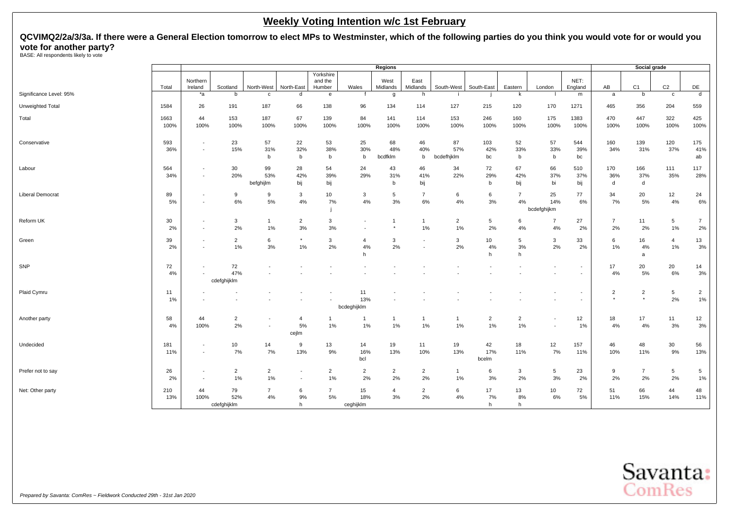**QCVIMQ2/2a/3/3a. If there were a General Election tomorrow to elect MPs to Westminster, which of the following parties do you think you would vote for or would you vote for another party?**<br>BASE: All respondents likely to vote

|                         |              |                                                      |                          |                        |                                                      |                                |                           | Regions              |                          |                         |                      |                         |                                                      |                                                      |                           | Social grade              |                      |                      |
|-------------------------|--------------|------------------------------------------------------|--------------------------|------------------------|------------------------------------------------------|--------------------------------|---------------------------|----------------------|--------------------------|-------------------------|----------------------|-------------------------|------------------------------------------------------|------------------------------------------------------|---------------------------|---------------------------|----------------------|----------------------|
|                         | Total        | Northern<br>Ireland                                  | Scotland                 | North-West             | North-East                                           | Yorkshire<br>and the<br>Humber | Wales                     | West<br>Midlands     | East<br>Midlands         | South-West              | South-East           | Eastern                 | London                                               | NET:<br>England                                      | AB                        | C <sub>1</sub>            | C <sub>2</sub>       | DE                   |
| Significance Level: 95% |              | *a                                                   | b                        | C                      | d                                                    | e                              | f                         | g                    | h                        |                         |                      | k                       |                                                      | m                                                    | a                         | b                         | $\mathbf{c}$         | $\mathsf{d}$         |
| Unweighted Total        | 1584         | 26                                                   | 191                      | 187                    | 66                                                   | 138                            | 96                        | 134                  | 114                      | 127                     | 215                  | 120                     | 170                                                  | 1271                                                 | 465                       | 356                       | 204                  | 559                  |
| Total                   | 1663<br>100% | 44<br>100%                                           | 153<br>100%              | 187<br>100%            | 67<br>100%                                           | 139<br>100%                    | 84<br>100%                | 141<br>100%          | 114<br>100%              | 153<br>100%             | 246<br>100%          | 160<br>100%             | 175<br>100%                                          | 1383<br>100%                                         | 470<br>100%               | 447<br>100%               | 322<br>100%          | 425<br>100%          |
| Conservative            | 593<br>36%   | $\blacksquare$<br>$\overline{\phantom{a}}$           | 23<br>15%                | 57<br>31%<br>b         | 22<br>32%<br>b                                       | 53<br>38%<br>b                 | 25<br>30%<br>b            | 68<br>48%<br>bcdfklm | 46<br>40%<br>b           | 87<br>57%<br>bcdefhjklm | 103<br>42%<br>bc     | 52<br>33%<br>b          | 57<br>33%<br>b                                       | 544<br>39%<br>bc                                     | 160<br>34%                | 139<br>31%                | 120<br>37%           | 175<br>41%<br>ab     |
| Labour                  | 564<br>34%   | $\overline{\phantom{a}}$<br>$\blacksquare$           | 30<br>20%                | 99<br>53%<br>befghijlm | 28<br>42%<br>bij                                     | 54<br>39%<br>bij               | 24<br>29%                 | 43<br>31%<br>b       | 46<br>41%<br>bij         | 34<br>22%               | 72<br>29%<br>b       | 67<br>42%<br>bij        | 66<br>37%<br>bi                                      | 510<br>37%<br>bij                                    | 170<br>36%<br>d           | 166<br>37%<br>d           | 111<br>35%           | 117<br>28%           |
| <b>Liberal Democrat</b> | 89<br>5%     | $\overline{\phantom{a}}$<br>$\overline{\phantom{a}}$ | 9<br>6%                  | 9<br>5%                | 3<br>4%                                              | 10<br>7%                       | 3<br>4%                   | 5<br>3%              | $\overline{7}$<br>6%     | 6<br>4%                 | 6<br>$3%$            | $\overline{7}$<br>4%    | 25<br>14%<br>bcdefghijkm                             | 77<br>6%                                             | 34<br>7%                  | 20<br>5%                  | 12<br>4%             | 24<br>6%             |
| Reform UK               | 30<br>2%     | ÷,<br>$\overline{\phantom{a}}$                       | 3<br>2%                  | $\mathbf{1}$<br>1%     | $\overline{2}$<br>3%                                 | 3<br>3%                        |                           | -1                   | $\mathbf{1}$<br>1%       | $\overline{2}$<br>1%    | 5<br>2%              | 6<br>4%                 | $\overline{7}$<br>4%                                 | 27<br>2%                                             | $\overline{7}$<br>2%      | 11<br>2%                  | 5<br>1%              | $\overline{7}$<br>2% |
| Green                   | 39<br>2%     | $\overline{\phantom{a}}$<br>$\overline{\phantom{a}}$ | $\overline{2}$<br>1%     | 6<br>3%                | 1%                                                   | 3<br>2%                        | $\overline{a}$<br>4%<br>h | 3<br>2%              | $\overline{\phantom{a}}$ | 3<br>2%                 | 10<br>4%<br>h        | 5<br>3%<br>h            | $\mathbf{3}$<br>2%                                   | 33<br>2%                                             | 6<br>1%                   | 16<br>4%<br>a             | $\overline{4}$<br>1% | 13<br>3%             |
| SNP                     | 72<br>4%     | $\blacksquare$                                       | 72<br>47%<br>cdefghijklm |                        |                                                      |                                |                           |                      |                          |                         |                      |                         | $\overline{\phantom{a}}$                             |                                                      | 17<br>4%                  | 20<br>5%                  | 20<br>6%             | 14<br>3%             |
| Plaid Cymru             | 11<br>1%     |                                                      |                          |                        |                                                      |                                | 11<br>13%<br>bcdeghijklm  |                      |                          |                         |                      |                         |                                                      | $\overline{\phantom{a}}$<br>$\overline{\phantom{a}}$ | $\overline{2}$<br>$\star$ | $\overline{2}$<br>$\star$ | 5<br>2%              | $\overline{2}$<br>1% |
| Another party           | 58<br>4%     | 44<br>100%                                           | $\overline{2}$<br>2%     |                        | $\overline{4}$<br>5%<br>cejlm                        | -1<br>1%                       | $\mathbf 1$<br>1%         | -1<br>1%             | $\mathbf{1}$<br>1%       | $\overline{1}$<br>$1\%$ | $\overline{2}$<br>1% | $\overline{2}$<br>$1\%$ | $\overline{\phantom{a}}$<br>$\overline{\phantom{a}}$ | 12<br>1%                                             | 18<br>4%                  | 17<br>4%                  | 11<br>3%             | 12<br>3%             |
| Undecided               | 181<br>11%   | $\overline{\phantom{a}}$<br>$\blacksquare$           | 10<br>7%                 | 14<br>7%               | 9<br>13%                                             | 13<br>9%                       | 14<br>16%<br>bcl          | 19<br>13%            | 11<br>10%                | 19<br>13%               | 42<br>17%<br>bcelm   | 18<br>11%               | 12<br>7%                                             | 157<br>11%                                           | 46<br>10%                 | 48<br>11%                 | 30<br>9%             | 56<br>13%            |
| Prefer not to say       | 26<br>2%     | $\overline{\phantom{a}}$<br>$\blacksquare$           | 2<br>1%                  | $\overline{2}$<br>1%   | $\overline{\phantom{a}}$<br>$\overline{\phantom{a}}$ | $\overline{2}$<br>$1\%$        | $\overline{2}$<br>2%      | $\overline{2}$<br>2% | $\overline{2}$<br>2%     | $\overline{1}$<br>1%    | 6<br>3%              | 3<br>2%                 | 5<br>3%                                              | 23<br>2%                                             | 9<br>2%                   | $\overline{7}$<br>2%      | 5<br>2%              | 5<br>1%              |
| Net: Other party        | 210<br>13%   | 44<br>100%                                           | 79<br>52%<br>cdefghijklm | $\overline{7}$<br>4%   | 6<br>9%<br>h                                         | $\overline{7}$<br>$5\%$        | 15<br>18%<br>ceghijklm    | $\overline{4}$<br>3% | $\overline{2}$<br>2%     | 6<br>4%                 | 17<br>7%<br>h        | 13<br>8%<br>h           | 10<br>$6\%$                                          | 72<br>5%                                             | 51<br>11%                 | 66<br>15%                 | 44<br>14%            | 48<br>11%            |

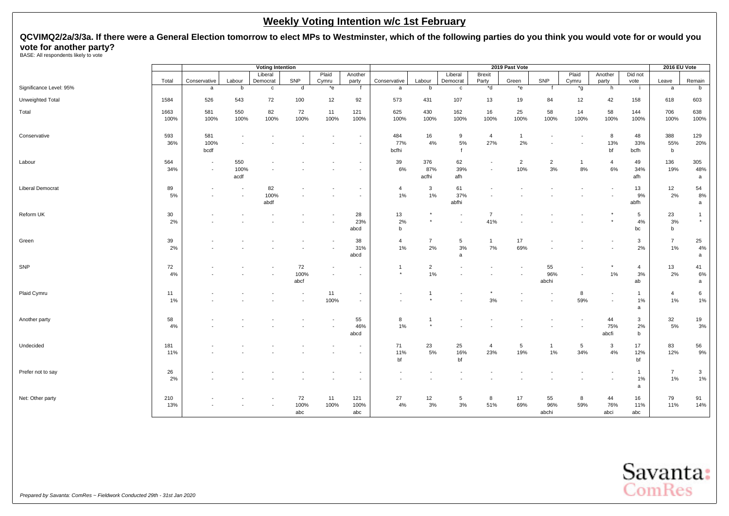**QCVIMQ2/2a/3/3a. If there were a General Election tomorrow to elect MPs to Westminster, which of the following parties do you think you would vote for or would you vote for another party?**<br>BASE: All respondents likely to vote

|                         |              |                                            |                                                      | <b>Voting Intention</b> |                    |                |                                                      |                     |                      |                                                      |                        | 2019 Past Vote        |                      |                    |                                    |                            | <b>2016 EU Vote</b>       |                           |
|-------------------------|--------------|--------------------------------------------|------------------------------------------------------|-------------------------|--------------------|----------------|------------------------------------------------------|---------------------|----------------------|------------------------------------------------------|------------------------|-----------------------|----------------------|--------------------|------------------------------------|----------------------------|---------------------------|---------------------------|
|                         | Total        | Conservative                               | Labour                                               | Liberal<br>Democrat     | SNP                | Plaid<br>Cymru | Another<br>party                                     | Conservative        | Labour               | Liberal<br>Democrat                                  | <b>Brexit</b><br>Party | Green                 | SNP                  | Plaid<br>Cymru     | Another<br>party                   | Did not<br>vote            | Leave                     | Remain                    |
| Significance Level: 95% |              | a                                          | b                                                    | $\mathbf c$             | d                  | *e             | f                                                    | a                   | b                    | $\mathbf c$                                          | *d                     | $*$ e                 |                      | *g                 | h                                  | -i                         | a                         | b                         |
| Unweighted Total        | 1584         | 526                                        | 543                                                  | 72                      | 100                | 12             | 92                                                   | 573                 | 431                  | 107                                                  | 13                     | 19                    | 84                   | 12                 | 42                                 | 158                        | 618                       | 603                       |
| Total                   | 1663<br>100% | 581<br>100%                                | 550<br>100%                                          | 82<br>100%              | 72<br>100%         | 11<br>100%     | 121<br>100%                                          | 625<br>100%         | 430<br>100%          | 162<br>100%                                          | 16<br>100%             | 25<br>100%            | 58<br>100%           | 14<br>100%         | 58<br>100%                         | 144<br>100%                | 706<br>100%               | 638<br>100%               |
| Conservative            | 593<br>36%   | 581<br>100%<br>bcdf                        | $\overline{\phantom{a}}$                             |                         |                    |                | $\overline{\phantom{a}}$<br>$\sim$                   | 484<br>77%<br>bcfhi | 16<br>4%             | 9<br>$5\%$<br>$\mathbf{f}$                           | $\overline{4}$<br>27%  | $\overline{1}$<br>2%  |                      |                    | 8<br>13%<br>bf                     | 48<br>33%<br>bcfh          | 388<br>55%<br>$\mathbf b$ | 129<br>20%                |
| Labour                  | 564<br>34%   | $\overline{\phantom{a}}$<br>$\blacksquare$ | 550<br>100%<br>acdf                                  |                         |                    |                | $\overline{\phantom{a}}$<br>$\overline{\phantom{a}}$ | 39<br>6%            | 376<br>87%<br>acfhi  | 62<br>39%<br>afh                                     |                        | $\overline{2}$<br>10% | $\overline{2}$<br>3% | $\mathbf{1}$<br>8% | $\overline{4}$<br>6%               | 49<br>34%<br>afh           | 136<br>19%                | 305<br>48%<br>$\mathsf a$ |
| <b>Liberal Democrat</b> | 89<br>5%     |                                            | $\overline{\phantom{a}}$<br>$\overline{\phantom{a}}$ | 82<br>100%<br>abdf      |                    |                | $\overline{\phantom{a}}$<br>$\overline{\phantom{a}}$ | 4<br>1%             | 3<br>1%              | 61<br>37%<br>abfhi                                   |                        |                       |                      |                    |                                    | 13<br>9%<br>abfh           | 12<br>2%                  | 54<br>8%<br>a             |
| Reform UK               | 30<br>2%     |                                            |                                                      |                         |                    |                | 28<br>23%<br>abcd                                    | 13<br>2%<br>b       |                      | $\overline{\phantom{a}}$<br>$\overline{\phantom{a}}$ | $\overline{7}$<br>41%  |                       |                      |                    |                                    | 5<br>4%<br>bc              | 23<br>3%<br>b             | $\mathbf{1}$<br>$^\star$  |
| Green                   | 39<br>2%     |                                            |                                                      |                         |                    |                | 38<br>31%<br>abcd                                    | 4<br>1%             | $\overline{7}$<br>2% | 5<br>3%<br>a                                         | $\mathbf{1}$<br>7%     | 17<br>69%             |                      |                    | $\overline{\phantom{a}}$           | 3<br>2%                    | $\overline{7}$<br>1%      | 25<br>4%<br>a             |
| SNP                     | 72<br>4%     |                                            |                                                      |                         | 72<br>100%<br>abcf |                | $\overline{\phantom{a}}$<br>$\overline{\phantom{a}}$ | 1<br>$\star$        | $\overline{2}$<br>1% |                                                      |                        |                       | 55<br>96%<br>abchi   |                    | $\star$<br>1%                      | $\overline{4}$<br>3%<br>ab | 13<br>2%                  | 41<br>6%<br>a             |
| Plaid Cymru             | 11<br>1%     |                                            |                                                      |                         |                    | 11<br>100%     | $\overline{\phantom{a}}$<br>$\overline{\phantom{a}}$ |                     | -1                   |                                                      | 3%                     |                       |                      | 8<br>59%           | $\overline{\phantom{a}}$<br>$\sim$ | $\mathbf{1}$<br>1%<br>a    | $\overline{4}$<br>1%      | 6<br>1%                   |
| Another party           | 58<br>4%     |                                            |                                                      |                         |                    |                | 55<br>46%<br>abcd                                    | 8<br>1%             | $\overline{1}$       |                                                      |                        |                       |                      |                    | 44<br>75%<br>abcfi                 | 3<br>2%<br>b               | 32<br>5%                  | 19<br>3%                  |
| Undecided               | 181<br>11%   |                                            |                                                      |                         |                    |                |                                                      | 71<br>11%<br>bf     | 23<br>5%             | 25<br>16%<br>bf                                      | $\overline{4}$<br>23%  | 5<br>19%              | $\mathbf{1}$<br>1%   | 5<br>34%           | $\mathbf{3}$<br>4%                 | 17<br>12%<br>bf            | 83<br>12%                 | 56<br>9%                  |
| Prefer not to say       | 26<br>2%     |                                            |                                                      |                         |                    |                | $\overline{\phantom{a}}$                             |                     |                      |                                                      |                        |                       |                      |                    |                                    | $\mathbf{1}$<br>1%<br>a    | $\overline{7}$<br>1%      | $\mathbf{3}$<br>1%        |
| Net: Other party        | 210<br>13%   |                                            |                                                      |                         | 72<br>100%<br>abc  | 11<br>100%     | 121<br>100%<br>abc                                   | 27<br>4%            | 12<br>3%             | 5<br>$3\%$                                           | 8<br>51%               | 17<br>69%             | 55<br>96%<br>abchi   | 8<br>59%           | 44<br>76%<br>abci                  | 16<br>11%<br>abc           | 79<br>11%                 | 91<br>14%                 |

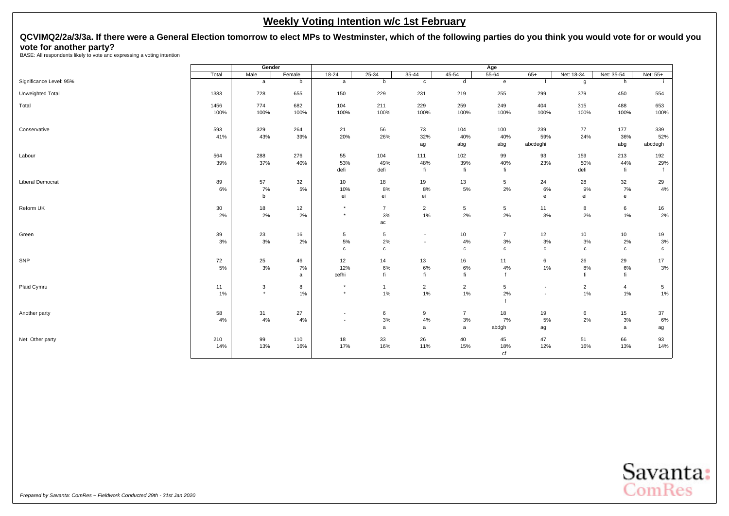# <span id="page-26-0"></span>**QCVIMQ2/2a/3/3a. If there were a General Election tomorrow to elect MPs to Westminster, which of the following parties do you think you would vote for or would you vote for another party?** BASE: All respondents likely to vote and expressing a voting intention

|                         |       | Gender      |        |                          |                |                          |                | Age            |                                   |                |                |                |
|-------------------------|-------|-------------|--------|--------------------------|----------------|--------------------------|----------------|----------------|-----------------------------------|----------------|----------------|----------------|
|                         | Total | Male        | Female | $18 - 24$                | $25 - 34$      | $35 - 44$                | $45 - 54$      | $55 - 64$      | $65+$                             | Net: 18-34     | Net: 35-54     | Net: 55+       |
| Significance Level: 95% |       | a           | b      | a                        | b              | c                        | d              | e              | f                                 | g              | h              |                |
| Unweighted Total        | 1383  | 728         | 655    | 150                      | 229            | 231                      | 219            | 255            | 299                               | 379            | 450            | 554            |
| Total                   | 1456  | 774         | 682    | 104                      | 211            | 229                      | 259            | 249            | 404                               | 315            | 488            | 653            |
|                         | 100%  | 100%        | 100%   | 100%                     | 100%           | 100%                     | 100%           | 100%           | 100%                              | 100%           | 100%           | 100%           |
| Conservative            | 593   | 329         | 264    | 21                       | 56             | 73                       | 104            | 100            | 239                               | 77             | 177            | 339            |
|                         | 41%   | 43%         | 39%    | 20%                      | 26%            | 32%<br>ag                | 40%<br>abg     | 40%<br>abg     | 59%<br>abcdeghi                   | 24%            | 36%<br>abg     | 52%<br>abcdegh |
| Labour                  | 564   | 288         | 276    | 55                       | 104            | 111                      | 102            | 99             | 93                                | 159            | 213            | 192            |
|                         | 39%   | 37%         | 40%    | 53%                      | 49%            | 48%                      | 39%            | 40%            | 23%                               | 50%            | 44%            | 29%            |
|                         |       |             |        | defi                     | defi           | fi                       | fi             | fi             |                                   | defi           | fi             |                |
| <b>Liberal Democrat</b> | 89    | 57          | 32     | 10                       | 18             | 19                       | 13             | 5              | 24                                | 28             | 32             | 29             |
|                         | 6%    | 7%          | 5%     | 10%                      | 8%             | 8%                       | 5%             | 2%             | 6%                                | 9%             | 7%             | 4%             |
|                         |       | $\mathbf b$ |        | ei                       | ei             | ei                       |                |                | $\mathsf{e}% _{t}\left( t\right)$ | ei             | e              |                |
| Reform UK               | 30    | 18          | 12     | $\star$                  | $\overline{7}$ | $\overline{2}$           | 5              | 5              | 11                                | 8              | 6              | 16             |
|                         | 2%    | 2%          | 2%     | $\star$                  | 3%             | $1\%$                    | 2%             | 2%             | 3%                                | 2%             | $1\%$          | $2\%$          |
|                         |       |             |        |                          | ac             |                          |                |                |                                   |                |                |                |
| Green                   | 39    | 23          | 16     | 5                        | 5              | $\sim$                   | 10             | $\overline{7}$ | 12                                | 10             | 10             | 19             |
|                         | 3%    | 3%          | 2%     | 5%                       | 2%             | $\overline{\phantom{a}}$ | 4%             | 3%             | 3%                                | 3%             | 2%             | $3%$           |
|                         |       |             |        | $\mathbf{C}$             | c              |                          | $\mathbf{C}$   | $\mathbf c$    | $\mathtt{c}$                      | c              | $\mathbf{c}$   | $\mathbf c$    |
| SNP                     | 72    | 25          | 46     | 12                       | 14             | 13                       | 16             | 11             | 6                                 | 26             | 29             | 17             |
|                         | 5%    | 3%          | 7%     | 12%                      | 6%             | 6%                       | 6%             | 4%             | 1%                                | 8%             | 6%             | 3%             |
|                         |       |             | a      | cefhi                    | fi             | fi                       | fi             |                |                                   | fi             | fi             |                |
| Plaid Cymru             | 11    | 3           | 8      | $^\star$                 | $\mathbf{1}$   | $\overline{a}$           | $\overline{2}$ | 5              | $\overline{\phantom{a}}$          | $\overline{2}$ | $\overline{4}$ | 5              |
|                         | 1%    | $\star$     | 1%     | $\star$                  | 1%             | $1\%$                    | 1%             | 2%             | $\overline{\phantom{a}}$          | 1%             | $1\%$          | $1\%$          |
|                         |       |             |        |                          |                |                          |                |                |                                   |                |                |                |
| Another party           | 58    | 31          | 27     | $\overline{\phantom{a}}$ | 6              | 9                        | $\overline{7}$ | 18             | 19                                | 6              | 15             | 37             |
|                         | 4%    | 4%          | 4%     | $\overline{\phantom{a}}$ | 3%             | $4\%$                    | 3%             | 7%             | 5%                                | 2%             | 3%             | $6\%$          |
|                         |       |             |        |                          | a              | a                        | a              | abdgh          | ag                                |                | a              | ag             |
| Net: Other party        | 210   | 99          | 110    | 18                       | 33             | 26                       | 40             | 45             | 47                                | 51             | 66             | 93             |
|                         | 14%   | 13%         | 16%    | 17%                      | 16%            | 11%                      | 15%            | 18%            | 12%                               | 16%            | 13%            | 14%            |
|                         |       |             |        |                          |                |                          |                | cf             |                                   |                |                |                |

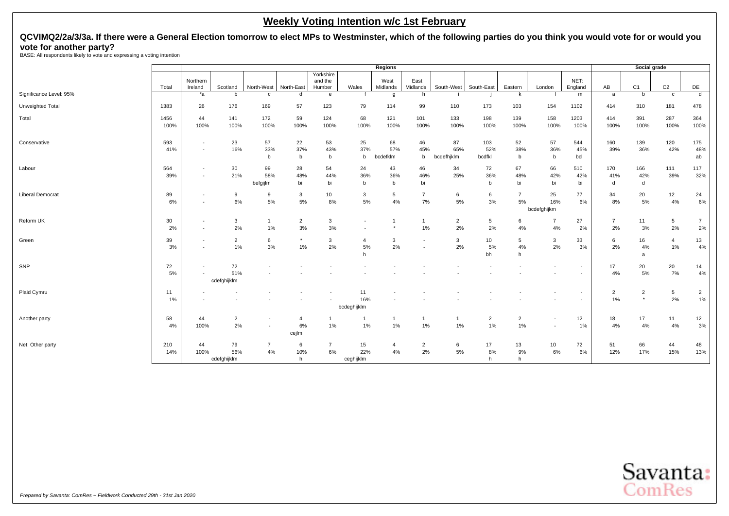# **QCVIMQ2/2a/3/3a. If there were a General Election tomorrow to elect MPs to Westminster, which of the following parties do you think you would vote for or would you vote for another party?** BASE: All respondents likely to vote and expressing a voting intention

|                         |              |                                                      |                      |                |                |                      |                          | Regions         |                                                      |                   |                |                      |                          |                          |                | Social grade              |                         |                |
|-------------------------|--------------|------------------------------------------------------|----------------------|----------------|----------------|----------------------|--------------------------|-----------------|------------------------------------------------------|-------------------|----------------|----------------------|--------------------------|--------------------------|----------------|---------------------------|-------------------------|----------------|
|                         |              | Northern                                             |                      |                |                | Yorkshire<br>and the |                          | West            | East                                                 |                   |                |                      |                          | NET:                     |                |                           |                         |                |
|                         | Total        | Ireland                                              | Scotland             | North-West     | North-East     | Humber               | Wales                    | Midlands        | Midlands                                             | South-West        | South-East     | Eastern              | London                   | England                  | AB             | C <sub>1</sub>            | C <sub>2</sub>          | DE             |
| Significance Level: 95% |              | $*a$                                                 | b                    | $\mathbf{C}$   | d              | e                    |                          | g               | h                                                    |                   |                | k                    |                          | m                        | a              | b                         | $\mathbf c$             | $\overline{d}$ |
| Unweighted Total        | 1383         | 26                                                   | 176                  | 169            | 57             | 123                  | 79                       | 114             | 99                                                   | 110               | 173            | 103                  | 154                      | 1102                     | 414            | 310                       | 181                     | 478            |
| Total                   | 1456<br>100% | 44<br>100%                                           | 141<br>100%          | 172<br>100%    | 59<br>100%     | 124<br>100%          | 68<br>100%               | 121<br>100%     | 101<br>100%                                          | 133<br>100%       | 198<br>100%    | 139<br>100%          | 158<br>100%              | 1203<br>100%             | 414<br>100%    | 391<br>100%               | 287<br>100%             | 364<br>100%    |
| Conservative            | 593          | $\overline{\phantom{a}}$                             | 23                   | 57             | 22             | 53                   | 25                       | 68              | 46                                                   | 87                | 103            | 52                   | 57                       | 544                      | 160            | 139                       | 120                     | 175            |
|                         | 41%          | $\overline{\phantom{a}}$                             | 16%                  | 33%<br>b       | 37%<br>b       | 43%<br>b             | 37%<br>b                 | 57%<br>bcdefklm | 45%<br>b                                             | 65%<br>bcdefhjklm | 52%<br>bcdfkl  | 38%<br>b             | 36%<br>b                 | 45%<br>bcl               | 39%            | 36%                       | 42%                     | 48%<br>ab      |
| Labour                  | 564<br>39%   | $\overline{\phantom{a}}$<br>$\overline{\phantom{a}}$ | 30<br>21%            | 99<br>58%      | 28<br>48%      | 54<br>44%            | 24<br>36%                | 43<br>36%       | 46<br>46%                                            | 34<br>25%         | 72<br>36%      | 67<br>48%            | 66<br>42%                | 510<br>42%               | 170<br>41%     | 166<br>42%                | 111<br>39%              | 117<br>32%     |
|                         |              |                                                      |                      | befgijlm       | bi             | bi                   | b                        | h               | bi                                                   |                   | b              | bi                   | bi                       | bi                       | d              | d                         |                         |                |
| <b>Liberal Democrat</b> | 89<br>6%     | $\overline{\phantom{a}}$<br>$\sim$                   | 9<br>6%              | 9<br>5%        | 3<br>5%        | 10<br>8%             | 3<br>5%                  | 5<br>4%         | 7<br>7%                                              | 6<br>5%           | 6<br>3%        | $\overline{7}$<br>5% | 25<br>16%                | 77<br>6%                 | 34<br>8%       | 20<br>5%                  | 12<br>4%                | 24<br>6%       |
|                         |              |                                                      |                      |                |                |                      |                          |                 |                                                      |                   |                |                      | bcdefghijkm              |                          |                |                           |                         |                |
| Reform UK               | 30           | $\overline{\phantom{a}}$                             | 3                    | $\overline{1}$ | $\overline{2}$ | 3                    | $\overline{\phantom{a}}$ |                 | $\mathbf{1}$                                         | $\overline{2}$    | 5              | 6                    | $\overline{7}$           | 27                       | $\overline{7}$ | 11                        | 5                       | $\overline{7}$ |
|                         | 2%           | $\overline{\phantom{a}}$                             | 2%                   | 1%             | 3%             | 3%                   |                          |                 | 1%                                                   | 2%                | 2%             | 4%                   | 4%                       | 2%                       | 2%             | 3%                        | 2%                      | 2%             |
| Green                   | 39<br>3%     | $\overline{\phantom{a}}$<br>$\overline{\phantom{a}}$ | $\overline{2}$<br>1% | 6<br>3%        | $\star$<br>1%  | 3<br>2%              | $\overline{4}$<br>5%     | 3<br>2%         | $\overline{\phantom{a}}$<br>$\overline{\phantom{a}}$ | 3<br>2%           | 10<br>5%       | 5<br>4%              | 3<br>2%                  | 33<br>3%                 | 6<br>2%        | 16<br>4%                  | $\overline{4}$<br>$1\%$ | 13<br>4%       |
|                         |              |                                                      |                      |                |                |                      | h                        |                 |                                                      |                   | bh             | h                    |                          |                          |                | a                         |                         |                |
| SNP                     | 72           | $\overline{\phantom{a}}$                             | 72                   |                |                |                      |                          |                 |                                                      |                   |                |                      |                          | $\overline{\phantom{a}}$ | 17             | 20                        | 20                      | 14             |
|                         | 5%           |                                                      | 51%<br>cdefghijklm   |                |                |                      |                          |                 |                                                      |                   |                |                      |                          |                          | 4%             | 5%                        | 7%                      | 4%             |
| Plaid Cymru             | 11           |                                                      |                      |                |                |                      | 11                       |                 |                                                      |                   |                |                      |                          | $\overline{\phantom{a}}$ | $\overline{2}$ | $\overline{2}$<br>$\star$ | 5                       | $\overline{a}$ |
|                         | 1%           |                                                      |                      |                |                |                      | 16%<br>bcdeghijklm       |                 |                                                      |                   |                |                      |                          | $\overline{\phantom{a}}$ | 1%             |                           | 2%                      | 1%             |
| Another party           | 58           | 44                                                   | $\overline{2}$       |                | $\overline{4}$ |                      | $\overline{1}$           |                 | $\mathbf{1}$                                         | $\mathbf{1}$      | $\overline{2}$ | $\overline{2}$       | $\overline{\phantom{a}}$ | 12                       | 18             | 17                        | 11                      | 12             |
|                         | 4%           | 100%                                                 | 2%                   | $\blacksquare$ | 6%<br>cejlm    | 1%                   | $1\%$                    | 1%              | 1%                                                   | $1\%$             | 1%             | 1%                   | $\overline{\phantom{a}}$ | 1%                       | 4%             | 4%                        | 4%                      | 3%             |
| Net: Other party        | 210          | 44                                                   | 79                   | $\overline{7}$ | 6              | $\overline{7}$       | 15                       | $\overline{4}$  | $\overline{2}$                                       | 6                 | 17             | 13                   | 10                       | 72                       | 51             | 66                        | 44                      | 48             |
|                         | 14%          | 100%                                                 | 56%                  | 4%             | 10%            | 6%                   | 22%                      | 4%              | 2%                                                   | 5%                | 8%             | 9%                   | $6\%$                    | 6%                       | 12%            | 17%                       | 15%                     | 13%            |
|                         |              |                                                      | cdefghijklm          |                | h              |                      | ceghijklm                |                 |                                                      |                   | h              | h                    |                          |                          |                |                           |                         |                |

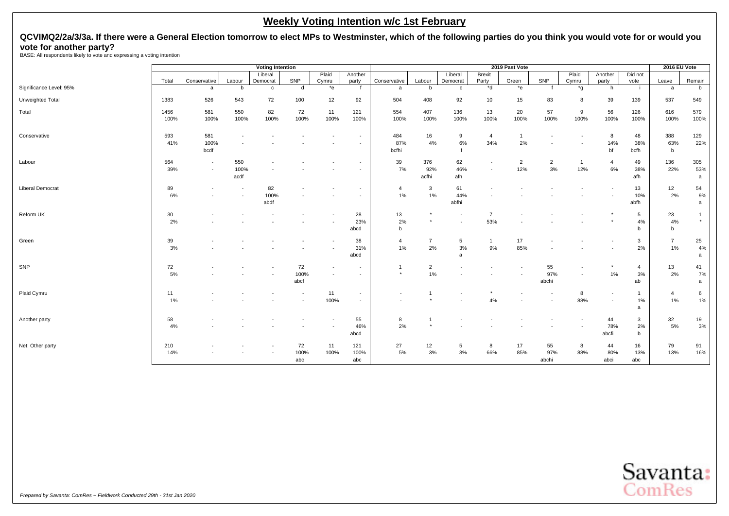# **QCVIMQ2/2a/3/3a. If there were a General Election tomorrow to elect MPs to Westminster, which of the following parties do you think you would vote for or would you vote for another party?** BASE: All respondents likely to vote and expressing a voting intention

|                         |       |                          |                          | <b>Voting Intention</b> |                          |       |                          |              |                |                          |                | 2019 Past Vote |                |              |                          |                | 2016 EU Vote   |              |
|-------------------------|-------|--------------------------|--------------------------|-------------------------|--------------------------|-------|--------------------------|--------------|----------------|--------------------------|----------------|----------------|----------------|--------------|--------------------------|----------------|----------------|--------------|
|                         |       |                          |                          | Liberal                 |                          | Plaid | Another                  |              |                | Liberal                  | <b>Brexit</b>  |                |                | Plaid        | Another                  | Did not        |                |              |
|                         | Total | Conservative             | Labour                   | Democrat                | SNP                      | Cymru | party                    | Conservative | Labour         | Democrat                 | Party          | Green          | SNP            | Cymru        | party                    | vote           | Leave          | Remain       |
| Significance Level: 95% |       | a                        | b                        | $\mathbf{C}$            | d                        | $*$ e |                          | a            | b              | $\mathbf{c}$             | *d             | $*$ e          |                | *g           | h                        | -i             | a              | b            |
| Unweighted Total        | 1383  | 526                      | 543                      | 72                      | 100                      | 12    | 92                       | 504          | 408            | 92                       | 10             | 15             | 83             | 8            | 39                       | 139            | 537            | 549          |
| Total                   | 1456  | 581                      | 550                      | 82                      | 72                       | 11    | 121                      | 554          | 407            | 136                      | 13             | 20             | 57             | 9            | 56                       | 126            | 616            | 579          |
|                         | 100%  | 100%                     | 100%                     | 100%                    | 100%                     | 100%  | 100%                     | 100%         | 100%           | 100%                     | 100%           | 100%           | 100%           | 100%         | 100%                     | 100%           | 100%           | 100%         |
| Conservative            | 593   | 581                      |                          |                         |                          |       |                          | 484          | 16             | 9                        | $\overline{4}$ | $\overline{1}$ |                |              | 8                        | 48             | 388            | 129          |
|                         | 41%   | 100%                     |                          |                         |                          |       |                          | 87%          | 4%             | 6%                       | 34%            | 2%             |                |              | 14%                      | 38%            | 63%            | 22%          |
|                         |       | bcdf                     |                          |                         |                          |       |                          | bcfhi        |                |                          |                |                |                |              | bf                       | bcfh           | b              |              |
| Labour                  | 564   | $\overline{\phantom{a}}$ | 550                      |                         |                          |       | $\overline{\phantom{a}}$ | 39           | 376            | 62                       |                | $\overline{c}$ | $\overline{2}$ | $\mathbf{1}$ | $\overline{4}$           | 49             | 136            | 305          |
|                         | 39%   | $\overline{\phantom{a}}$ | 100%                     |                         |                          |       | $\overline{\phantom{a}}$ | 7%           | 92%            | 46%                      |                | 12%            | $3%$           | 12%          | 6%                       | 38%            | 22%            | 53%          |
|                         |       |                          | acdf                     |                         |                          |       |                          |              | acfhi          | afh                      |                |                |                |              |                          | afh            |                | a            |
| <b>Liberal Democrat</b> | 89    |                          | $\overline{\phantom{a}}$ | 82                      |                          |       |                          | 4            | $\mathbf{3}$   | 61                       |                |                |                |              |                          | 13             | 12             | 54           |
|                         | 6%    |                          | $\overline{\phantom{a}}$ | 100%                    |                          |       |                          | 1%           | 1%             | 44%                      |                |                |                |              |                          | 10%            | 2%             | 9%           |
|                         |       |                          |                          | abdf                    |                          |       |                          |              |                | abfhi                    |                |                |                |              |                          | abfh           |                | a            |
| Reform UK               | 30    |                          |                          |                         |                          |       | 28                       | 13           |                | $\blacksquare$           | $\overline{7}$ |                |                |              |                          | 5              | 23             | $\mathbf{1}$ |
|                         | 2%    |                          |                          |                         |                          |       | 23%                      | 2%           | $\star$        | $\overline{\phantom{a}}$ | 53%            |                |                |              |                          | 4%             | 4%             | $\star$      |
|                         |       |                          |                          |                         |                          |       | abcd                     | b            |                |                          |                |                |                |              |                          | b              | b              |              |
| Green                   | 39    |                          |                          |                         |                          |       | 38                       | 4            | $\overline{7}$ | 5                        | $\mathbf{1}$   | 17             |                |              |                          | $\mathbf{3}$   | $\overline{7}$ | 25           |
|                         | 3%    |                          |                          |                         |                          |       | 31%                      | 1%           | 2%             | 3%                       | 9%             | 85%            |                |              |                          | 2%             | 1%             | 4%           |
|                         |       |                          |                          |                         |                          |       | abcd                     |              |                | a                        |                |                |                |              |                          |                |                | a            |
| SNP                     | 72    |                          |                          |                         | 72                       |       | $\overline{\phantom{a}}$ |              | $\overline{2}$ |                          |                |                | 55             |              |                          | $\overline{4}$ | 13             | 41           |
|                         | 5%    |                          |                          |                         | 100%                     |       |                          | $\star$      | 1%             |                          |                |                | 97%            |              | 1%                       | 3%             | 2%             | 7%           |
|                         |       |                          |                          |                         | abcf                     |       |                          |              |                |                          |                |                | abchi          |              |                          | ab             |                | a            |
| Plaid Cymru             | 11    |                          |                          |                         | $\overline{\phantom{a}}$ | 11    | $\overline{\phantom{a}}$ |              |                |                          |                |                |                | 8            | $\overline{\phantom{a}}$ | $\mathbf{1}$   | $\overline{4}$ | 6            |
|                         | $1\%$ |                          |                          |                         | $\overline{\phantom{a}}$ | 100%  |                          |              |                |                          | 4%             |                |                | 88%          |                          | 1%             | 1%             | 1%           |
|                         |       |                          |                          |                         |                          |       |                          |              |                |                          |                |                |                |              |                          | $\mathbf{a}$   |                |              |
| Another party           | 58    |                          |                          |                         |                          |       | 55                       | 8            |                |                          |                |                |                |              | 44                       | $\mathbf{3}$   | 32             | 19           |
|                         | 4%    |                          |                          |                         |                          |       | 46%                      | 2%           |                |                          |                |                |                |              | 78%                      | 2%             | 5%             | 3%           |
|                         |       |                          |                          |                         |                          |       | abcd                     |              |                |                          |                |                |                |              | abcfi                    | b              |                |              |
| Net: Other party        | 210   |                          |                          |                         | 72                       | 11    | 121                      | 27           | 12             | 5                        | 8              | 17             | 55             | 8            | 44                       | 16             | 79             | 91           |
|                         | 14%   |                          |                          |                         | 100%                     | 100%  | 100%                     | 5%           | 3%             | $3%$                     | 66%            | 85%            | 97%            | 88%          | 80%                      | 13%            | 13%            | 16%          |
|                         |       |                          |                          |                         | abc                      |       | abc                      |              |                |                          |                |                | abchi          |              | abci                     | abc            |                |              |

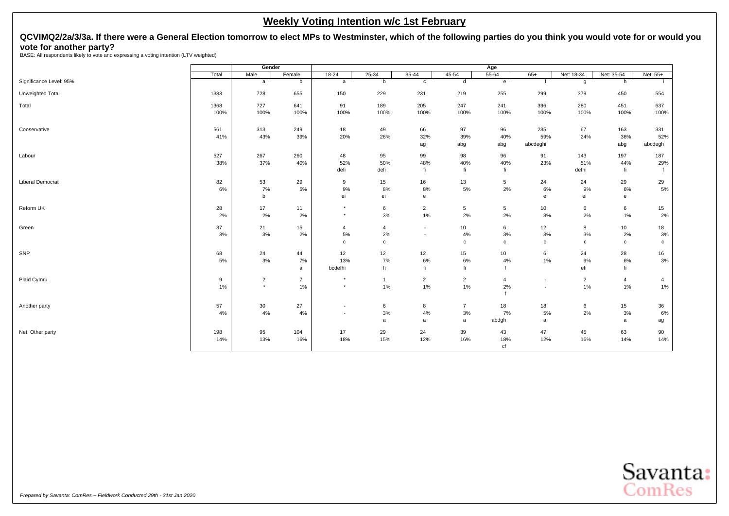# <span id="page-29-0"></span>**QCVIMQ2/2a/3/3a. If there were a General Election tomorrow to elect MPs to Westminster, which of the following parties do you think you would vote for or would you vote for another party?** BASE: All respondents likely to vote and expressing a voting intention (LTV weighted)

|                         |       | Gender         |                |                          |                |                          |                | Age            |                          |                |              |             |
|-------------------------|-------|----------------|----------------|--------------------------|----------------|--------------------------|----------------|----------------|--------------------------|----------------|--------------|-------------|
|                         | Total | Male           | Female         | $18 - 24$                | $25 - 34$      | $35 - 44$                | 45-54          | $55 - 64$      | $65+$                    | Net: 18-34     | Net: 35-54   | Net: 55+    |
| Significance Level: 95% |       | a              | b              | a                        | b              | $\mathtt{C}$             | d              | e              | $\mathsf{f}$             | g              | h            |             |
| Unweighted Total        | 1383  | 728            | 655            | 150                      | 229            | 231                      | 219            | 255            | 299                      | 379            | 450          | 554         |
| Total                   | 1368  | 727            | 641            | 91                       | 189            | 205                      | 247            | 241            | 396                      | 280            | 451          | 637         |
|                         | 100%  | 100%           | 100%           | 100%                     | 100%           | 100%                     | 100%           | 100%           | 100%                     | 100%           | 100%         | 100%        |
| Conservative            | 561   | 313            | 249            | 18                       | 49             | 66                       | 97             | 96             | 235                      | 67             | 163          | 331         |
|                         | 41%   | 43%            | 39%            | 20%                      | 26%            | 32%                      | 39%            | 40%            | 59%                      | 24%            | 36%          | 52%         |
|                         |       |                |                |                          |                | ag                       | abg            | abg            | abcdeghi                 |                | abg          | abcdegh     |
| Labour                  | 527   | 267            | 260            | 48                       | 95             | 99                       | 98             | 96             | 91                       | 143            | 197          | 187         |
|                         | 38%   | 37%            | 40%            | 52%                      | 50%            | 48%                      | 40%            | 40%            | 23%                      | 51%            | 44%          | 29%         |
|                         |       |                |                | defi                     | defi           | fi                       | fi             | fi             |                          | defhi          | fi           |             |
| <b>Liberal Democrat</b> | 82    | 53             | 29             | 9                        | 15             | 16                       | 13             | 5              | 24                       | 24             | 29           | 29          |
|                         | 6%    | 7%             | 5%             | 9%                       | 8%             | 8%                       | 5%             | 2%             | 6%                       | 9%             | 6%           | $5\%$       |
|                         |       | $\mathsf b$    |                | ei                       | ei             | $\mathbf e$              |                |                | e                        | ei             | e            |             |
| Reform UK               | 28    | 17             | 11             | $\star$                  | 6              | $\overline{2}$           | 5              | 5              | 10                       | 6              | 6            | 15          |
|                         | 2%    | 2%             | 2%             | $\star$                  | 3%             | $1\%$                    | 2%             | 2%             | 3%                       | 2%             | 1%           | $2\%$       |
| Green                   | 37    | 21             | 15             | $\overline{4}$           | 4              | $\overline{\phantom{a}}$ | 10             | 6              | 12                       | 8              | 10           | 18          |
|                         | 3%    | 3%             | 2%             | 5%                       | 2%             | $\overline{\phantom{a}}$ | 4%             | 3%             | 3%                       | 3%             | 2%           | $3\%$       |
|                         |       |                |                | $\mathbf{C}$             | $\mathbf c$    |                          | $\mathbf c$    | $\mathbf c$    | $\mathtt{C}$             | $\mathbf c$    | $\mathtt{C}$ | $\mathbf c$ |
| SNP                     | 68    | 24             | 44             | 12                       | 12             | 12                       | 15             | 10             | 6                        | 24             | 28           | 16          |
|                         | 5%    | 3%             | 7%             | 13%                      | 7%             | 6%                       | 6%             | 4%             | 1%                       | 9%             | 6%           | 3%          |
|                         |       |                | a              | bcdefhi                  | fi             | fi                       | fi             |                |                          | efi            | fi           |             |
| Plaid Cymru             | 9     | $\overline{2}$ | $\overline{7}$ | $\star$                  | $\overline{1}$ | $\overline{2}$           | $\overline{2}$ | $\overline{4}$ | $\overline{\phantom{a}}$ | $\overline{2}$ | 4            | 4           |
|                         | 1%    | $\star$        | 1%             | $\star$                  | 1%             | $1\%$                    | 1%             | 2%             | $\overline{\phantom{a}}$ | 1%             | 1%           | $1\%$       |
|                         |       |                |                |                          |                |                          |                |                |                          |                |              |             |
| Another party           | 57    | 30             | 27             | $\overline{\phantom{a}}$ | 6              | 8                        | $\overline{7}$ | 18             | 18                       | 6              | 15           | 36          |
|                         | 4%    | 4%             | 4%             | $\sim$                   | 3%             | 4%                       | 3%             | 7%             | 5%                       | 2%             | 3%           | 6%          |
|                         |       |                |                |                          | a              | a                        | a              | abdgh          | a                        |                | a            | ag          |
| Net: Other party        | 198   | 95             | 104            | 17                       | 29             | 24                       | 39             | 43             | 47                       | 45             | 63           | 90          |
|                         | 14%   | 13%            | 16%            | 18%                      | 15%            | 12%                      | 16%            | 18%            | 12%                      | 16%            | 14%          | 14%         |
|                         |       |                |                |                          |                |                          |                | cf             |                          |                |              |             |

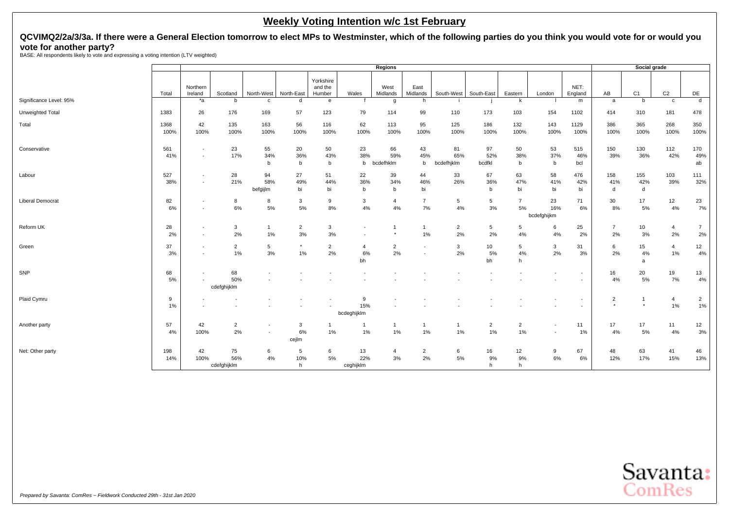# **QCVIMQ2/2a/3/3a. If there were a General Election tomorrow to elect MPs to Westminster, which of the following parties do you think you would vote for or would you vote for another party?** BASE: All respondents likely to vote and expressing a voting intention (LTV weighted)

|                         |              |                                    |                          |                          |                      |                                |                            | Regions                |                                                      |                         |                       |                      |                                                      |                   |                           | Social grade                       |                      |                      |
|-------------------------|--------------|------------------------------------|--------------------------|--------------------------|----------------------|--------------------------------|----------------------------|------------------------|------------------------------------------------------|-------------------------|-----------------------|----------------------|------------------------------------------------------|-------------------|---------------------------|------------------------------------|----------------------|----------------------|
|                         | Total        | Northern<br>Ireland                | Scotland                 | North-West               | North-East           | Yorkshire<br>and the<br>Humber | Wales                      | West<br>Midlands       | East<br>Midlands                                     | South-West              | South-East            | Eastern              | London                                               | NET:<br>England   | AB                        | C <sub>1</sub>                     | C <sub>2</sub>       | DE                   |
| Significance Level: 95% |              | $*_{a}$                            | b                        | $\mathbf{C}$             | d                    | e                              |                            | g                      | h                                                    |                         |                       | k                    |                                                      | m                 | a                         | b                                  | $\mathbf{C}$         | $\mathsf{d}$         |
| Unweighted Total        | 1383         | 26                                 | 176                      | 169                      | 57                   | 123                            | 79                         | 114                    | 99                                                   | 110                     | 173                   | 103                  | 154                                                  | 1102              | 414                       | 310                                | 181                  | 478                  |
| Total                   | 1368<br>100% | 42<br>100%                         | 135<br>100%              | 163<br>100%              | 56<br>100%           | 116<br>100%                    | 62<br>100%                 | 113<br>100%            | 95<br>100%                                           | 125<br>100%             | 186<br>100%           | 132<br>100%          | 143<br>100%                                          | 1129<br>100%      | 386<br>100%               | 365<br>100%                        | 268<br>100%          | 350<br>100%          |
| Conservative            | 561<br>41%   | $\overline{\phantom{a}}$<br>$\sim$ | 23<br>17%                | 55<br>34%<br>b           | 20<br>36%<br>b       | 50<br>43%<br>b                 | 23<br>38%<br>b             | 66<br>59%<br>bcdefhklm | 43<br>45%<br>b                                       | 81<br>65%<br>bcdefhjklm | 97<br>52%<br>bcdfkl   | 50<br>38%<br>b       | 53<br>37%<br>b                                       | 515<br>46%<br>bcl | 150<br>39%                | 130<br>36%                         | 112<br>42%           | 170<br>49%<br>ab     |
| Labour                  | 527<br>38%   | $\overline{\phantom{a}}$           | 28<br>21%                | 94<br>58%<br>befgijlm    | 27<br>49%<br>bi      | 51<br>44%<br>bi                | 22<br>36%<br>$\mathbf b$   | 39<br>34%<br>b         | 44<br>46%<br>bi                                      | 33<br>26%               | 67<br>36%<br>b        | 63<br>47%<br>bi      | 58<br>41%<br>bi                                      | 476<br>42%<br>bi  | 158<br>41%<br>d           | 155<br>42%<br>d                    | 103<br>39%           | 111<br>32%           |
| <b>Liberal Democrat</b> | 82<br>6%     | $\overline{\phantom{a}}$           | 8<br>6%                  | 8<br>5%                  | 3<br>5%              | 9<br>8%                        | 3<br>4%                    | $\overline{4}$<br>4%   | $\overline{7}$<br>7%                                 | 5<br>4%                 | 5<br>3%               | $\overline{7}$<br>5% | 23<br>16%<br>bcdefghijkm                             | 71<br>6%          | 30<br>8%                  | 17<br>5%                           | 12<br>4%             | 23<br>7%             |
| Reform UK               | 28<br>2%     | $\sim$<br>$\overline{\phantom{a}}$ | 3<br>2%                  | 1%                       | $\overline{2}$<br>3% | 3<br>3%                        | $\overline{\phantom{a}}$   |                        | $\mathbf{1}$<br>1%                                   | $\overline{2}$<br>2%    | $5\phantom{.0}$<br>2% | 5<br>4%              | 6<br>$4\%$                                           | 25<br>2%          | $\overline{7}$<br>2%      | 10<br>3%                           | $\overline{4}$<br>2% | $\overline{7}$<br>2% |
| Green                   | 37<br>3%     |                                    | $\overline{2}$<br>1%     | 5<br>3%                  | 1%                   | $\overline{2}$<br>2%           | $\overline{4}$<br>6%<br>bh | $\overline{2}$<br>2%   | $\overline{\phantom{a}}$<br>$\overline{\phantom{a}}$ | 3<br>2%                 | 10<br>5%<br>bh        | 5<br>4%<br>h         | 3<br>2%                                              | 31<br>3%          | 6<br>2%                   | 15<br>4%<br>a                      | $\overline{4}$<br>1% | 12<br>4%             |
| SNP                     | 68<br>5%     |                                    | 68<br>50%<br>cdefghijklm |                          |                      |                                |                            |                        |                                                      |                         |                       |                      | $\overline{\phantom{a}}$                             |                   | 16<br>4%                  | 20<br>5%                           | 19<br>7%             | 13<br>4%             |
| Plaid Cymru             | 9<br>1%      |                                    |                          |                          |                      |                                | 9<br>15%<br>bcdeghijklm    |                        |                                                      |                         |                       |                      |                                                      | ۰                 | $\overline{2}$<br>$\star$ | $\overline{\mathbf{1}}$<br>$\star$ | 4<br>1%              | $\overline{2}$<br>1% |
| Another party           | 57<br>4%     | 42<br>100%                         | $\overline{2}$<br>2%     | $\overline{\phantom{a}}$ | 3<br>6%<br>cejlm     | 1%                             | $\overline{1}$<br>1%       | $\mathbf{1}$<br>1%     | $\mathbf{1}$<br>$1\%$                                | -1<br>1%                | $\overline{2}$<br>1%  | $\overline{2}$<br>1% | $\overline{\phantom{a}}$<br>$\overline{\phantom{a}}$ | 11<br>1%          | 17<br>4%                  | 17<br>5%                           | 11<br>4%             | 12<br>3%             |
| Net: Other party        | 198<br>14%   | 42<br>100%                         | 75<br>56%<br>cdefghijklm | 6<br>4%                  | 5<br>10%<br>h.       | 6<br>5%                        | 13<br>22%<br>ceghijklm     | $\overline{4}$<br>3%   | $\overline{2}$<br>2%                                 | 6<br>5%                 | 16<br>9%<br>h         | 12<br>9%<br>h        | 9<br>6%                                              | 67<br>6%          | 48<br>12%                 | 63<br>17%                          | 41<br>15%            | 46<br>13%            |

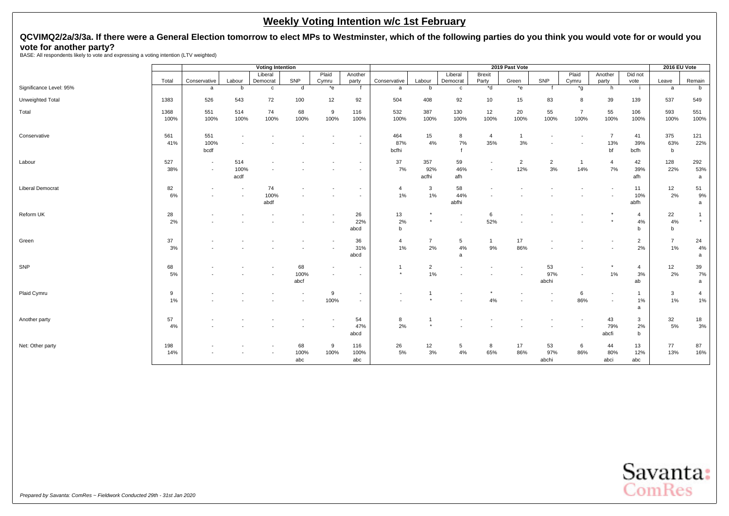# **QCVIMQ2/2a/3/3a. If there were a General Election tomorrow to elect MPs to Westminster, which of the following parties do you think you would vote for or would you vote for another party?** BASE: All respondents likely to vote and expressing a voting intention (LTV weighted)

|                         |       |                          |                          | <b>Voting Intention</b> |                          |         |                          |                |                |              |                | 2019 Past Vote |                          |                |                          |                | 2016 EU Vote   |              |
|-------------------------|-------|--------------------------|--------------------------|-------------------------|--------------------------|---------|--------------------------|----------------|----------------|--------------|----------------|----------------|--------------------------|----------------|--------------------------|----------------|----------------|--------------|
|                         |       |                          |                          | Liberal                 |                          | Plaid   | Another                  |                |                | Liberal      | <b>Brexit</b>  |                |                          | Plaid          | Another                  | Did not        |                |              |
|                         | Total | Conservative             | Labour                   | Democrat                | SNP                      | Cymru   | party                    | Conservative   | Labour         | Democrat     | Party          | Green          | SNP                      | Cymru          | party                    | vote           | Leave          | Remain       |
| Significance Level: 95% |       | a                        | b                        | $\mathbf{C}$            | d                        | $*_{e}$ |                          | a              | b              | $\mathbf{c}$ | *d             | $*_{e}$        |                          | *g             | h                        | -i             | a              | b            |
| Unweighted Total        | 1383  | 526                      | 543                      | 72                      | 100                      | 12      | 92                       | 504            | 408            | 92           | 10             | 15             | 83                       | 8              | 39                       | 139            | 537            | 549          |
| Total                   | 1368  | 551                      | 514                      | 74                      | 68                       | 9       | 116                      | 532            | 387            | 130          | 12             | 20             | 55                       | $\overline{7}$ | 55                       | 106            | 593            | 551          |
|                         | 100%  | 100%                     | 100%                     | 100%                    | 100%                     | 100%    | 100%                     | 100%           | 100%           | 100%         | 100%           | 100%           | 100%                     | 100%           | 100%                     | 100%           | 100%           | 100%         |
| Conservative            | 561   | 551                      |                          |                         |                          |         |                          | 464            | 15             | 8            | $\overline{4}$ | $\mathbf{1}$   |                          |                | $\overline{7}$           | 41             | 375            | 121          |
|                         | 41%   | 100%                     |                          |                         |                          |         | $\overline{\phantom{a}}$ | 87%            | 4%             | 7%           | 35%            | 3%             |                          |                | 13%                      | 39%            | 63%            | 22%          |
|                         |       | bcdf                     |                          |                         |                          |         |                          | bcfhi          |                |              |                |                |                          |                | bf                       | bcfh           | $\mathbf b$    |              |
| Labour                  | 527   | $\overline{\phantom{a}}$ | 514                      |                         |                          |         | $\overline{\phantom{a}}$ | 37             | 357            | 59           |                | $\overline{2}$ | $\overline{2}$           | $\mathbf{1}$   | 4                        | 42             | 128            | 292          |
|                         | 38%   | $\overline{\phantom{a}}$ | 100%                     |                         |                          |         | $\overline{\phantom{a}}$ | 7%             | 92%            | 46%          |                | 12%            | 3%                       | 14%            | 7%                       | 39%            | 22%            | 53%          |
|                         |       |                          | acdf                     |                         |                          |         |                          |                | acfhi          | afh          |                |                |                          |                |                          | afh            |                | a            |
| <b>Liberal Democrat</b> | 82    |                          | $\blacksquare$           | 74                      |                          |         |                          | $\overline{4}$ | $\overline{3}$ | 58           |                |                |                          |                |                          | 11             | 12             | 51           |
|                         | 6%    |                          | $\overline{\phantom{a}}$ | 100%                    |                          |         |                          | 1%             | 1%             | 44%          |                |                |                          |                |                          | 10%            | 2%             | 9%           |
|                         |       |                          |                          | abdf                    |                          |         |                          |                |                | abfhi        |                |                |                          |                |                          | abfh           |                | a            |
| Reform UK               | 28    |                          |                          |                         |                          |         | 26                       | 13             |                |              | 6              |                |                          |                |                          | $\overline{4}$ | 22             | $\mathbf{1}$ |
|                         | 2%    |                          |                          |                         |                          |         | 22%                      | 2%             |                |              | 52%            |                |                          |                |                          | 4%             | 4%             | $\star$      |
|                         |       |                          |                          |                         |                          |         | abcd                     | $\mathbf b$    |                |              |                |                |                          |                |                          | b              | b              |              |
| Green                   | 37    |                          |                          |                         |                          |         | 36                       | 4              | $\overline{7}$ | 5            | $\mathbf{1}$   | 17             |                          |                |                          | $\overline{2}$ | $\overline{7}$ | 24           |
|                         | 3%    |                          |                          |                         |                          |         | 31%                      | 1%             | 2%             | 4%           | 9%             | 86%            |                          |                |                          | 2%             | 1%             | 4%           |
|                         |       |                          |                          |                         |                          |         | abcd                     |                |                | a            |                |                |                          |                |                          |                |                | a            |
| SNP                     | 68    |                          |                          |                         | 68                       |         | $\overline{\phantom{a}}$ |                | $\overline{2}$ |              |                |                | 53                       |                |                          | $\overline{4}$ | 12             | 39           |
|                         | 5%    |                          |                          |                         | 100%                     |         |                          | $\star$        | 1%             |              |                |                | 97%                      |                | 1%                       | 3%             | 2%             | 7%           |
|                         |       |                          |                          |                         | abcf                     |         |                          |                |                |              |                |                | abchi                    |                |                          | ab             |                | a            |
| Plaid Cymru             | 9     |                          |                          |                         | $\overline{\phantom{a}}$ | 9       | $\overline{\phantom{a}}$ |                |                |              |                |                |                          | 6              | $\overline{\phantom{a}}$ | $\overline{1}$ | 3              | 4            |
|                         | 1%    |                          |                          |                         | $\overline{\phantom{a}}$ | 100%    | $\overline{\phantom{a}}$ |                |                |              | 4%             |                | $\overline{\phantom{a}}$ | 86%            | $\overline{\phantom{a}}$ | 1%             | 1%             | 1%           |
|                         |       |                          |                          |                         |                          |         |                          |                |                |              |                |                |                          |                |                          | a              |                |              |
| Another party           | 57    |                          |                          |                         |                          |         | 54                       | 8              |                |              |                |                |                          |                | 43                       | 3              | 32             | 18           |
|                         | 4%    |                          |                          |                         |                          |         | 47%                      | 2%             |                |              |                |                |                          |                | 79%                      | 2%             | 5%             | 3%           |
|                         |       |                          |                          |                         |                          |         | abcd                     |                |                |              |                |                |                          |                | abcfi                    | b              |                |              |
| Net: Other party        | 198   |                          |                          |                         | 68                       | 9       | 116                      | 26             | 12             | 5            | 8              | 17             | 53                       | 6              | 44                       | 13             | 77             | 87           |
|                         | 14%   |                          |                          |                         | 100%                     | 100%    | 100%                     | $5\%$          | 3%             | 4%           | 65%            | 86%            | 97%                      | 86%            | 80%                      | 12%            | 13%            | 16%          |
|                         |       |                          |                          |                         | abc                      |         | abc                      |                |                |              |                |                | abchi                    |                | abci                     | abc            |                |              |

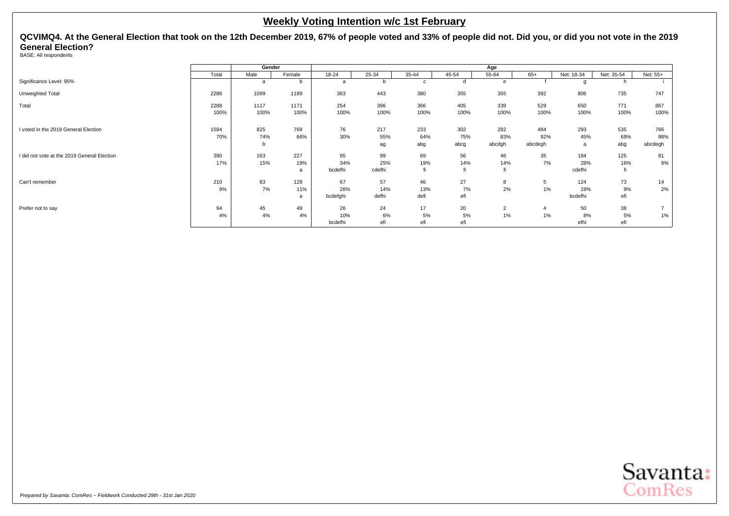<span id="page-32-0"></span>**QCVIMQ4. At the General Election that took on the 12th December 2019, 67% of people voted and 33% of people did not. Did you, or did you not vote in the 2019 General Election?**

BASE: All respondents

|                                             |       | Gender |        |           |        |              |       | Age            |         |            |            |          |
|---------------------------------------------|-------|--------|--------|-----------|--------|--------------|-------|----------------|---------|------------|------------|----------|
|                                             | Total | Male   | Female | $18 - 24$ | 25-34  | 35-44        | 45-54 | 55-64          | $65+$   | Net: 18-34 | Net: 35-54 | Net: 55+ |
| Significance Level: 95%                     |       | a      | b      | a         | b      | $\mathbf{C}$ | d     | e              |         | g          |            |          |
| Unweighted Total                            | 2288  | 1099   | 1189   | 363       | 443    | 380          | 355   | 355            | 392     | 806        | 735        | 747      |
| Total                                       | 2288  | 1117   | 1171   | 254       | 396    | 366          | 405   | 339            | 529     | 650        | 771        | 867      |
|                                             | 100%  | 100%   | 100%   | 100%      | 100%   | 100%         | 100%  | 100%           | 100%    | 100%       | 100%       | 100%     |
| I voted in the 2019 General Election        | 1594  | 825    | 769    | 76        | 217    | 233          | 302   | 282            | 484     | 293        | 535        | 766      |
|                                             | 70%   | 74%    | 66%    | 30%       | 55%    | 64%          | 75%   | 83%            | 92%     | 45%        | 69%        | 88%      |
|                                             |       | b      |        |           |        |              | abcg  | abcdgh         | abcdegh |            | abg        | abcdegh  |
|                                             |       |        |        |           | ag     | abg          |       |                |         | a          |            |          |
| I did not vote at the 2019 General Election | 390   | 163    | 227    | 85        | 99     | 69           | 56    | 46             | 35      | 184        | 125        | 81       |
|                                             | 17%   | 15%    | 19%    | 34%       | 25%    | 19%          | 14%   | 14%            | 7%      | 28%        | 16%        | 9%       |
|                                             |       |        | a      | bcdefhi   | cdefhi | fi           |       | fi             |         | cdefhi     |            |          |
| Can't remember                              | 210   | 83     | 128    | 67        | 57     | 46           | 27    | 8              | 5       | 124        | 73         | 14       |
|                                             | 9%    | 7%     | 11%    | 26%       | 14%    | 13%          | 7%    | 2%             | 1%      | 19%        | 9%         | 2%       |
|                                             |       |        | a      | bcdefghi  | defhi  | defi         | efi   |                |         | bcdefhi    | efi        |          |
| Prefer not to say                           | 94    | 45     | 49     | 26        | 24     | 17           | 20    | $\overline{2}$ | 4       | 50         | 38         |          |
|                                             | 4%    | 4%     | 4%     | 10%       | 6%     | 5%           | 5%    | 1%             | 1%      | 8%         | 5%         | 1%       |
|                                             |       |        |        | bcdefhi   | efi    | efi          | efi   |                |         | efhi       | efi        |          |

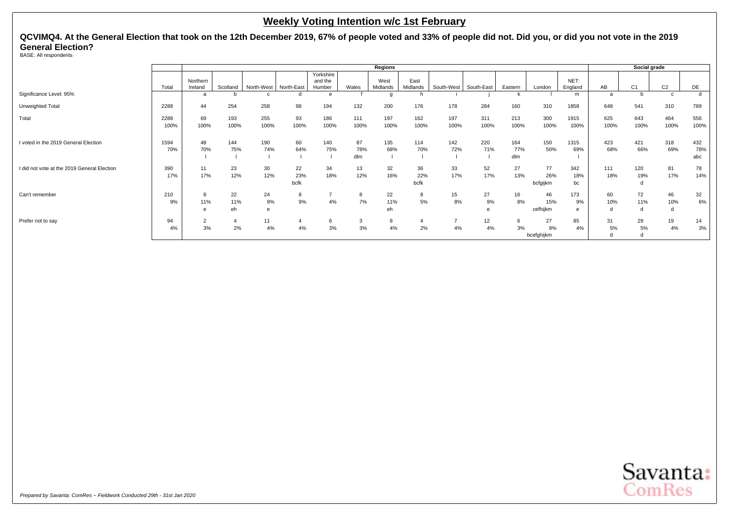**QCVIMQ4. At the General Election that took on the 12th December 2019, 67% of people voted and 33% of people did not. Did you, or did you not vote in the 2019 General Election?**

BASE: All respondents

|                                             |              |                      |                 |                      |                   |                                |                  | <b>Regions</b>   |                   |             |             |                   |                        |                  |                | Social grade   |                |                   |
|---------------------------------------------|--------------|----------------------|-----------------|----------------------|-------------------|--------------------------------|------------------|------------------|-------------------|-------------|-------------|-------------------|------------------------|------------------|----------------|----------------|----------------|-------------------|
|                                             | Total        | Northern<br>Ireland  | Scotland        | North-West           | North-East        | Yorkshire<br>and the<br>Humber | Wales            | West<br>Midlands | East<br>Midlands  | South-West  | South-East  | Eastern           | London                 | NET:<br>England  | AB             | C <sub>1</sub> | C <sub>2</sub> | DE                |
| Significance Level: 95%                     |              | а                    |                 |                      |                   | e                              |                  |                  |                   |             |             |                   |                        | m                | $\overline{a}$ |                |                | d                 |
| Unweighted Total                            | 2288         | 44                   | 254             | 258                  | 98                | 194                            | 132              | 200              | 176               | 178         | 284         | 160               | 310                    | 1858             | 648            | 541            | 310            | 789               |
| Total                                       | 2288<br>100% | 69<br>100%           | 193<br>100%     | 255<br>100%          | 93<br>100%        | 186<br>100%                    | 111<br>100%      | 197<br>100%      | 162<br>100%       | 197<br>100% | 311<br>100% | 213<br>100%       | 300<br>100%            | 1915<br>100%     | 625<br>100%    | 643<br>100%    | 464<br>100%    | 556<br>100%       |
| I voted in the 2019 General Election        | 1594<br>70%  | 48<br>70%            | 144<br>75%      | 190<br>74%           | 60<br>64%         | 140<br>75%                     | 87<br>78%<br>dlm | 135<br>68%       | 114<br>70%        | 142<br>72%  | 220<br>71%  | 164<br>77%<br>dlm | 150<br>50%             | 1315<br>69%      | 423<br>68%     | 421<br>66%     | 318<br>69%     | 432<br>78%<br>abc |
| I did not vote at the 2019 General Election | 390<br>17%   | 11<br>17%            | 23<br>12%       | 30<br>12%            | 22<br>23%<br>bcfk | 34<br>18%                      | 13<br>12%        | 32<br>16%        | 36<br>22%<br>bcfk | 33<br>17%   | 52<br>17%   | 27<br>13%         | 77<br>26%<br>bcfgijkm  | 342<br>18%<br>bc | 111<br>18%     | 120<br>19%     | 81<br>17%      | 78<br>14%         |
| Can't remember                              | 210<br>9%    | 8<br>11%<br>e        | 22<br>11%<br>eh | 24<br>9%<br>$\theta$ | 8<br>9%           | 4%                             | 8<br>7%          | 22<br>11%<br>eh  | 8<br>5%           | 15<br>8%    | 27<br>9%    | 16<br>8%          | 46<br>15%<br>cefhijkm  | 173<br>9%<br>e   | 60<br>10%<br>d | 72<br>11%<br>d | 46<br>10%<br>d | 32<br>6%          |
| Prefer not to say                           | 94<br>4%     | $\overline{2}$<br>3% | 2%              | 11<br>4%             | 4%                | 6<br>3%                        | 3<br>3%          | 8<br>4%          | 4<br>2%           | 4%          | 12<br>4%    | 6<br>3%           | 27<br>9%<br>bcefghijkm | 85<br>4%         | 31<br>5%<br>d  | 29<br>5%<br>d  | 19<br>4%       | 14<br>3%          |

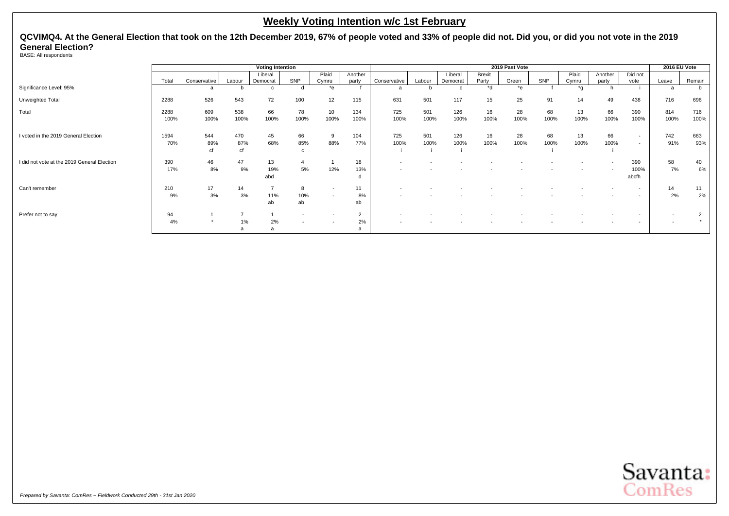**QCVIMQ4. At the General Election that took on the 12th December 2019, 67% of people voted and 33% of people did not. Did you, or did you not vote in the 2019 General Election?**

BASE: All respondents

|                                             |              |                  |                  | <b>Voting Intention</b> |                          |                                                      |                      |                                                      |             |             |               | 2019 Past Vote |            |              |            |                                                      | 2016 EU Vote |             |
|---------------------------------------------|--------------|------------------|------------------|-------------------------|--------------------------|------------------------------------------------------|----------------------|------------------------------------------------------|-------------|-------------|---------------|----------------|------------|--------------|------------|------------------------------------------------------|--------------|-------------|
|                                             |              |                  |                  | Liberal                 |                          | Plaid                                                | Another              |                                                      |             | Liberal     | <b>Brexit</b> |                |            | Plaid        | Another    | Did not                                              |              |             |
|                                             | Total        | Conservative     | Labour           | Democrat                | SNP                      | Cymru                                                | party                | Conservative                                         | Labour      | Democrat    | Party         | Green          | SNP        | Cymru        | party      | vote                                                 | Leave        | Remain      |
| Significance Level: 95%                     |              |                  |                  | $\mathbf{C}$            |                          | $*_{\Theta}$                                         |                      | a                                                    |             |             | $h^*$         | $*_{e}$        |            | $*_{\alpha}$ |            |                                                      | a            | b           |
| Unweighted Total                            | 2288         | 526              | 543              | 72                      | 100                      | 12                                                   | 115                  | 631                                                  | 501         | 117         | 15            | 25             | 91         | 14           | 49         | 438                                                  | 716          | 696         |
| Total                                       | 2288<br>100% | 609<br>100%      | 538<br>100%      | 66<br>100%              | 78<br>100%               | 10<br>100%                                           | 134<br>100%          | 725<br>100%                                          | 501<br>100% | 126<br>100% | 16<br>100%    | 28<br>100%     | 68<br>100% | 13<br>100%   | 66<br>100% | 390<br>100%                                          | 814<br>100%  | 716<br>100% |
| I voted in the 2019 General Election        | 1594<br>70%  | 544<br>89%<br>сf | 470<br>87%<br>cf | 45<br>68%               | 66<br>85%                | 9<br>88%                                             | 104<br>77%           | 725<br>100%                                          | 501<br>100% | 126<br>100% | 16<br>100%    | 28<br>100%     | 68<br>100% | 13<br>100%   | 66<br>100% | $\overline{\phantom{a}}$<br>$\overline{\phantom{a}}$ | 742<br>91%   | 663<br>93%  |
| I did not vote at the 2019 General Election | 390<br>17%   | 46<br>8%         | 47<br>9%         | 13<br>19%<br>abd        | 5%                       | 12%                                                  | 18<br>13%            | $\overline{\phantom{a}}$                             |             |             |               |                |            |              |            | 390<br>100%<br>abcfh                                 | 58<br>7%     | 40<br>6%    |
| Can't remember                              | 210<br>9%    | 17<br>3%         | 14<br>3%         | 11%<br>ab               | 10%<br>ab                | $\overline{\phantom{a}}$<br>$\overline{\phantom{a}}$ | 11<br>8%<br>ab       | $\overline{\phantom{a}}$<br>$\overline{\phantom{a}}$ |             |             |               |                |            |              |            | $\overline{\phantom{a}}$<br>$\overline{\phantom{a}}$ | 14<br>2%     | 11<br>2%    |
| Prefer not to say                           | 94<br>4%     |                  | 1%               | 2%<br>a                 | $\overline{\phantom{a}}$ |                                                      | $\overline{2}$<br>2% | $\overline{\phantom{a}}$<br>$\overline{\phantom{a}}$ |             |             |               |                |            |              |            | $\overline{\phantom{a}}$<br>$\overline{\phantom{a}}$ |              |             |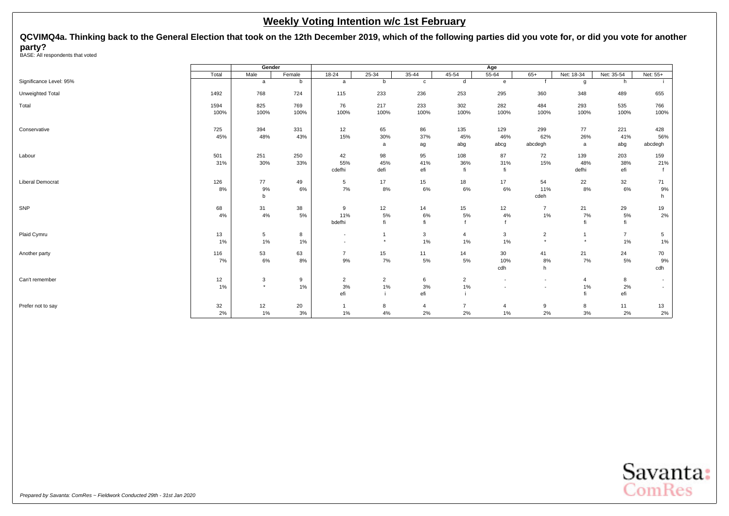2% 1% 3% 1% 4% 2% 2% 1% 2% 3% 2% 2%

<span id="page-35-0"></span>**QCVIMQ4a. Thinking back to the General Election that took on the 12th December 2019, which of the following parties did you vote for, or did you vote for another party?** BASE: All respondents that voted

**Gender Age** Total | Male | Female | 18-24 | 25-34 | 35-44 | 45-54 | 55-64 | 65+ | Net: 18-34 | Net: 35-54 | Net: 55+ Significance Level: 95% a b b b c d e f g h i Unweighted Total 1492 768 724 115 233 236 253 295 360 348 489 655 Total 1594 825 769 76 217 233 302 282 484 293 535 766 100% 100% 100% 100% 100% 100% 100% 100% 100% 100% 100% 100% Conservative 725 394 331 12 65 86 135 129 299 77 221 428 45% 48% 43% 15% 30% 37% 45% 46% 62% 26% 41% 56% a ag abg abcg abcdegh a abg abcdegh Labour 501 251 250 42 98 95 108 87 72 139 203 159 31% 30% 33% 55% 45% 41% 36% 31% 15% 48% 38% 21% cdefhi defi efi fi fi fi defhi efi f Liberal Democrat 126 77 49 5 17 15 18 17 54 22 32 71 8% 9% 6% 7% 8% 6% 6% 6% 11% 8% 6% 9% b cdeh hadded a state of the control of the control of the control of the control of the control of the control of the control of the control of the control of the control of the control of the control of the control of th SNP 68 31 38 9 12 14 15 12 7 21 29 19 4% 4% 5% 11% 5% 6% 5% 4% 1% 7% 5% 2% bdefhi fi fi fi fi fi fi fi Plaid Cymru 13 5 8 - 1 3 4 3 2 1 7 5 1% 1% 1% - \* 1% 1% 1% \* \* 1% 1% Another party 116 | 53 63 | 7 15 11 14 30 41 21 24 70 7% 6% 8% 9% 7% 5% 5% 10% 8% 7% 5% 9% cdh h chun anns an comhan anns an comhan an comhan an comhan an comhan an comhan an comhan an comhan an comhan Can't remember 12 | 3 9 | 2 2 6 2 - - 4 8 -1% \* 1% 3% 1% 3% 1% - - 1% 2% efi i efi i i fi efi Prefer not to say 32 12 20 1 8 4 7 4 9 8 11 13

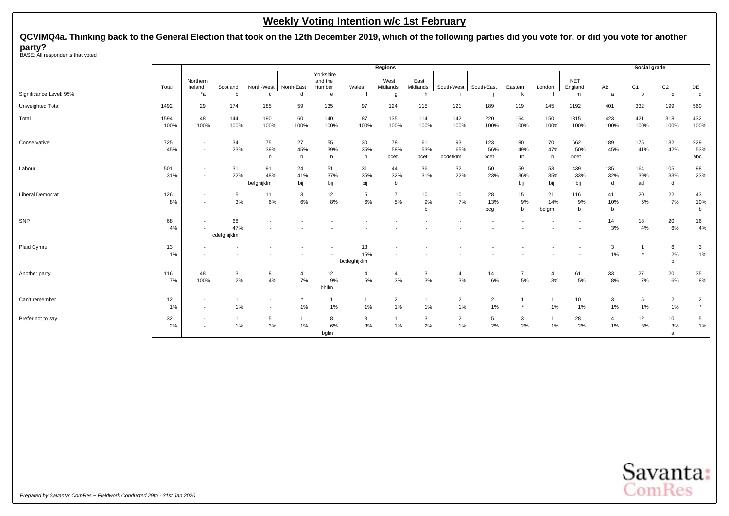**QCVIMQ4a. Thinking back to the General Election that took on the 12th December 2019, which of the following parties did you vote for, or did you vote for another party?** BASE: All respondents that voted

|                         |              |                                                      |                          |                                            |                      |                                |                          | Regions              |                    |                       |                          |                         |                    |                                                      |                      | Social grade     |                          |                           |
|-------------------------|--------------|------------------------------------------------------|--------------------------|--------------------------------------------|----------------------|--------------------------------|--------------------------|----------------------|--------------------|-----------------------|--------------------------|-------------------------|--------------------|------------------------------------------------------|----------------------|------------------|--------------------------|---------------------------|
|                         | Total        | Northern<br>Ireland                                  | Scotland                 | North-West                                 | North-East           | Yorkshire<br>and the<br>Humber | Wales                    | West<br>Midlands     | East<br>Midlands   | South-West            | South-East               | Eastern                 | London             | NET:<br>England                                      | AB                   | C1               | C <sub>2</sub>           | DE                        |
| Significance Level: 95% |              | *a                                                   | h                        | $\mathbf{c}$                               | d                    | $\mathbf{e}$                   |                          | g                    | h                  |                       |                          | k                       |                    | m                                                    | a                    | h                | $\mathbf{c}$             | d                         |
| Unweighted Total        | 1492         | 29                                                   | 174                      | 185                                        | 59                   | 135                            | 97                       | 124                  | 115                | 121                   | 189                      | 119                     | 145                | 1192                                                 | 401                  | 332              | 199                      | 560                       |
| Total                   | 1594<br>100% | 48<br>100%                                           | 144<br>100%              | 190<br>100%                                | 60<br>100%           | 140<br>100%                    | 87<br>100%               | 135<br>100%          | 114<br>100%        | 142<br>100%           | 220<br>100%              | 164<br>100%             | 150<br>100%        | 1315<br>100%                                         | 423<br>100%          | 421<br>100%      | 318<br>100%              | 432<br>100%               |
| Conservative            | 725<br>45%   | $\sim$<br>$\overline{\phantom{a}}$                   | 34<br>23%                | 75<br>39%<br>b                             | 27<br>45%<br>b       | 55<br>39%<br>b                 | 30<br>35%<br>$\mathbf b$ | 78<br>58%<br>bcef    | 61<br>53%<br>bcef  | 93<br>65%<br>bcdefklm | 123<br>56%<br>bcef       | 80<br>49%<br>bf         | 70<br>47%<br>b     | 662<br>50%<br>bcef                                   | 189<br>45%           | 175<br>41%       | 132<br>42%               | 229<br>53%<br>abc         |
| Labour                  | 501<br>31%   | $\overline{\phantom{a}}$<br>$\overline{\phantom{a}}$ | 31<br>22%                | 91<br>48%<br>befghijklm                    | 24<br>41%<br>bij     | 51<br>37%<br>bij               | 31<br>35%<br>bij         | 44<br>32%<br>b       | 36<br>31%          | 32<br>22%             | 50<br>23%                | 59<br>36%<br>bij        | 53<br>35%<br>bij   | 439<br>33%<br>bij                                    | 135<br>32%<br>d      | 164<br>39%<br>ad | 105<br>33%<br>d          | 98<br>23%                 |
| <b>Liberal Democrat</b> | 126<br>8%    | $\overline{\phantom{a}}$                             | 5<br>3%                  | 11<br>$6\%$                                | 3<br>6%              | 12<br>8%                       | 5<br>6%                  | $\overline{7}$<br>5% | 10<br>9%<br>b      | 10<br>7%              | 28<br>13%<br>bcg         | 15<br>9%<br>$\mathbf b$ | 21<br>14%<br>bcfgm | 116<br>9%<br>b                                       | 41<br>10%<br>b       | 20<br>5%         | 22<br>7%                 | 43<br>10%<br>b            |
| SNP                     | 68<br>4%     | $\overline{\phantom{a}}$                             | 68<br>47%<br>cdefghijklm | $\overline{\phantom{a}}$                   |                      |                                |                          |                      |                    |                       | $\overline{\phantom{a}}$ |                         |                    | $\overline{\phantom{a}}$<br>$\overline{\phantom{a}}$ | 14<br>3%             | 18<br>4%         | 20<br>6%                 | 16<br>4%                  |
| Plaid Cymru             | 13<br>1%     | $\overline{\phantom{a}}$                             |                          |                                            |                      |                                | 13<br>15%<br>bcdeghijklm |                      |                    |                       |                          |                         |                    | $\overline{\phantom{a}}$<br>$\overline{\phantom{a}}$ | 3<br>1%              | $\star$          | 6<br>2%<br>b             | 3<br>1%                   |
| Another party           | 116<br>7%    | 48<br>100%                                           | 3<br>2%                  | 8<br>4%                                    | $\overline{4}$<br>7% | 12<br>9%<br>bhilm              | 4<br>5%                  | 4<br>3%              | 3<br>3%            | 4<br>3%               | 14<br>6%                 | $\overline{7}$<br>5%    | 4<br>3%            | 61<br>5%                                             | 33<br>8%             | 27<br>7%         | 20<br>6%                 | 35<br>8%                  |
| Can't remember          | 12<br>1%     | $\overline{\phantom{a}}$<br>$\overline{\phantom{a}}$ | -1<br>1%                 | $\overline{\phantom{a}}$<br>$\blacksquare$ | $1\%$                | -1<br>1%                       | 1%                       | $\overline{2}$<br>1% | $\mathbf{1}$<br>1% | $\overline{2}$<br>1%  | $\overline{2}$<br>1%     | $\star$                 | 1%                 | 10<br>1%                                             | 3<br>1%              | 5<br>1%          | $\overline{2}$<br>1%     | $\overline{2}$<br>$\star$ |
| Prefer not to say       | 32<br>2%     | $\sim$<br>$\overline{\phantom{a}}$                   | -1<br>1%                 | 5<br>3%                                    | $\overline{1}$<br>1% | 8<br>6%<br>bglm                | 3<br>3%                  | $1\%$                | $\mathbf{3}$<br>2% | $\overline{2}$<br>1%  | 5<br>2%                  | 3<br>2%                 | $1\%$              | 28<br>2%                                             | $\overline{4}$<br>1% | 12<br>3%         | 10<br>3%<br>$\mathbf{a}$ | $\overline{5}$<br>1%      |

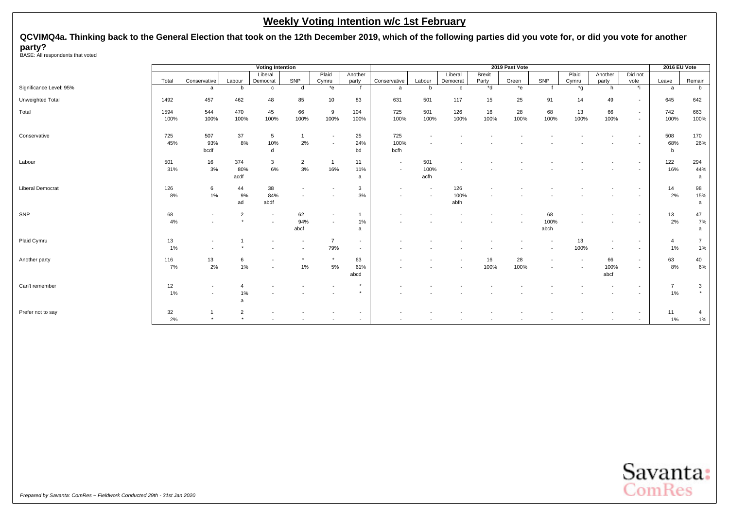**QCVIMQ4a. Thinking back to the General Election that took on the 12th December 2019, which of the following parties did you vote for, or did you vote for another party?** BASE: All respondents that voted

|                         |       |               |                | <b>Voting Intention</b> |                         |                 |         |              |             |          |               | 2019 Past Vote   |      |                  |                          |                          | 2016 EU Vote   |                |
|-------------------------|-------|---------------|----------------|-------------------------|-------------------------|-----------------|---------|--------------|-------------|----------|---------------|------------------|------|------------------|--------------------------|--------------------------|----------------|----------------|
|                         |       |               |                | Liberal                 |                         | Plaid           | Another |              |             | Liberal  | <b>Brexit</b> |                  |      | Plaid            | Another                  | Did not                  |                |                |
| Significance Level: 95% | Total | Conservative  | Labour<br>b    | Democrat                | SNP<br>d                | Cymru<br>$E^*e$ | party   | Conservative | Labour<br>b | Democrat | Party<br>*d   | Green<br>$*_{e}$ | SNP  | Cymru<br>$*_{q}$ | party                    | vote<br>*i               | Leave          | Remain<br>b    |
|                         |       | a             |                | C                       |                         |                 |         | a            |             | C        |               |                  |      |                  | h.                       |                          | a              |                |
| Unweighted Total        | 1492  | 457           | 462            | 48                      | 85                      | 10              | 83      | 631          | 501         | 117      | 15            | 25               | 91   | 14               | 49                       |                          | 645            | 642            |
| Total                   | 1594  | 544           | 470            | 45                      | 66                      | 9               | 104     | 725          | 501         | 126      | 16            | 28               | 68   | 13               | 66                       | $\overline{\phantom{a}}$ | 742            | 663            |
|                         | 100%  | 100%          | 100%           | 100%                    | 100%                    | 100%            | 100%    | 100%         | 100%        | 100%     | 100%          | 100%             | 100% | 100%             | 100%                     | $\overline{\phantom{a}}$ | 100%           | 100%           |
| Conservative            | 725   | 507           | 37             | 5                       | $\overline{\mathbf{1}}$ |                 | 25      | 725          |             |          |               |                  |      |                  |                          |                          | 508            | 170            |
|                         | 45%   | 93%           | 8%             | 10%                     | 2%                      |                 | 24%     | 100%         |             |          |               |                  |      |                  |                          |                          | 68%            | 26%            |
|                         |       | bcdf          |                | d                       |                         |                 | bd      | bcfh         |             |          |               |                  |      |                  |                          |                          | b              |                |
| Labour                  | 501   | 16            | 374            | 3                       | $\overline{2}$          | $\overline{1}$  | 11      | $\sim$       | 501         |          |               |                  |      |                  |                          |                          | 122            | 294            |
|                         | 31%   | 3%            | 80%            | 6%                      | 3%                      | 16%             | 11%     | $\sim$       | 100%        |          |               |                  |      |                  |                          |                          | 16%            | 44%            |
|                         |       |               | acdf           |                         |                         |                 | a       |              | acfh        |          |               |                  |      |                  |                          |                          |                | a              |
| <b>Liberal Democrat</b> | 126   | 6             | 44             | 38                      |                         |                 | 3       |              |             | 126      |               |                  |      |                  |                          |                          | 14             | 98             |
|                         | 8%    | 1%            | 9%             | 84%                     |                         |                 | 3%      |              |             | 100%     |               |                  |      |                  |                          |                          | 2%             | 15%            |
|                         |       |               | ad             | abdf                    |                         |                 |         |              |             | abfh     |               |                  |      |                  |                          |                          |                | a              |
| SNP                     | 68    |               | $\overline{2}$ |                         | 62                      |                 |         |              |             |          |               |                  | 68   |                  |                          |                          | 13             | 47             |
|                         | 4%    |               | $\rightarrow$  |                         | 94%                     |                 | 1%      |              |             |          |               |                  | 100% |                  |                          |                          | 2%             | 7%             |
|                         |       |               |                |                         | abcf                    |                 | a       |              |             |          |               |                  | abch |                  |                          |                          |                | a              |
| Plaid Cymru             | 13    |               |                |                         |                         | $\overline{7}$  |         |              |             |          |               |                  |      | 13               | $\overline{\phantom{a}}$ |                          | 4              | $\overline{7}$ |
|                         | 1%    |               |                |                         |                         | 79%             |         |              |             |          |               |                  |      | 100%             | $\overline{\phantom{a}}$ |                          | 1%             | 1%             |
| Another party           | 116   | 13            | 6              |                         |                         | $\star$         | 63      |              |             |          | 16            | 28               |      |                  | 66                       |                          | 63             | 40             |
|                         | 7%    | 2%            | $1\%$          |                         | $1\%$                   | 5%              | 61%     |              |             |          | 100%          | 100%             |      |                  | 100%                     |                          | 8%             | $6\%$          |
|                         |       |               |                |                         |                         |                 | abcd    |              |             |          |               |                  |      |                  | abcf                     |                          |                |                |
| Can't remember          | 12    |               | 4              |                         |                         |                 |         |              |             |          |               |                  |      |                  |                          |                          | $\overline{7}$ | 3              |
|                         | 1%    |               | 1%             |                         |                         |                 |         |              |             |          |               |                  |      |                  |                          |                          | $1\%$          |                |
|                         |       |               | a              |                         |                         |                 |         |              |             |          |               |                  |      |                  |                          |                          |                |                |
| Prefer not to say       | 32    |               | $\overline{2}$ |                         |                         |                 |         |              |             |          |               |                  |      |                  |                          |                          | 11             | 4              |
|                         | 2%    | $\rightarrow$ | $\rightarrow$  |                         |                         |                 |         |              |             |          |               |                  |      |                  |                          |                          | 1%             | 1%             |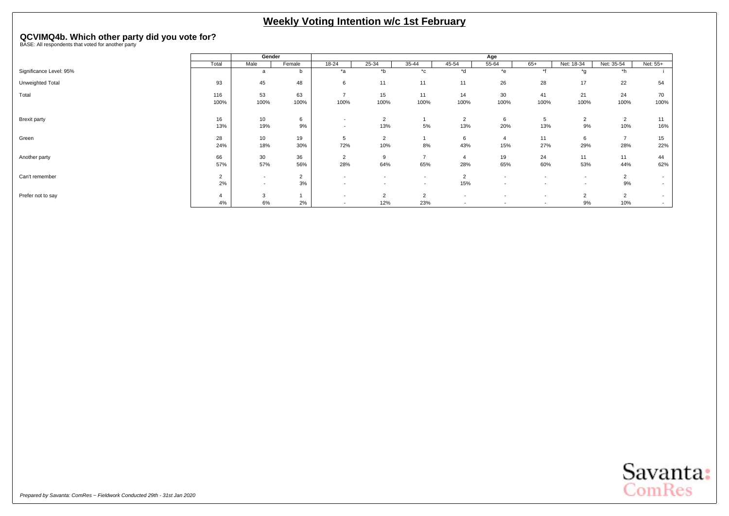# <span id="page-38-0"></span>**QCVIMQ4b. Which other party did you vote for?** BASE: All respondents that voted for another party

|                         |             | Gender                 |                      |                                                      |                                                      |                                    |                                    | Age                                                  |                                                      |                                                      |                       |                                    |
|-------------------------|-------------|------------------------|----------------------|------------------------------------------------------|------------------------------------------------------|------------------------------------|------------------------------------|------------------------------------------------------|------------------------------------------------------|------------------------------------------------------|-----------------------|------------------------------------|
|                         | Total       | Male                   | Female               | 18-24                                                | 25-34                                                | 35-44                              | 45-54                              | 55-64                                                | $65+$                                                | Net: 18-34                                           | Net: 35-54            | Net: 55+                           |
| Significance Level: 95% |             | a                      | b                    | $*_{\mathsf{a}}$                                     | $b^*$                                                | $^{\star}$ c                       | *d                                 | $*$ e                                                | $*$                                                  | *α                                                   | $*h$                  |                                    |
| Unweighted Total        | 93          | 45                     | 48                   | 6                                                    | 11                                                   | 11                                 | 11                                 | 26                                                   | 28                                                   | 17                                                   | 22                    | 54                                 |
| Total                   | 116<br>100% | 53<br>100%             | 63<br>100%           | $\overline{\phantom{a}}$<br>100%                     | 15<br>100%                                           | 11<br>100%                         | 14<br>100%                         | 30<br>100%                                           | 41<br>100%                                           | 21<br>100%                                           | 24<br>100%            | 70<br>100%                         |
| Brexit party            | 16<br>13%   | 10<br>19%              | 6<br>9%              | $\overline{\phantom{a}}$<br>$\overline{\phantom{a}}$ | $\overline{2}$<br>13%                                | 5%                                 | $\overline{2}$<br>13%              | 6<br>20%                                             | $\mathbf{p}$<br>13%                                  | $\overline{2}$<br>9%                                 | 2<br>10%              | 11<br>16%                          |
| Green                   | 28<br>24%   | 10 <sub>1</sub><br>18% | 19<br>30%            | 5<br>72%                                             | $\overline{2}$<br>10%                                | 8%                                 | 6<br>43%                           | $\overline{4}$<br>15%                                | 11<br>27%                                            | 6<br>29%                                             | $\overline{7}$<br>28% | 15<br>22%                          |
| Another party           | 66<br>57%   | 30<br>57%              | 36<br>56%            | $\overline{2}$<br>28%                                | 9<br>64%                                             | ۰,<br>65%                          | 28%                                | 19<br>65%                                            | 24<br>60%                                            | 11<br>53%                                            | 11<br>44%             | 44<br>62%                          |
| Can't remember          | 2%          | $\sim$<br>$\sim$       | $\overline{2}$<br>3% | $\overline{\phantom{a}}$<br>$\overline{\phantom{a}}$ | $\overline{\phantom{a}}$<br>$\overline{\phantom{a}}$ | $\sim$<br>$\overline{\phantom{a}}$ | $\overline{2}$<br>15%              | $\overline{\phantom{a}}$<br>$\overline{\phantom{a}}$ | $\overline{\phantom{a}}$<br>$\overline{\phantom{a}}$ | $\overline{\phantom{a}}$<br>$\overline{\phantom{a}}$ | $\overline{2}$<br>9%  | $\sim$<br>$\overline{\phantom{0}}$ |
| Prefer not to say       | 4%          | 3<br>6%                | 2%                   | $\overline{\phantom{a}}$<br>$\overline{\phantom{a}}$ | $\overline{2}$<br>12%                                | 2<br>23%                           | $\sim$<br>$\overline{\phantom{a}}$ | $\overline{\phantom{0}}$<br>$\overline{\phantom{a}}$ | $\overline{\phantom{a}}$<br>$\overline{\phantom{a}}$ | $\overline{2}$<br>9%                                 | 2<br>10%              | $\sim$<br>$\sim$                   |

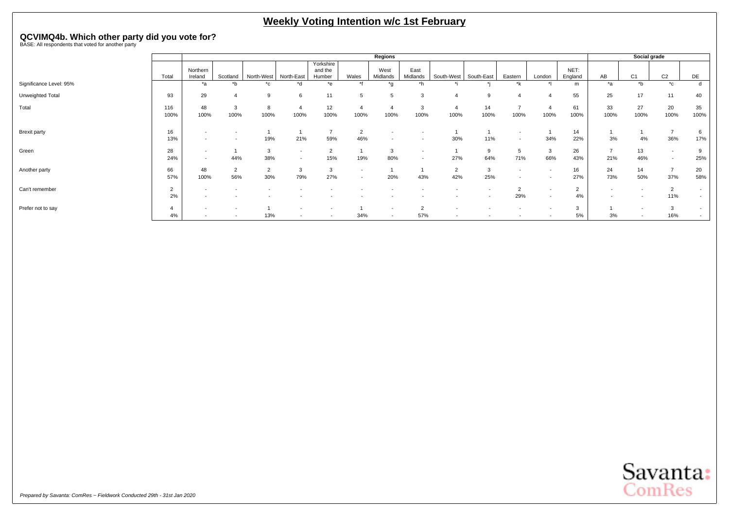# **QCVIMQ4b. Which other party did you vote for?** BASE: All respondents that voted for another party

|                         |                      |                     |                       |                       |                                    |                                |                                                      | Regions                                              |                                    |                          |            |                                    |                          |                      |                          | Social grade             |                       |                  |
|-------------------------|----------------------|---------------------|-----------------------|-----------------------|------------------------------------|--------------------------------|------------------------------------------------------|------------------------------------------------------|------------------------------------|--------------------------|------------|------------------------------------|--------------------------|----------------------|--------------------------|--------------------------|-----------------------|------------------|
|                         | Total                | Northern<br>Ireland | Scotland              | North-West            | North-East                         | Yorkshire<br>and the<br>Humber | Wales                                                | West<br>Midlands                                     | East<br>Midlands                   | South-West               | South-East | Eastern                            | London                   | NET:<br>England      | AB                       | C <sub>1</sub>           | C <sub>2</sub>        | DE               |
| Significance Level: 95% |                      | *a                  | *b                    | $^{\star}$ c          | $*_{d}$                            | $*_{e}$                        | $*$                                                  | $\mathsf{a}^*$                                       | *h                                 |                          |            | *k                                 |                          | m                    | *a                       | $b^*$                    | $^{\star}$ c          | d                |
| Unweighted Total        | 93                   | 29                  |                       | <sub>9</sub>          | 6                                  | 11                             | 5                                                    | 5                                                    | 3                                  |                          | q          |                                    |                          | 55                   | 25                       | 17                       | 11                    | 40               |
| Total                   | 116<br>100%          | 48<br>100%          | 3<br>100%             | 8<br>100%             | $\overline{4}$<br>100%             | 12<br>100%                     | 100%                                                 | $\overline{4}$<br>100%                               | 3<br>100%                          | 100%                     | 14<br>100% | $\overline{ }$<br>100%             | 100%                     | 61<br>100%           | 33<br>100%               | 27<br>100%               | 20<br>100%            | 35<br>100%       |
| <b>Brexit party</b>     | 16<br>13%            | $\sim$              |                       | 19%                   | 21%                                | 59%                            | $\overline{2}$<br>46%                                | $\overline{\phantom{a}}$<br>$\overline{\phantom{a}}$ |                                    | 30%                      | 11%        | $\sim$<br>$\overline{\phantom{a}}$ | 34%                      | 14<br>22%            | 3%                       | 4%                       | ь,<br>36%             | 6<br>17%         |
| Green                   | 28<br>24%            | $\sim$<br>$\sim$    | 44%                   | 3<br>38%              | $\sim$<br>$\overline{\phantom{a}}$ | $\sim$<br>∠<br>15%             | 19%                                                  | 3<br>80%                                             | $\sim$<br>$\overline{\phantom{0}}$ | 27%                      | 9<br>64%   | 5<br>71%                           | 3<br>66%                 | 26<br>43%            | $\overline{z}$<br>21%    | 13<br>46%                |                       | 9<br>25%         |
| Another party           | 66<br>57%            | 48<br>100%          | $\overline{2}$<br>56% | $\overline{2}$<br>30% | 3<br>79%                           | 3<br>27%                       | $\overline{\phantom{a}}$<br>$\overline{\phantom{a}}$ | 20%                                                  | 43%                                | $\Omega$<br>∠<br>42%     | 3<br>25%   |                                    |                          | 16<br>27%            | 24<br>73%                | 14<br>50%                | <b>–</b><br>37%       | 20<br>58%        |
| Can't remember          | $\overline{2}$<br>2% | $\sim$              |                       |                       |                                    |                                |                                                      |                                                      |                                    |                          |            | $\overline{2}$<br>29%              | $\overline{\phantom{a}}$ | $\overline{2}$<br>4% | $\overline{\phantom{a}}$ |                          | $\overline{2}$<br>11% | $\sim$<br>$\sim$ |
| Prefer not to say       | 4%                   |                     |                       | 13%                   |                                    |                                | 34%                                                  | $\overline{\phantom{a}}$<br>$\sim$                   | $\Omega$<br>57%                    | $\overline{\phantom{a}}$ |            |                                    |                          | 3<br>5%              | 3%                       | $\overline{\phantom{a}}$ | p<br>16%              | $\sim$<br>$\sim$ |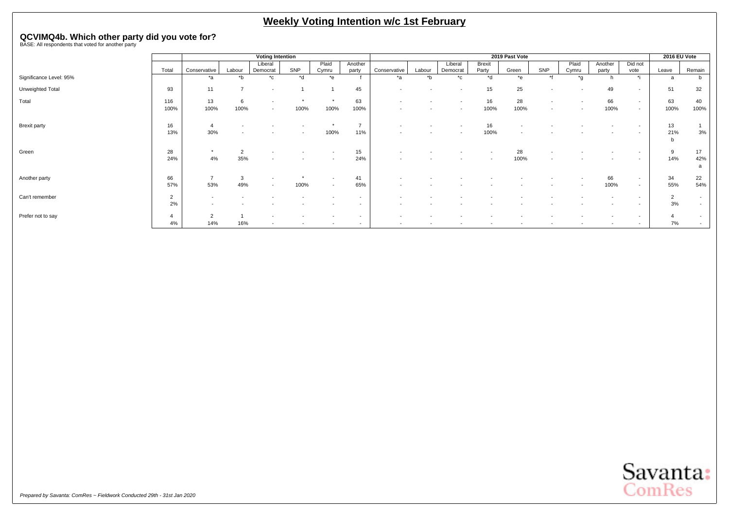# **QCVIMQ4b. Which other party did you vote for?** BASE: All respondents that voted for another party

|                         |                      |                       |                       | <b>Voting Intention</b>                              |      |                                                      |                                 |                          |        |                          |                 | 2019 Past Vote           |                                                      |                |                  |                                                      | 2016 EU Vote |                  |
|-------------------------|----------------------|-----------------------|-----------------------|------------------------------------------------------|------|------------------------------------------------------|---------------------------------|--------------------------|--------|--------------------------|-----------------|--------------------------|------------------------------------------------------|----------------|------------------|------------------------------------------------------|--------------|------------------|
|                         | Total                | Conservative          | Labour                | Liberal<br>Democrat                                  | SNP  | Plaid<br>Cymru                                       | Another<br>party                | Conservative             | Labour | Liberal<br>Democrat      | Brexit<br>Party | Green                    | SNP                                                  | Plaid<br>Cymru | Another<br>party | Did not<br>vote                                      | Leave        | Remain           |
| Significance Level: 95% |                      | *a                    | *b                    | $^{\star}$ c                                         | *d   | $*$ e                                                |                                 | *a                       | $b^*$  | $^{\star}$ c             | *d              | *e                       | $*1$                                                 | *q             |                  | *i                                                   | a            | b                |
| Unweighted Total        | 93                   | 11                    | $\overline{ }$        | $\overline{\phantom{a}}$                             |      |                                                      | 45                              | $\overline{\phantom{a}}$ |        | $\overline{\phantom{a}}$ | 15              | 25                       |                                                      |                | 49               | $\sim$                                               | 51           | 32               |
| Total                   | 116<br>100%          | 13<br>100%            | 6<br>100%             | $\overline{\phantom{a}}$<br>$\overline{\phantom{a}}$ | 100% | $\star$<br>100%                                      | 63<br>100%                      | $\overline{\phantom{a}}$ |        | $\overline{\phantom{a}}$ | 16<br>100%      | 28<br>100%               | $\overline{\phantom{0}}$<br>$\overline{\phantom{a}}$ |                | 66<br>100%       | $\sim$<br>$\sim$                                     | 63<br>100%   | 40<br>100%       |
| <b>Brexit party</b>     | 16<br>13%            | 30%                   |                       |                                                      |      | 100%                                                 | $\overline{\phantom{a}}$<br>11% | $\overline{\phantom{a}}$ |        | $\overline{\phantom{a}}$ | 16<br>100%      | $\overline{\phantom{a}}$ |                                                      |                |                  | $\sim$                                               | 13<br>21%    | 3%               |
| Green                   | 28<br>24%            | 4%                    | $\overline{2}$<br>35% |                                                      |      | ٠                                                    | 15<br>24%                       |                          |        |                          |                 | 28<br>100%               |                                                      |                |                  | $\overline{\phantom{a}}$<br>$\overline{\phantom{a}}$ | 9<br>14%     | 17<br>42%<br>a   |
| Another party           | 66<br>57%            | 53%                   | 3<br>49%              | $\overline{\phantom{0}}$                             | 100% | $\overline{\phantom{a}}$<br>$\overline{\phantom{a}}$ | 41<br>65%                       |                          |        |                          |                 |                          |                                                      |                | 66<br>100%       | $\sim$<br>$\sim$                                     | 34<br>55%    | 22<br>54%        |
| Can't remember          | $\overline{2}$<br>2% |                       |                       |                                                      |      |                                                      | $\overline{\phantom{0}}$        |                          |        |                          |                 |                          |                                                      |                |                  | $\sim$<br>$\overline{\phantom{a}}$                   | 2<br>3%      | $\sim$<br>$\sim$ |
| Prefer not to say       | 4%                   | $\overline{2}$<br>14% | 16%                   | $\overline{\phantom{a}}$                             |      |                                                      | $\overline{\phantom{a}}$        | $\overline{\phantom{a}}$ |        |                          |                 |                          |                                                      |                | $\sim$           | $\overline{\phantom{0}}$<br>$\sim$                   | 7%           | $\sim$<br>$\sim$ |

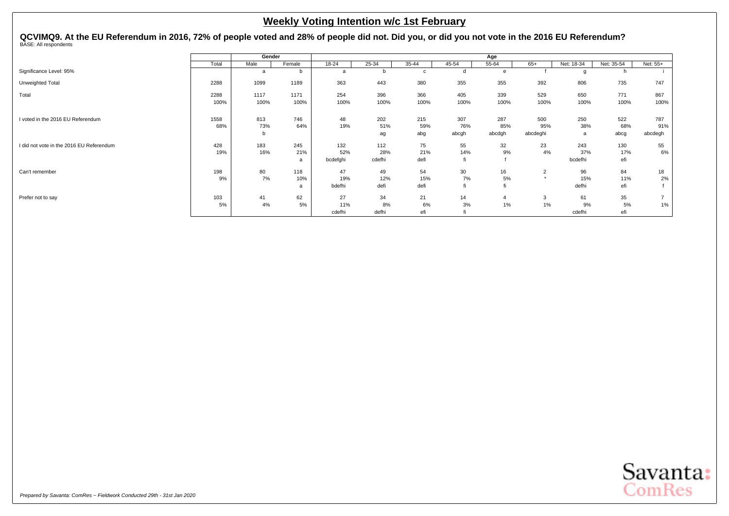<span id="page-41-0"></span>QCVIMQ9. At the EU Referendum in 2016, 72% of people voted and 28% of people did not. Did you, or did you not vote in the 2016 EU Referendum?<br><sup>BASE: All respondents</sup>

|                                          |       | Gender |        |          |        |       |       | Age    |                |            |            |                |
|------------------------------------------|-------|--------|--------|----------|--------|-------|-------|--------|----------------|------------|------------|----------------|
|                                          | Total | Male   | Female | 18-24    | 25-34  | 35-44 | 45-54 | 55-64  | $65+$          | Net: 18-34 | Net: 35-54 | Net: 55+       |
| Significance Level: 95%                  |       | a      | b      | a        |        | C     |       | e      |                | q          |            |                |
| Unweighted Total                         | 2288  | 1099   | 1189   | 363      | 443    | 380   | 355   | 355    | 392            | 806        | 735        | 747            |
| Total                                    | 2288  | 1117   | 1171   | 254      | 396    | 366   | 405   | 339    | 529            | 650        | 771        | 867            |
|                                          | 100%  | 100%   | 100%   | 100%     | 100%   | 100%  | 100%  | 100%   | 100%           | 100%       | 100%       | 100%           |
| I voted in the 2016 EU Referendum        | 1558  | 813    | 746    | 48       | 202    | 215   | 307   | 287    | 500            | 250        | 522        | 787            |
|                                          | 68%   |        | 64%    | 19%      | 51%    |       | 76%   | 85%    | 95%            | 38%        | 68%        | 91%            |
|                                          |       | 73%    |        |          |        | 59%   |       |        |                |            |            |                |
|                                          |       | b      |        |          | ag     | abg   | abcgh | abcdgh | abcdeghi       | a          | abcg       | abcdegh        |
| I did not vote in the 2016 EU Referendum | 428   | 183    | 245    | 132      | 112    | 75    | 55    | 32     | 23             | 243        | 130        | 55             |
|                                          | 19%   | 16%    | 21%    | 52%      | 28%    | 21%   | 14%   | 9%     | 4%             | 37%        | 17%        | 6%             |
|                                          |       |        | a      | bcdefghi | cdefhi | defi  | fi    |        |                | bcdefhi    | efi        |                |
| Can't remember                           | 198   | 80     | 118    | 47       | 49     | 54    | 30    | 16     | $\overline{2}$ | 96         | 84         | 18             |
|                                          | 9%    | 7%     | 10%    | 19%      | 12%    | 15%   | 7%    | 5%     | $\star$        | 15%        | 11%        | 2%             |
|                                          |       |        | a      | bdefhi   | defi   | defi  |       |        |                | defhi      | efi        |                |
| Prefer not to say                        | 103   | 41     | 62     | 27       | 34     | 21    | 14    | 4      | 3              | 61         | 35         | $\overline{ }$ |
|                                          | 5%    | 4%     | 5%     | 11%      | 8%     | 6%    | 3%    | 1%     | 1%             | 9%         | 5%         | 1%             |
|                                          |       |        |        | cdefhi   | defhi  | efi   |       |        |                | cdefhi     | efi        |                |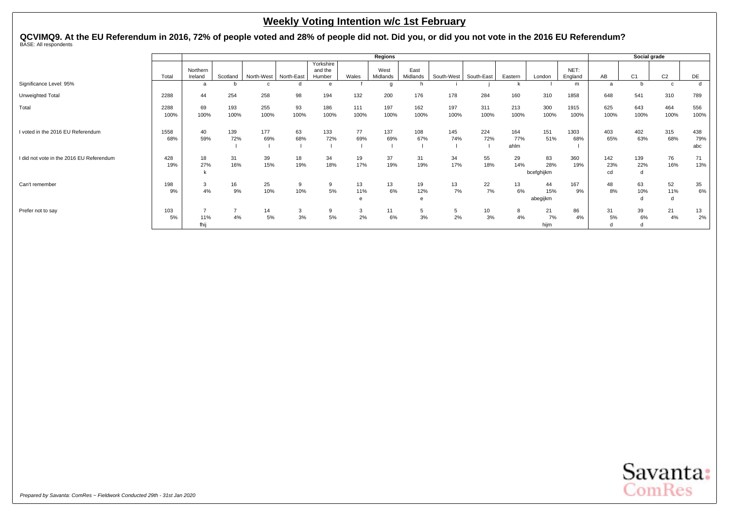QCVIMQ9. At the EU Referendum in 2016, 72% of people voted and 28% of people did not. Did you, or did you not vote in the 2016 EU Referendum?<br><sup>BASE: All respondents</sup>

|                                          |              |                     |             |             |            |                                |                | <b>Regions</b>   |                  |             |             |                    |                         |                 |                  | Social grade    |                |                   |
|------------------------------------------|--------------|---------------------|-------------|-------------|------------|--------------------------------|----------------|------------------|------------------|-------------|-------------|--------------------|-------------------------|-----------------|------------------|-----------------|----------------|-------------------|
|                                          | Total        | Northern<br>Ireland | Scotland    | North-West  | North-East | Yorkshire<br>and the<br>Humber | Wales          | West<br>Midlands | East<br>Midlands | South-West  | South-East  | Eastern            | London                  | NET:<br>England | AB               | C <sub>1</sub>  | C <sub>2</sub> | DE                |
| Significance Level: 95%                  |              | a                   |             | $\Omega$    |            |                                |                | g                |                  |             |             |                    |                         | m               | <b>a</b>         | b               | $\mathbf{c}$   | d                 |
| Unweighted Total                         | 2288         | 44                  | 254         | 258         | 98         | 194                            | 132            | 200              | 176              | 178         | 284         | 160                | 310                     | 1858            | 648              | 541             | 310            | 789               |
| Total                                    | 2288<br>100% | 69<br>100%          | 193<br>100% | 255<br>100% | 93<br>100% | 186<br>100%                    | 111<br>100%    | 197<br>100%      | 162<br>100%      | 197<br>100% | 311<br>100% | 213<br>100%        | 300<br>100%             | 1915<br>100%    | 625<br>100%      | 643<br>100%     | 464<br>100%    | 556<br>100%       |
| I voted in the 2016 EU Referendum        | 1558<br>68%  | 40<br>59%           | 139<br>72%  | 177<br>69%  | 63<br>68%  | 133<br>72%                     | 77<br>69%      | 137<br>69%       | 108<br>67%       | 145<br>74%  | 224<br>72%  | 164<br>77%<br>ahlm | 151<br>51%              | 1303<br>68%     | 403<br>65%       | 402<br>63%      | 315<br>68%     | 438<br>79%<br>abc |
| I did not vote in the 2016 EU Referendum | 428<br>19%   | 18<br>27%           | 31<br>16%   | 39<br>15%   | 18<br>19%  | 34<br>18%                      | 19<br>17%      | 37<br>19%        | 31<br>19%        | 34<br>17%   | 55<br>18%   | 29<br>14%          | 83<br>28%<br>bcefghijkm | 360<br>19%      | 142<br>23%<br>cd | 139<br>22%<br>d | 76<br>16%      | 71<br>13%         |
| Can't remember                           | 198<br>9%    | 3<br>4%             | 16<br>9%    | 25<br>10%   | 9<br>10%   | 5%                             | 13<br>11%<br>e | 13<br>6%         | 19<br>12%        | 13<br>7%    | 22<br>7%    | 13<br>6%           | 44<br>15%<br>abegijkm   | 167<br>9%       | 48<br>8%         | 63<br>10%<br>d  | 52<br>11%      | 35<br>6%          |
| Prefer not to say                        | 103<br>5%    | 11%<br>fhij         | 4%          | 14<br>5%    | 3<br>3%    | 5%                             | 3<br>2%        | 11<br>6%         | 5<br>3%          | 2%          | 10<br>3%    | 8<br>4%            | 21<br>7%<br>hijm        | 86<br>4%        | 31<br>5%         | 39<br>6%<br>d   | 21<br>4%       | 13<br>2%          |

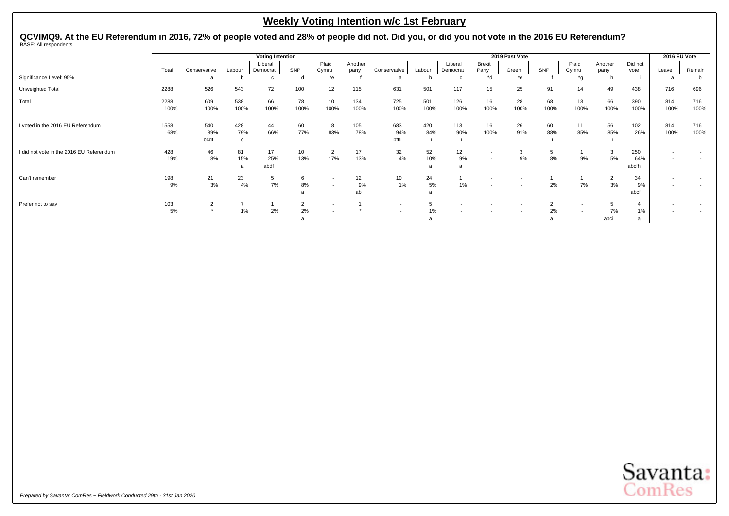QCVIMQ9. At the EU Referendum in 2016, 72% of people voted and 28% of people did not. Did you, or did you not vote in the 2016 EU Referendum?<br><sup>BASE: All respondents</sup>

|                                          |       |              |        | <b>Voting Intention</b> |      |                          |         |                          |        |          |               | 2019 Past Vote |        |       |         |         | 2016 EU Vote |                          |
|------------------------------------------|-------|--------------|--------|-------------------------|------|--------------------------|---------|--------------------------|--------|----------|---------------|----------------|--------|-------|---------|---------|--------------|--------------------------|
|                                          |       |              |        | Liberal                 |      | Plaid                    | Another |                          |        | Liberal  | <b>Brexit</b> |                |        | Plaid | Another | Did not |              |                          |
|                                          | Total | Conservative | Labour | Democrat                | SNP  | Cymru                    | party   | Conservative             | Labour | Democrat | Party         | Green          | SNP    | Cymru | party   | vote    | Leave        | Remain                   |
| Significance Level: 95%                  |       |              |        |                         |      | $*_{e}$                  |         |                          |        |          | $h^*$         | *e             |        | *a    |         |         |              | b                        |
| Unweighted Total                         | 2288  | 526          | 543    | 72                      | 100  | 12                       | 115     | 631                      | 501    | 117      | 15            | 25             | 91     | 14    | 49      | 438     | 716          | 696                      |
| Total                                    | 2288  | 609          | 538    | 66                      | 78   | 10                       | 134     | 725                      | 501    | 126      | 16            | 28             | 68     | 13    | 66      | 390     | 814          | 716                      |
|                                          | 100%  | 100%         | 100%   | 100%                    | 100% | 100%                     | 100%    | 100%                     | 100%   | 100%     | 100%          | 100%           | 100%   | 100%  | 100%    | 100%    | 100%         | 100%                     |
| I voted in the 2016 EU Referendum        | 1558  | 540          | 428    | 44                      | 60   | 8                        | 105     | 683                      | 420    | 113      | 16            | 26             | 60     | 11    | 56      | 102     | 814          | 716                      |
|                                          | 68%   | 89%          | 79%    | 66%                     | 77%  | 83%                      | 78%     | 94%                      | 84%    | 90%      | 100%          | 91%            | 88%    | 85%   | 85%     | 26%     | 100%         | 100%                     |
|                                          |       | bcdf         | C      |                         |      |                          |         | bfhi                     |        |          |               |                |        |       |         |         |              |                          |
| I did not vote in the 2016 EU Referendum | 428   | 46           | 81     | 17                      | 10   | $\overline{2}$           | 17      | 32                       | 52     | 12       |               | 3              | 5      |       | 3       | 250     |              |                          |
|                                          | 19%   | 8%           | 15%    | 25%                     | 13%  | 17%                      | 13%     | 4%                       | 10%    | 9%       |               | 9%             | 8%     | 9%    | 5%      | 64%     |              | $\overline{\phantom{a}}$ |
|                                          |       |              | a      | abdf                    |      |                          |         |                          | я      |          |               |                |        |       |         | abcfh   |              |                          |
| Can't remember                           | 198   | 21           | 23     | 5                       | 6    | $\overline{\phantom{a}}$ | 12      | 10                       | 24     |          |               |                |        |       | 2       | 34      |              |                          |
|                                          | 9%    | 3%           | $4\%$  | 7%                      | 8%   | $\overline{\phantom{a}}$ | 9%      | 1%                       | 5%     | $1\%$    |               |                | 2%     | 7%    | 3%      | 9%      |              | $\overline{\phantom{a}}$ |
|                                          |       |              |        |                         |      |                          | ab      |                          | a      |          |               |                |        |       |         | abcf    |              |                          |
| Prefer not to say                        | 103   | $\sim$       |        |                         | ∠    | $\overline{\phantom{a}}$ |         | $\overline{\phantom{a}}$ |        |          |               |                | $\sim$ |       | 5       |         |              |                          |
|                                          | 5%    |              | 1%     | 2%                      | 2%   | $\overline{\phantom{a}}$ | $\star$ | $\overline{\phantom{a}}$ | 1%     |          |               |                | 2%     |       | 7%      | 1%      |              |                          |
|                                          |       |              |        |                         |      |                          |         |                          |        |          |               |                |        |       | abci    |         |              |                          |

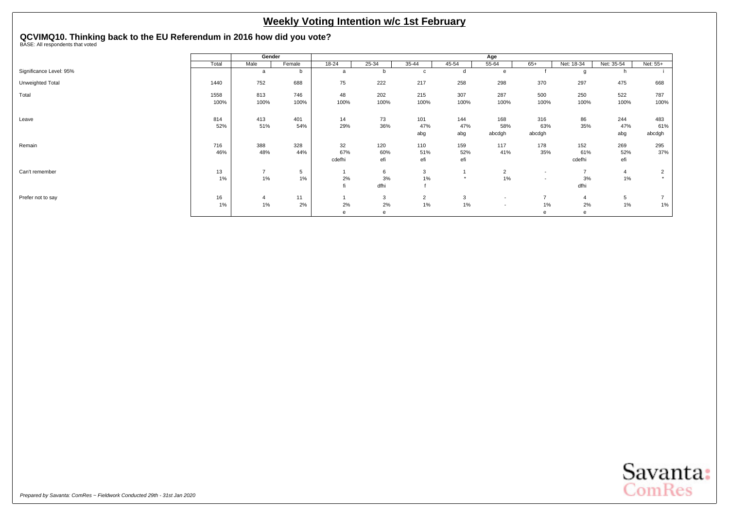# <span id="page-44-0"></span>**QCVIMQ10. Thinking back to the EU Referendum in 2016 how did you vote?** BASE: All respondents that voted

|                         |       | Gender         |        |        |              |                |               | Age                      |                          |                |                 |          |
|-------------------------|-------|----------------|--------|--------|--------------|----------------|---------------|--------------------------|--------------------------|----------------|-----------------|----------|
|                         | Total | Male           | Female | 18-24  | 25-34        | 35-44          | 45-54         | 55-64                    | $65+$                    | Net: 18-34     | Net: 35-54      | Net: 55+ |
| Significance Level: 95% |       | a              | b      | a      | b            | C              |               | e                        |                          | g              |                 |          |
| Unweighted Total        | 1440  | 752            | 688    | 75     | 222          | 217            | 258           | 298                      | 370                      | 297            | 475             | 668      |
| Total                   | 1558  | 813            | 746    | 48     | 202          | 215            | 307           | 287                      | 500                      | 250            | 522             | 787      |
|                         | 100%  | 100%           | 100%   | 100%   | 100%         | 100%           | 100%          | 100%                     | 100%                     | 100%           | 100%            | 100%     |
| Leave                   | 814   | 413            | 401    | 14     | 73           | 101            | 144           | 168                      | 316                      | 86             | 244             | 483      |
|                         | 52%   | 51%            | 54%    | 29%    | 36%          | 47%            | 47%           | 58%                      | 63%                      | 35%            | 47%             | 61%      |
|                         |       |                |        |        |              | abg            | abg           | abcdgh                   | abcdgh                   |                | abg             | abcdgh   |
| Remain                  | 716   | 388            | 328    | 32     | 120          | 110            | 159           | 117                      | 178                      | 152            | 269             | 295      |
|                         | 46%   | 48%            | 44%    | 67%    | 60%          | 51%            | 52%           | 41%                      | 35%                      | 61%            | 52%             | 37%      |
|                         |       |                |        | cdefhi | efi          | efi            | efi           |                          |                          | cdefhi         | efi             |          |
| Can't remember          | 13    | $\overline{7}$ | 5      |        | 6            | 3              |               | $\overline{2}$           | $\overline{\phantom{a}}$ | $\overline{7}$ | $\overline{4}$  | 2        |
|                         | 1%    | 1%             | 1%     | 2%     | $3%$         | $1\%$          | $\rightarrow$ | 1%                       | $\overline{\phantom{a}}$ | 3%             | 1%              |          |
|                         |       |                |        | fi     | dfhi         |                |               |                          |                          | dfhi           |                 |          |
| Prefer not to say       | 16    | $\overline{4}$ | 11     |        | 3            | $\overline{2}$ | 3             | $\overline{\phantom{a}}$ | $\overline{ }$           | $\overline{4}$ | $5\phantom{.0}$ |          |
|                         | 1%    | 1%             | 2%     | 2%     | 2%           | $1\%$          | 1%            | $\overline{\phantom{a}}$ | 1%                       | 2%             | 1%              | 1%       |
|                         |       |                |        | e      | $\mathbf{e}$ |                |               |                          | $\epsilon$               | e              |                 |          |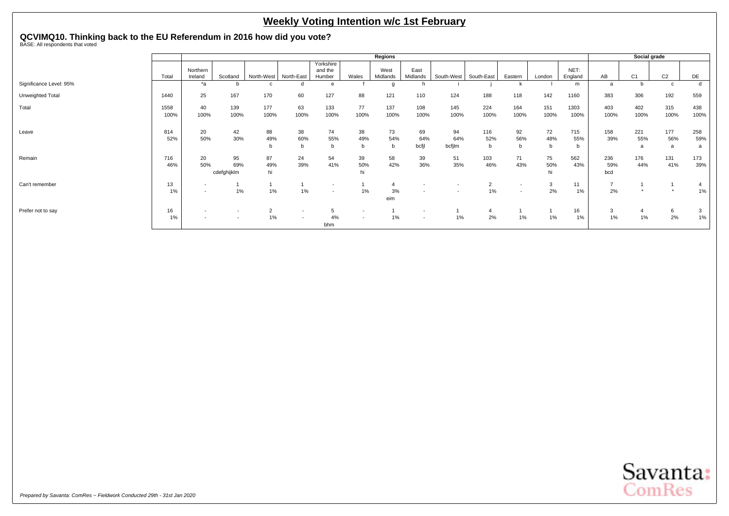# **QCVIMQ10. Thinking back to the EU Referendum in 2016 how did you vote?** BASE: All respondents that voted

|                         |              |                                    |                          |                      |                          |                                                      |                                                      | Regions          |                                                      |                          |                         |                                                      |                 |                 |                      |                 | Social grade    |                 |
|-------------------------|--------------|------------------------------------|--------------------------|----------------------|--------------------------|------------------------------------------------------|------------------------------------------------------|------------------|------------------------------------------------------|--------------------------|-------------------------|------------------------------------------------------|-----------------|-----------------|----------------------|-----------------|-----------------|-----------------|
|                         | Total        | Northern<br>Ireland                | Scotland                 | North-West           | North-East               | Yorkshire<br>and the<br>Humber                       | Wales                                                | West<br>Midlands | East<br>Midlands                                     | South-West               | South-East              | Eastern                                              | London          | NET:<br>England | AB                   | C <sub>1</sub>  | C <sub>2</sub>  | DE              |
| Significance Level: 95% |              | *a                                 |                          | c                    |                          | e                                                    |                                                      | g                |                                                      |                          |                         | k                                                    |                 | m               | a                    |                 | $\mathbf{c}$    | d               |
| Unweighted Total        | 1440         | 25                                 | 167                      | 170                  | 60                       | 127                                                  | 88                                                   | 121              | 110                                                  | 124                      | 188                     | 118                                                  | 142             | 1160            | 383                  | 306             | 192             | 559             |
| Total                   | 1558<br>100% | 40<br>100%                         | 139<br>100%              | 177<br>100%          | 63<br>100%               | 133<br>100%                                          | 77<br>100%                                           | 137<br>100%      | 108<br>100%                                          | 145<br>100%              | 224<br>100%             | 164<br>100%                                          | 151<br>100%     | 1303<br>100%    | 403<br>100%          | 402<br>100%     | 315<br>100%     | 438<br>100%     |
| Leave                   | 814<br>52%   | 20<br>50%                          | 42<br>30%                | 88<br>49%            | 38<br>60%<br>b           | 74<br>55%<br>b                                       | 38<br>49%<br>b                                       | 73<br>54%<br>b   | 69<br>64%<br>bcfil                                   | 94<br>64%<br>bcfilm      | 116<br>52%<br>b         | 92<br>56%<br>b                                       | 72<br>48%       | 715<br>55%      | 158<br>39%           | 221<br>55%<br>a | 177<br>56%<br>a | 258<br>59%<br>a |
| Remain                  | 716<br>46%   | 20<br>50%                          | 95<br>69%<br>cdefghijklm | 87<br>49%<br>hi      | 24<br>39%                | 54<br>41%                                            | 39<br>50%<br>hi                                      | 58<br>42%        | 39<br>36%                                            | 51<br>35%                | 103<br>46%              | 71<br>43%                                            | 75<br>50%<br>hi | 562<br>43%      | 236<br>59%<br>bcd    | 176<br>44%      | 131<br>41%      | 173<br>39%      |
| Can't remember          | 13<br>1%     | $\sim$<br>$\overline{\phantom{a}}$ | 1%                       | $1\%$                | $1\%$                    | $\overline{\phantom{a}}$<br>$\overline{\phantom{a}}$ | $1\%$                                                | 4<br>3%<br>eim   | $\overline{\phantom{a}}$                             | $\overline{\phantom{a}}$ | $\overline{2}$<br>$1\%$ | $\overline{\phantom{a}}$<br>$\overline{\phantom{a}}$ | 3<br>2%         | 11<br>1%        | $\overline{ }$<br>2% |                 |                 | $1\%$           |
| Prefer not to say       | 16<br>1%     |                                    |                          | $\overline{2}$<br>1% | $\overline{\phantom{a}}$ | 4%<br>bhm                                            | $\overline{\phantom{a}}$<br>$\overline{\phantom{a}}$ | 1%               | $\overline{\phantom{a}}$<br>$\overline{\phantom{a}}$ | $1\%$                    | 2%                      | 1%                                                   | 1%              | 16<br>1%        | 3<br>1%              | 4<br>1%         | 6<br>2%         | 3<br>1%         |